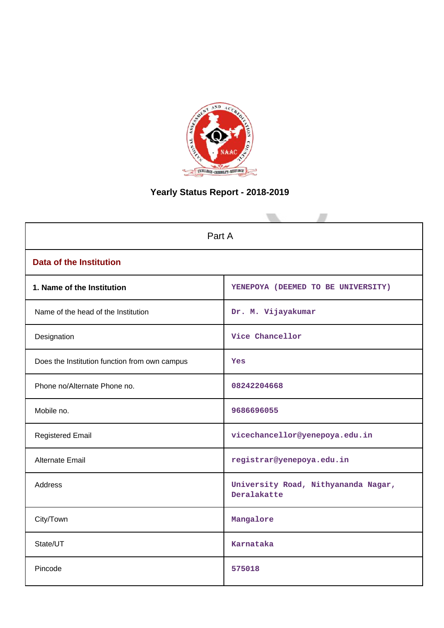

# **Yearly Status Report - 2018-2019**

| Part A                                        |                                                    |  |  |
|-----------------------------------------------|----------------------------------------------------|--|--|
| <b>Data of the Institution</b>                |                                                    |  |  |
| 1. Name of the Institution                    | YENEPOYA (DEEMED TO BE UNIVERSITY)                 |  |  |
| Name of the head of the Institution           | Dr. M. Vijayakumar                                 |  |  |
| Designation                                   | Vice Chancellor                                    |  |  |
| Does the Institution function from own campus | Yes                                                |  |  |
| Phone no/Alternate Phone no.                  | 08242204668                                        |  |  |
| Mobile no.                                    | 9686696055                                         |  |  |
| <b>Registered Email</b>                       | vicechancellor@yenepoya.edu.in                     |  |  |
| Alternate Email                               | registrar@yenepoya.edu.in                          |  |  |
| <b>Address</b>                                | University Road, Nithyananda Nagar,<br>Deralakatte |  |  |
| City/Town                                     | Mangalore                                          |  |  |
| State/UT                                      | Karnataka                                          |  |  |
| Pincode                                       | 575018                                             |  |  |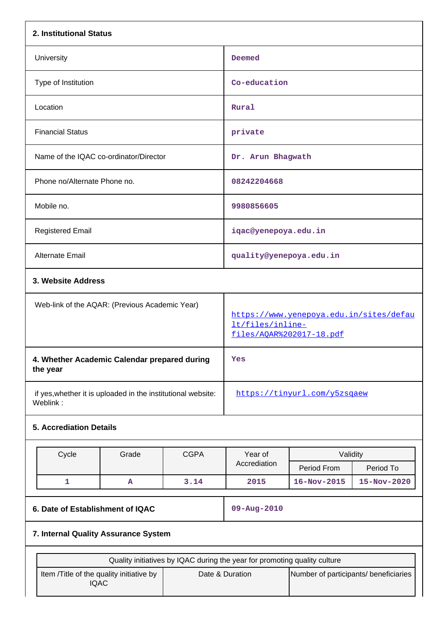| 2. Institutional Status                                                   |                                      |                                                                                         |                                                          |                              |             |
|---------------------------------------------------------------------------|--------------------------------------|-----------------------------------------------------------------------------------------|----------------------------------------------------------|------------------------------|-------------|
| University                                                                |                                      |                                                                                         | Deemed                                                   |                              |             |
| Type of Institution                                                       |                                      |                                                                                         | Co-education                                             |                              |             |
| Location                                                                  |                                      |                                                                                         | Rural                                                    |                              |             |
| <b>Financial Status</b>                                                   |                                      |                                                                                         | private                                                  |                              |             |
| Name of the IQAC co-ordinator/Director                                    |                                      |                                                                                         | Dr. Arun Bhagwath                                        |                              |             |
| Phone no/Alternate Phone no.                                              |                                      |                                                                                         | 08242204668                                              |                              |             |
| Mobile no.                                                                |                                      |                                                                                         | 9980856605                                               |                              |             |
| <b>Registered Email</b>                                                   |                                      |                                                                                         | iqac@yenepoya.edu.in                                     |                              |             |
| Alternate Email                                                           |                                      |                                                                                         | quality@yenepoya.edu.in                                  |                              |             |
| 3. Website Address                                                        |                                      |                                                                                         |                                                          |                              |             |
| Web-link of the AQAR: (Previous Academic Year)                            |                                      | https://www.yenepoya.edu.in/sites/defau<br>lt/files/inline-<br>files/AOAR%202017-18.pdf |                                                          |                              |             |
| 4. Whether Academic Calendar prepared during<br>the year                  |                                      |                                                                                         | Yes                                                      |                              |             |
| if yes, whether it is uploaded in the institutional website:<br>Weblink:  |                                      |                                                                                         |                                                          | https://tinyurl.com/y5zsqaew |             |
| <b>5. Accrediation Details</b>                                            |                                      |                                                                                         |                                                          |                              |             |
| Cycle                                                                     | Grade                                | <b>CGPA</b>                                                                             | Year of                                                  | Validity                     |             |
|                                                                           |                                      |                                                                                         | Accrediation                                             | Period From                  | Period To   |
| $\mathbf{1}$                                                              | A                                    | 3.14                                                                                    | 2015                                                     | $16 - Nov - 2015$            | 15-Nov-2020 |
| 6. Date of Establishment of IQAC                                          |                                      |                                                                                         | 09-Aug-2010                                              |                              |             |
|                                                                           | 7. Internal Quality Assurance System |                                                                                         |                                                          |                              |             |
| Quality initiatives by IQAC during the year for promoting quality culture |                                      |                                                                                         |                                                          |                              |             |
| Item /Title of the quality initiative by<br><b>IQAC</b>                   |                                      |                                                                                         | Date & Duration<br>Number of participants/ beneficiaries |                              |             |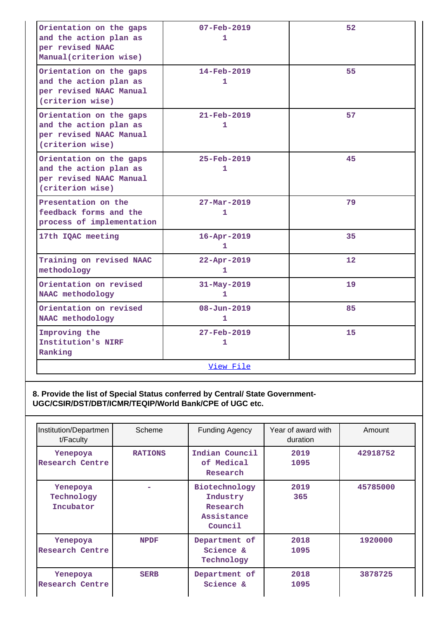| Orientation on the gaps<br>and the action plan as<br>per revised NAAC<br>Manual(criterion wise)  | 07-Feb-2019<br>1                         | 52              |  |  |  |
|--------------------------------------------------------------------------------------------------|------------------------------------------|-----------------|--|--|--|
| Orientation on the gaps<br>and the action plan as<br>per revised NAAC Manual<br>(criterion wise) | $14 - \text{Feb} - 2019$<br>1            | 55              |  |  |  |
| Orientation on the gaps<br>and the action plan as<br>per revised NAAC Manual<br>(criterion wise) | $21 - \text{Feb} - 2019$<br>1            | 57              |  |  |  |
| Orientation on the gaps<br>and the action plan as<br>per revised NAAC Manual<br>(criterion wise) | $25 - Feb - 2019$<br>1                   | 45              |  |  |  |
| Presentation on the<br>feedback forms and the<br>process of implementation                       | $27 - \text{Mar} - 2019$<br>$\mathbf{1}$ | 79              |  |  |  |
| 17th IQAC meeting                                                                                | $16 - Apr - 2019$<br>1                   | 35              |  |  |  |
| Training on revised NAAC<br>methodology                                                          | $22 - Apr - 2019$<br>1.                  | 12 <sup>°</sup> |  |  |  |
| Orientation on revised<br>NAAC methodology                                                       | $31 - May - 2019$<br>1                   | 19              |  |  |  |
| Orientation on revised<br>NAAC methodology                                                       | $08 - Jun - 2019$<br>1                   | 85              |  |  |  |
| Improving the<br>Institution's NIRF<br>Ranking                                                   | 27-Feb-2019<br>$\mathbf{1}$              | 15              |  |  |  |
|                                                                                                  | View File                                |                 |  |  |  |

### **8. Provide the list of Special Status conferred by Central/ State Government-UGC/CSIR/DST/DBT/ICMR/TEQIP/World Bank/CPE of UGC etc.**

| Institution/Departmen<br>t/Faculty  | Scheme         | <b>Funding Agency</b>                                          | Year of award with<br>duration | Amount   |
|-------------------------------------|----------------|----------------------------------------------------------------|--------------------------------|----------|
| Yenepoya<br>Research Centre         | <b>RATIONS</b> | Indian Council<br>of Medical<br>Research                       | 2019<br>1095                   | 42918752 |
| Yenepoya<br>Technology<br>Incubator |                | Biotechnology<br>Industry<br>Research<br>Assistance<br>Council | 2019<br>365                    | 45785000 |
| Yenepoya<br>Research Centre         | <b>NPDF</b>    | Department of<br>Science &<br>Technology                       | 2018<br>1095                   | 1920000  |
| Yenepoya<br>Research Centre         | <b>SERB</b>    | Department of<br>Science &                                     | 2018<br>1095                   | 3878725  |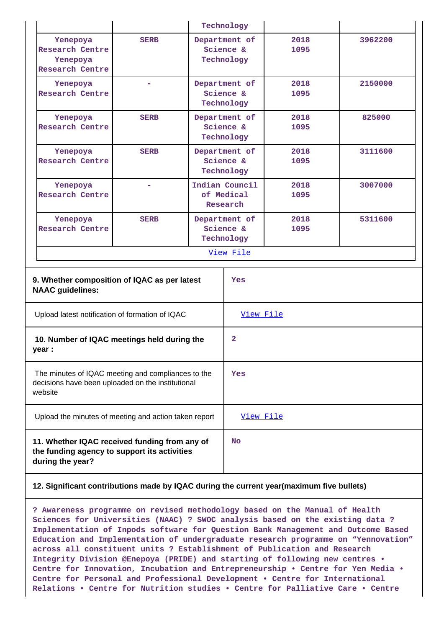|                                                                                                                    |                                                       |                                          | Technology                               |              |         |
|--------------------------------------------------------------------------------------------------------------------|-------------------------------------------------------|------------------------------------------|------------------------------------------|--------------|---------|
| Yenepoya<br><b>Research Centre</b><br>Yenepoya<br><b>Research Centre</b>                                           | <b>SERB</b>                                           | Department of<br>Science &<br>Technology |                                          | 2018<br>1095 | 3962200 |
| Yenepoya<br><b>Research Centre</b>                                                                                 | ۰                                                     | Department of<br>Science &<br>Technology |                                          | 2018<br>1095 | 2150000 |
| Yenepoya<br>Research Centre                                                                                        | <b>SERB</b>                                           | Department of<br>Science &<br>Technology |                                          | 2018<br>1095 | 825000  |
| Yenepoya<br><b>Research Centre</b>                                                                                 | <b>SERB</b>                                           |                                          | Department of<br>Science &<br>Technology | 2018<br>1095 | 3111600 |
| Yenepoya<br><b>Research Centre</b>                                                                                 |                                                       | Indian Council<br>of Medical<br>Research |                                          | 2018<br>1095 | 3007000 |
| Yenepoya<br><b>Research Centre</b>                                                                                 | <b>SERB</b>                                           | Department of<br>Science &<br>Technology |                                          | 2018<br>1095 | 5311600 |
|                                                                                                                    |                                                       |                                          | View File                                |              |         |
| 9. Whether composition of IQAC as per latest<br><b>NAAC</b> guidelines:                                            |                                                       |                                          | Yes                                      |              |         |
| Upload latest notification of formation of IQAC                                                                    |                                                       |                                          | View File                                |              |         |
| year :                                                                                                             | 10. Number of IQAC meetings held during the           |                                          | $\mathbf{2}$                             |              |         |
| The minutes of IQAC meeting and compliances to the<br>decisions have been uploaded on the institutional<br>website |                                                       | Yes                                      |                                          |              |         |
|                                                                                                                    | Upload the minutes of meeting and action taken report |                                          | View File                                |              |         |
| 11. Whether IQAC received funding from any of<br>the funding agency to support its activities<br>during the year?  |                                                       | <b>No</b>                                |                                          |              |         |

### **12. Significant contributions made by IQAC during the current year(maximum five bullets)**

**? Awareness programme on revised methodology based on the Manual of Health Sciences for Universities (NAAC) ? SWOC analysis based on the existing data ? Implementation of Inpods software for Question Bank Management and Outcome Based Education and Implementation of undergraduate research programme on "Yennovation" across all constituent units ? Establishment of Publication and Research Integrity Division @Enepoya (PRIDE) and starting of following new centres • Centre for Innovation, Incubation and Entrepreneurship • Centre for Yen Media • Centre for Personal and Professional Development • Centre for International Relations • Centre for Nutrition studies • Centre for Palliative Care • Centre**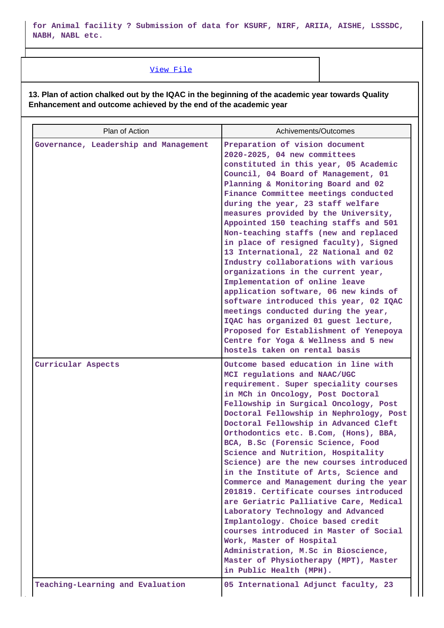**for Animal facility ? Submission of data for KSURF, NIRF, ARIIA, AISHE, LSSSDC, NABH, NABL etc.**

### [View File](https://assessmentonline.naac.gov.in/public/Postacc/Contribution/3835_Contribution.xlsx)

**13. Plan of action chalked out by the IQAC in the beginning of the academic year towards Quality Enhancement and outcome achieved by the end of the academic year**

| Plan of Action                        | Achivements/Outcomes                                                                                                                                                                                                                                                                                                                                                                                                                                                                                                                                                                                                                                                                                                                                                                                                                                                               |
|---------------------------------------|------------------------------------------------------------------------------------------------------------------------------------------------------------------------------------------------------------------------------------------------------------------------------------------------------------------------------------------------------------------------------------------------------------------------------------------------------------------------------------------------------------------------------------------------------------------------------------------------------------------------------------------------------------------------------------------------------------------------------------------------------------------------------------------------------------------------------------------------------------------------------------|
| Governance, Leadership and Management | Preparation of vision document<br>2020-2025, 04 new committees<br>constituted in this year, 05 Academic<br>Council, 04 Board of Management, 01<br>Planning & Monitoring Board and 02<br>Finance Committee meetings conducted<br>during the year, 23 staff welfare<br>measures provided by the University,<br>Appointed 150 teaching staffs and 501<br>Non-teaching staffs (new and replaced<br>in place of resigned faculty), Signed<br>13 International, 22 National and 02<br>Industry collaborations with various<br>organizations in the current year,<br>Implementation of online leave<br>application software, 06 new kinds of<br>software introduced this year, 02 IQAC<br>meetings conducted during the year,<br>IQAC has organized 01 guest lecture,<br>Proposed for Establishment of Yenepoya<br>Centre for Yoga & Wellness and 5 new<br>hostels taken on rental basis  |
| Curricular Aspects                    | Outcome based education in line with<br>MCI regulations and NAAC/UGC<br>requirement. Super speciality courses<br>in MCh in Oncology, Post Doctoral<br>Fellowship in Surgical Oncology, Post<br>Doctoral Fellowship in Nephrology, Post<br>Doctoral Fellowship in Advanced Cleft<br>Orthodontics etc. B.Com, (Hons), BBA,<br>BCA, B.Sc (Forensic Science, Food<br>Science and Nutrition, Hospitality<br>Science) are the new courses introduced<br>in the Institute of Arts, Science and<br>Commerce and Management during the year<br>201819. Certificate courses introduced<br>are Geriatric Palliative Care, Medical<br>Laboratory Technology and Advanced<br>Implantology. Choice based credit<br>courses introduced in Master of Social<br>Work, Master of Hospital<br>Administration, M.Sc in Bioscience,<br>Master of Physiotherapy (MPT), Master<br>in Public Health (MPH). |
| Teaching-Learning and Evaluation      | 05 International Adjunct faculty, 23                                                                                                                                                                                                                                                                                                                                                                                                                                                                                                                                                                                                                                                                                                                                                                                                                                               |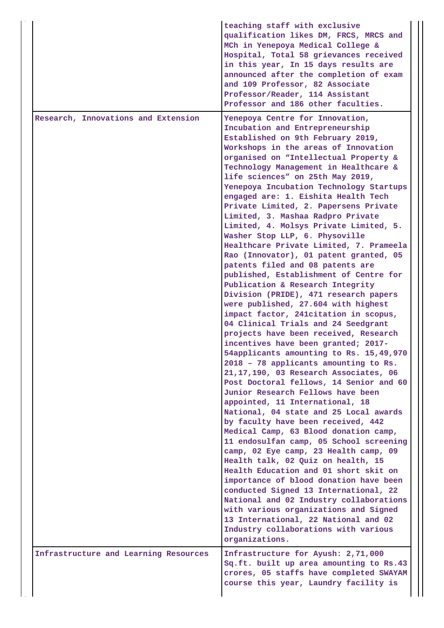|                                       | teaching staff with exclusive<br>qualification likes DM, FRCS, MRCS and<br>MCh in Yenepoya Medical College &<br>Hospital, Total 58 grievances received<br>in this year, In 15 days results are<br>announced after the completion of exam<br>and 109 Professor, 82 Associate<br>Professor/Reader, 114 Assistant<br>Professor and 186 other faculties.                                                                                                                                                                                                                                                                                                                                                                                                                                                                                                                                                                                                                                                                                                                                                                                                                                                                                                                                                                                                                                                                                                                                                                                                                                                                                                                                                                                                                                            |
|---------------------------------------|-------------------------------------------------------------------------------------------------------------------------------------------------------------------------------------------------------------------------------------------------------------------------------------------------------------------------------------------------------------------------------------------------------------------------------------------------------------------------------------------------------------------------------------------------------------------------------------------------------------------------------------------------------------------------------------------------------------------------------------------------------------------------------------------------------------------------------------------------------------------------------------------------------------------------------------------------------------------------------------------------------------------------------------------------------------------------------------------------------------------------------------------------------------------------------------------------------------------------------------------------------------------------------------------------------------------------------------------------------------------------------------------------------------------------------------------------------------------------------------------------------------------------------------------------------------------------------------------------------------------------------------------------------------------------------------------------------------------------------------------------------------------------------------------------|
| Research, Innovations and Extension   | Yenepoya Centre for Innovation,<br>Incubation and Entrepreneurship<br>Established on 9th February 2019,<br>Workshops in the areas of Innovation<br>organised on "Intellectual Property &<br>Technology Management in Healthcare &<br>life sciences" on 25th May 2019,<br>Yenepoya Incubation Technology Startups<br>engaged are: 1. Eishita Health Tech<br>Private Limited, 2. Papersens Private<br>Limited, 3. Mashaa Radpro Private<br>Limited, 4. Molsys Private Limited, 5.<br>Washer Stop LLP, 6. Physoville<br>Healthcare Private Limited, 7. Prameela<br>Rao (Innovator), 01 patent granted, 05<br>patents filed and 08 patents are<br>published, Establishment of Centre for<br>Publication & Research Integrity<br>Division (PRIDE), 471 research papers<br>were published, 27.604 with highest<br>impact factor, 241citation in scopus,<br>04 Clinical Trials and 24 Seedgrant<br>projects have been received, Research<br>incentives have been granted; 2017-<br>54applicants amounting to Rs. 15,49,970<br>2018 - 78 applicants amounting to Rs.<br>21, 17, 190, 03 Research Associates, 06<br>Post Doctoral fellows, 14 Senior and 60<br>Junior Research Fellows have been<br>appointed, 11 International, 18<br>National, 04 state and 25 Local awards<br>by faculty have been received, 442<br>Medical Camp, 63 Blood donation camp,<br>11 endosulfan camp, 05 School screening<br>camp, 02 Eye camp, 23 Health camp, 09<br>Health talk, 02 Quiz on health, 15<br>Health Education and 01 short skit on<br>importance of blood donation have been<br>conducted Signed 13 International, 22<br>National and 02 Industry collaborations<br>with various organizations and Signed<br>13 International, 22 National and 02<br>Industry collaborations with various<br>organizations. |
| Infrastructure and Learning Resources | Infrastructure for Ayush: 2,71,000<br>Sq.ft. built up area amounting to Rs.43<br>crores, 05 staffs have completed SWAYAM<br>course this year, Laundry facility is                                                                                                                                                                                                                                                                                                                                                                                                                                                                                                                                                                                                                                                                                                                                                                                                                                                                                                                                                                                                                                                                                                                                                                                                                                                                                                                                                                                                                                                                                                                                                                                                                               |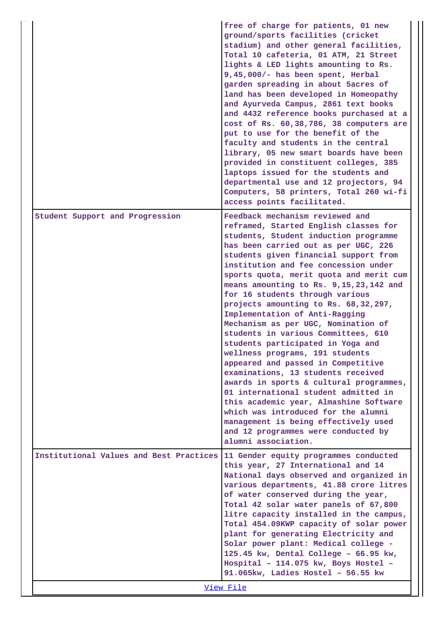|                                         | free of charge for patients, 01 new<br>ground/sports facilities (cricket<br>stadium) and other general facilities,<br>Total 10 cafeteria, 01 ATM, 21 Street<br>lights & LED lights amounting to Rs.<br>9,45,000/- has been spent, Herbal<br>garden spreading in about 5acres of<br>land has been developed in Homeopathy<br>and Ayurveda Campus, 2861 text books<br>and 4432 reference books purchased at a<br>cost of Rs. 60,38,786, 38 computers are<br>put to use for the benefit of the<br>faculty and students in the central<br>library, 05 new smart boards have been<br>provided in constituent colleges, 385<br>laptops issued for the students and<br>departmental use and 12 projectors, 94<br>Computers, 58 printers, Total 260 wi-fi<br>access points facilitated.                                                                                                                                                                               |
|-----------------------------------------|---------------------------------------------------------------------------------------------------------------------------------------------------------------------------------------------------------------------------------------------------------------------------------------------------------------------------------------------------------------------------------------------------------------------------------------------------------------------------------------------------------------------------------------------------------------------------------------------------------------------------------------------------------------------------------------------------------------------------------------------------------------------------------------------------------------------------------------------------------------------------------------------------------------------------------------------------------------|
| Student Support and Progression         | Feedback mechanism reviewed and<br>reframed, Started English classes for<br>students, Student induction programme<br>has been carried out as per UGC, 226<br>students given financial support from<br>institution and fee concession under<br>sports quota, merit quota and merit cum<br>means amounting to Rs. 9, 15, 23, 142 and<br>for 16 students through various<br>projects amounting to Rs. 68, 32, 297,<br>Implementation of Anti-Ragging<br>Mechanism as per UGC, Nomination of<br>students in various Committees, 610<br>students participated in Yoga and<br>wellness programs, 191 students<br>appeared and passed in Competitive<br>examinations, 13 students received<br>awards in sports & cultural programmes,<br>01 international student admitted in<br>this academic year, Almashine Software<br>which was introduced for the alumni<br>management is being effectively used<br>and 12 programmes were conducted by<br>alumni association. |
| Institutional Values and Best Practices | 11 Gender equity programmes conducted<br>this year, 27 International and 14<br>National days observed and organized in<br>various departments, 41.88 crore litres<br>of water conserved during the year,<br>Total 42 solar water panels of 67,800<br>litre capacity installed in the campus,<br>Total 454.09KWP capacity of solar power<br>plant for generating Electricity and<br>Solar power plant: Medical college -<br>125.45 kw, Dental College - 66.95 kw,<br>Hospital - 114.075 kw, Boys Hostel -<br>91.065kw, Ladies Hostel - 56.55 kw<br>View File                                                                                                                                                                                                                                                                                                                                                                                                   |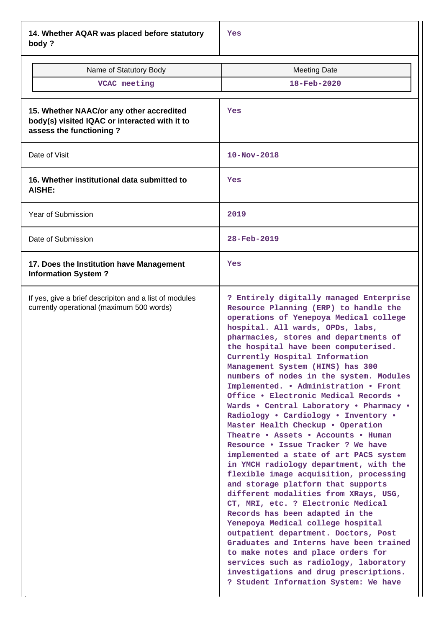**14. Whether AQAR was placed before statutory body ?**

| Name of Statutory Body                                                                                               | <b>Meeting Date</b>                                                                                                                                                                                                                                                                                                                                                                                                                                                                                                                                                                                                                                                                                                                                                                                                                                                                                                                                                                                                                                                                                                                                                                                                                      |  |  |
|----------------------------------------------------------------------------------------------------------------------|------------------------------------------------------------------------------------------------------------------------------------------------------------------------------------------------------------------------------------------------------------------------------------------------------------------------------------------------------------------------------------------------------------------------------------------------------------------------------------------------------------------------------------------------------------------------------------------------------------------------------------------------------------------------------------------------------------------------------------------------------------------------------------------------------------------------------------------------------------------------------------------------------------------------------------------------------------------------------------------------------------------------------------------------------------------------------------------------------------------------------------------------------------------------------------------------------------------------------------------|--|--|
| VCAC meeting                                                                                                         | $18 - \text{Feb} - 2020$                                                                                                                                                                                                                                                                                                                                                                                                                                                                                                                                                                                                                                                                                                                                                                                                                                                                                                                                                                                                                                                                                                                                                                                                                 |  |  |
|                                                                                                                      |                                                                                                                                                                                                                                                                                                                                                                                                                                                                                                                                                                                                                                                                                                                                                                                                                                                                                                                                                                                                                                                                                                                                                                                                                                          |  |  |
| 15. Whether NAAC/or any other accredited<br>body(s) visited IQAC or interacted with it to<br>assess the functioning? | Yes                                                                                                                                                                                                                                                                                                                                                                                                                                                                                                                                                                                                                                                                                                                                                                                                                                                                                                                                                                                                                                                                                                                                                                                                                                      |  |  |
| Date of Visit                                                                                                        | 10-Nov-2018                                                                                                                                                                                                                                                                                                                                                                                                                                                                                                                                                                                                                                                                                                                                                                                                                                                                                                                                                                                                                                                                                                                                                                                                                              |  |  |
| 16. Whether institutional data submitted to<br><b>AISHE:</b>                                                         | Yes                                                                                                                                                                                                                                                                                                                                                                                                                                                                                                                                                                                                                                                                                                                                                                                                                                                                                                                                                                                                                                                                                                                                                                                                                                      |  |  |
| <b>Year of Submission</b>                                                                                            | 2019                                                                                                                                                                                                                                                                                                                                                                                                                                                                                                                                                                                                                                                                                                                                                                                                                                                                                                                                                                                                                                                                                                                                                                                                                                     |  |  |
| Date of Submission                                                                                                   | 28-Feb-2019                                                                                                                                                                                                                                                                                                                                                                                                                                                                                                                                                                                                                                                                                                                                                                                                                                                                                                                                                                                                                                                                                                                                                                                                                              |  |  |
| 17. Does the Institution have Management<br><b>Information System?</b>                                               | Yes                                                                                                                                                                                                                                                                                                                                                                                                                                                                                                                                                                                                                                                                                                                                                                                                                                                                                                                                                                                                                                                                                                                                                                                                                                      |  |  |
| If yes, give a brief descripiton and a list of modules<br>currently operational (maximum 500 words)                  | ? Entirely digitally managed Enterprise<br>Resource Planning (ERP) to handle the<br>operations of Yenepoya Medical college<br>hospital. All wards, OPDs, labs,<br>pharmacies, stores and departments of<br>the hospital have been computerised.<br>Currently Hospital Information<br>Management System (HIMS) has 300<br>numbers of nodes in the system. Modules<br>Implemented. . Administration . Front<br>Office . Electronic Medical Records .<br>Wards . Central Laboratory . Pharmacy .<br>Radiology . Cardiology . Inventory .<br>Master Health Checkup . Operation<br>Theatre . Assets . Accounts . Human<br>Resource . Issue Tracker ? We have<br>implemented a state of art PACS system<br>in YMCH radiology department, with the<br>flexible image acquisition, processing<br>and storage platform that supports<br>different modalities from XRays, USG,<br>CT, MRI, etc. ? Electronic Medical<br>Records has been adapted in the<br>Yenepoya Medical college hospital<br>outpatient department. Doctors, Post<br>Graduates and Interns have been trained<br>to make notes and place orders for<br>services such as radiology, laboratory<br>investigations and drug prescriptions.<br>? Student Information System: We have |  |  |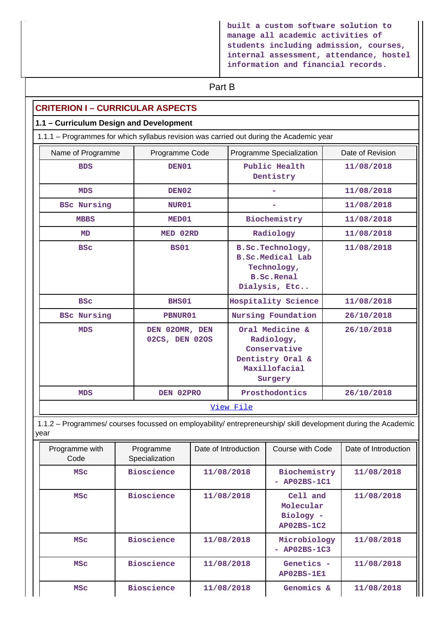**built a custom software solution to manage all academic activities of students including admission, courses, internal assessment, attendance, hostel information and financial records.**

# **Part B**

### **CRITERION I – CURRICULAR ASPECTS**

#### **1.1 – Curriculum Design and Development**

1.1.1 – Programmes for which syllabus revision was carried out during the Academic year

| Name of Programme  | Programme Code                   | Programme Specialization                                                                      | Date of Revision |
|--------------------|----------------------------------|-----------------------------------------------------------------------------------------------|------------------|
| <b>BDS</b>         | DEN01                            | Public Health<br>Dentistry                                                                    | 11/08/2018       |
| <b>MDS</b>         | DEN02                            |                                                                                               | 11/08/2018       |
| <b>BSC Nursing</b> | NUR01                            |                                                                                               | 11/08/2018       |
| <b>MBBS</b>        | MED01                            | Biochemistry                                                                                  | 11/08/2018       |
| <b>MD</b>          | MED 02RD                         | Radiology                                                                                     | 11/08/2018       |
| <b>BSC</b>         | <b>BS01</b>                      | B.Sc.Technology,<br>B.Sc.Medical Lab<br>Technology,<br><b>B.Sc.Renal</b><br>Dialysis, Etc     | 11/08/2018       |
| <b>BSC</b>         | BHS01                            | Hospitality Science                                                                           | 11/08/2018       |
| <b>BSC Nursing</b> | PBNUR01                          | Nursing Foundation                                                                            | 26/10/2018       |
| <b>MDS</b>         | DEN 020MR, DEN<br>02CS, DEN 02OS | Oral Medicine &<br>Radiology,<br>Conservative<br>Dentistry Oral &<br>Maxillofacial<br>Surgery | 26/10/2018       |
| <b>MDS</b>         | DEN 02PRO                        | Prosthodontics                                                                                | 26/10/2018       |
|                    |                                  | View File                                                                                     |                  |

 1.1.2 – Programmes/ courses focussed on employability/ entrepreneurship/ skill development during the Academic year

| Programme with<br>Code | Programme<br>Specialization | Date of Introduction | Course with Code                                 | Date of Introduction |
|------------------------|-----------------------------|----------------------|--------------------------------------------------|----------------------|
| <b>MSC</b>             | <b>Bioscience</b>           | 11/08/2018           | Biochemistry<br>AP02BS-1C1<br>÷                  | 11/08/2018           |
| <b>MSC</b>             | <b>Bioscience</b>           | 11/08/2018           | Cell and<br>Molecular<br>Biology -<br>AP02BS-1C2 | 11/08/2018           |
| <b>MSC</b>             | <b>Bioscience</b>           | 11/08/2018           | Microbiology<br>$AP02BS-1C3$<br>Ξ.               | 11/08/2018           |
| <b>MSC</b>             | <b>Bioscience</b>           | 11/08/2018           | Genetics -<br>$AP02BS-1E1$                       | 11/08/2018           |
| <b>MSC</b>             | <b>Bioscience</b>           | 11/08/2018           | Genomics &                                       | 11/08/2018           |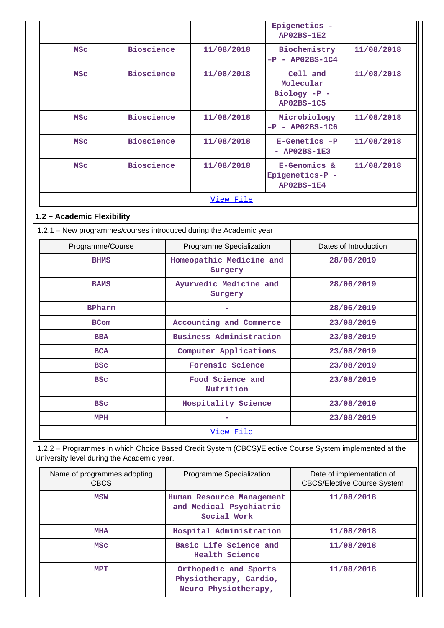|                                                                                                                                                       |                   |                                                                     |                                                                         |  | Epigenetics -<br><b>AP02BS-1E2</b>                         |                                                                 |
|-------------------------------------------------------------------------------------------------------------------------------------------------------|-------------------|---------------------------------------------------------------------|-------------------------------------------------------------------------|--|------------------------------------------------------------|-----------------------------------------------------------------|
| <b>MSC</b>                                                                                                                                            | <b>Bioscience</b> |                                                                     | 11/08/2018                                                              |  | Biochemistry<br>$-P - AP02BS-1C4$                          | 11/08/2018                                                      |
| <b>MSC</b>                                                                                                                                            | <b>Bioscience</b> |                                                                     | 11/08/2018                                                              |  | Cell and<br>Molecular<br>Biology -P -<br><b>AP02BS-1C5</b> | 11/08/2018                                                      |
| <b>MSC</b>                                                                                                                                            | <b>Bioscience</b> |                                                                     | 11/08/2018                                                              |  | Microbiology<br>$-P - AP02BS-1C6$                          | 11/08/2018                                                      |
| <b>MSC</b>                                                                                                                                            | <b>Bioscience</b> |                                                                     | 11/08/2018                                                              |  | E-Genetics -P<br>$-$ AP02BS-1E3                            | 11/08/2018                                                      |
| <b>MSC</b>                                                                                                                                            | <b>Bioscience</b> |                                                                     | 11/08/2018                                                              |  | E-Genomics &<br>Epigenetics-P -<br><b>AP02BS-1E4</b>       | 11/08/2018                                                      |
|                                                                                                                                                       |                   |                                                                     | View File                                                               |  |                                                            |                                                                 |
| 1.2 - Academic Flexibility                                                                                                                            |                   |                                                                     |                                                                         |  |                                                            |                                                                 |
| 1.2.1 - New programmes/courses introduced during the Academic year                                                                                    |                   |                                                                     |                                                                         |  |                                                            |                                                                 |
| Programme/Course                                                                                                                                      |                   |                                                                     | Programme Specialization                                                |  |                                                            | Dates of Introduction                                           |
| <b>BHMS</b>                                                                                                                                           |                   |                                                                     | Homeopathic Medicine and<br>Surgery                                     |  |                                                            | 28/06/2019                                                      |
| <b>BAMS</b>                                                                                                                                           |                   | Ayurvedic Medicine and<br>28/06/2019<br>Surgery                     |                                                                         |  |                                                            |                                                                 |
| <b>BPharm</b>                                                                                                                                         |                   |                                                                     |                                                                         |  |                                                            | 28/06/2019                                                      |
| <b>BCom</b>                                                                                                                                           |                   |                                                                     | Accounting and Commerce                                                 |  |                                                            | 23/08/2019                                                      |
| <b>BBA</b>                                                                                                                                            |                   |                                                                     | Business Administration                                                 |  |                                                            | 23/08/2019                                                      |
| <b>BCA</b>                                                                                                                                            |                   |                                                                     | Computer Applications                                                   |  |                                                            | 23/08/2019                                                      |
| <b>BSC</b>                                                                                                                                            |                   |                                                                     | Forensic Science                                                        |  |                                                            | 23/08/2019                                                      |
| <b>BSC</b>                                                                                                                                            |                   |                                                                     | Food Science and<br>Nutrition                                           |  |                                                            | 23/08/2019                                                      |
| <b>BSC</b>                                                                                                                                            |                   |                                                                     | Hospitality Science                                                     |  |                                                            | 23/08/2019                                                      |
| MPH                                                                                                                                                   |                   |                                                                     |                                                                         |  |                                                            | 23/08/2019                                                      |
|                                                                                                                                                       |                   |                                                                     | View File                                                               |  |                                                            |                                                                 |
| 1.2.2 - Programmes in which Choice Based Credit System (CBCS)/Elective Course System implemented at the<br>University level during the Academic year. |                   |                                                                     |                                                                         |  |                                                            |                                                                 |
| Name of programmes adopting<br><b>CBCS</b>                                                                                                            |                   |                                                                     | Programme Specialization                                                |  |                                                            | Date of implementation of<br><b>CBCS/Elective Course System</b> |
| MSW                                                                                                                                                   |                   | Human Resource Management<br>and Medical Psychiatric<br>Social Work |                                                                         |  | 11/08/2018                                                 |                                                                 |
| <b>MHA</b>                                                                                                                                            |                   |                                                                     | Hospital Administration                                                 |  |                                                            | 11/08/2018                                                      |
| <b>MSC</b>                                                                                                                                            |                   |                                                                     | Basic Life Science and<br><b>Health Science</b>                         |  |                                                            | 11/08/2018                                                      |
| MPT                                                                                                                                                   |                   |                                                                     | Orthopedic and Sports<br>Physiotherapy, Cardio,<br>Neuro Physiotherapy, |  |                                                            | 11/08/2018                                                      |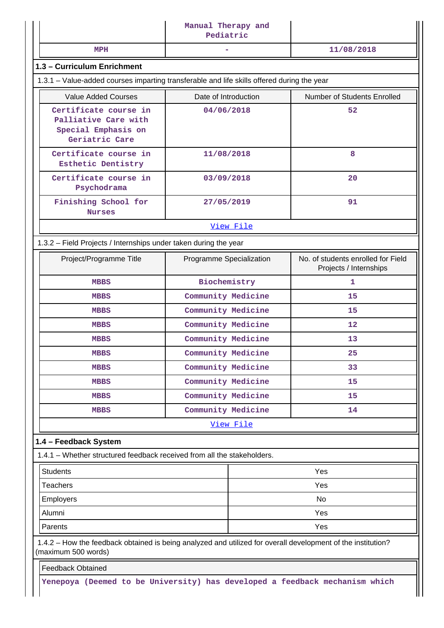| MPH<br>1.3 - Curriculum Enrichment<br>1.3.1 - Value-added courses imparting transferable and life skills offered during the year<br><b>Value Added Courses</b> |                          | 11/08/2018                                                   |
|----------------------------------------------------------------------------------------------------------------------------------------------------------------|--------------------------|--------------------------------------------------------------|
|                                                                                                                                                                |                          |                                                              |
|                                                                                                                                                                |                          |                                                              |
|                                                                                                                                                                |                          |                                                              |
|                                                                                                                                                                | Date of Introduction     | Number of Students Enrolled                                  |
| Certificate course in<br>Palliative Care with<br>Special Emphasis on<br>Geriatric Care                                                                         | 04/06/2018               | 52                                                           |
| Certificate course in<br>Esthetic Dentistry                                                                                                                    | 11/08/2018               | 8                                                            |
| Certificate course in<br>Psychodrama                                                                                                                           | 03/09/2018               | 20                                                           |
| Finishing School for<br><b>Nurses</b>                                                                                                                          | 27/05/2019               | 91                                                           |
|                                                                                                                                                                | View File                |                                                              |
| 1.3.2 - Field Projects / Internships under taken during the year                                                                                               |                          |                                                              |
| Project/Programme Title                                                                                                                                        | Programme Specialization | No. of students enrolled for Field<br>Projects / Internships |
| <b>MBBS</b>                                                                                                                                                    | Biochemistry             | 1                                                            |
| <b>MBBS</b>                                                                                                                                                    | Community Medicine       | 15                                                           |
| <b>MBBS</b>                                                                                                                                                    | Community Medicine       | 15                                                           |
| <b>MBBS</b>                                                                                                                                                    | Community Medicine       | 12                                                           |
| <b>MBBS</b>                                                                                                                                                    | Community Medicine       | 13                                                           |
| <b>MBBS</b>                                                                                                                                                    | Community Medicine       | 25                                                           |
| <b>MBBS</b>                                                                                                                                                    | Community Medicine       | 33                                                           |
| <b>MBBS</b>                                                                                                                                                    | Community Medicine       | 15                                                           |
| <b>MBBS</b>                                                                                                                                                    | Community Medicine       | 15                                                           |
| <b>MBBS</b>                                                                                                                                                    | Community Medicine       | 14                                                           |
|                                                                                                                                                                | View File                |                                                              |
| 1.4 - Feedback System                                                                                                                                          |                          |                                                              |
| 1.4.1 - Whether structured feedback received from all the stakeholders.                                                                                        |                          |                                                              |
| <b>Students</b>                                                                                                                                                |                          | Yes                                                          |
| <b>Teachers</b>                                                                                                                                                |                          | Yes                                                          |
| <b>Employers</b>                                                                                                                                               |                          | <b>No</b>                                                    |
| Alumni                                                                                                                                                         |                          | Yes                                                          |
| Parents                                                                                                                                                        |                          | Yes                                                          |
| 1.4.2 - How the feedback obtained is being analyzed and utilized for overall development of the institution?<br>(maximum 500 words)                            |                          |                                                              |
| <b>Feedback Obtained</b>                                                                                                                                       |                          |                                                              |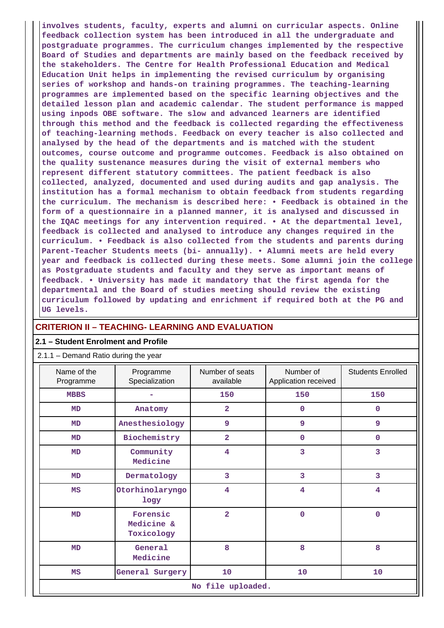**involves students, faculty, experts and alumni on curricular aspects. Online feedback collection system has been introduced in all the undergraduate and postgraduate programmes. The curriculum changes implemented by the respective Board of Studies and departments are mainly based on the feedback received by the stakeholders. The Centre for Health Professional Education and Medical Education Unit helps in implementing the revised curriculum by organising series of workshop and hands-on training programmes. The teaching-learning programmes are implemented based on the specific learning objectives and the detailed lesson plan and academic calendar. The student performance is mapped using inpods OBE software. The slow and advanced learners are identified through this method and the feedback is collected regarding the effectiveness of teaching-learning methods. Feedback on every teacher is also collected and analysed by the head of the departments and is matched with the student outcomes, course outcome and programme outcomes. Feedback is also obtained on the quality sustenance measures during the visit of external members who represent different statutory committees. The patient feedback is also collected, analyzed, documented and used during audits and gap analysis. The institution has a formal mechanism to obtain feedback from students regarding the curriculum. The mechanism is described here: • Feedback is obtained in the form of a questionnaire in a planned manner, it is analysed and discussed in the IQAC meetings for any intervention required. • At the departmental level, feedback is collected and analysed to introduce any changes required in the curriculum. • Feedback is also collected from the students and parents during Parent-Teacher Students meets (bi- annually). • Alumni meets are held every year and feedback is collected during these meets. Some alumni join the college as Postgraduate students and faculty and they serve as important means of feedback. • University has made it mandatory that the first agenda for the departmental and the Board of studies meeting should review the existing curriculum followed by updating and enrichment if required both at the PG and UG levels.**

### **CRITERION II – TEACHING- LEARNING AND EVALUATION**

#### **2.1 – Student Enrolment and Profile**

#### Name of the Programme Programme Specialization Number of seats available Number of Application received Students Enrolled **MBBS - 150 150 150 MD Anatomy 2 0 0 MD Anesthesiology 9 9 9 MD Biochemistry 2 0 0 MD Community Medicine 4 3 3 MD Dermatology 3 3 3 MS Otorhinolaryngo logy 4 4 4 MD Forensic Medicine & Toxicology 2 0 0 MD General Medicine 8 8 8 MS General Surgery 10 10 10 No file uploaded.**

2.1.1 – Demand Ratio during the year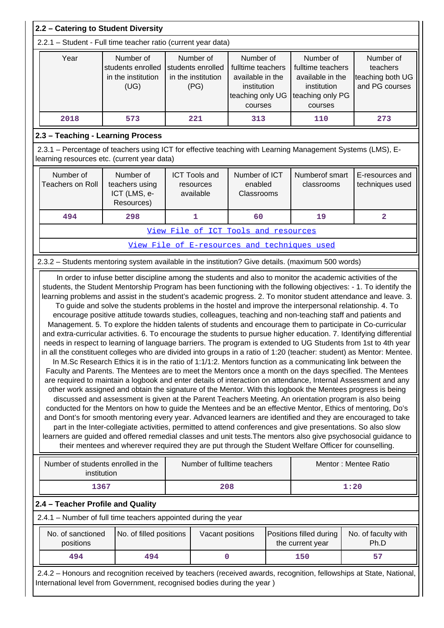|                                                                                                                                                                                                                                                                                                                                                                                                                                                                                                                                                                                                                                                                                                                                                                                                                                                                                                                                                                                                                                                                                                                                                                                                                                                                                                                                                                                                                                                                                                                                                                                                                                                                                                                                                                                                                                                           | 2.2 - Catering to Student Diversity                                                                                                                                                            |                                                              |                                                                                                  |  |                                                                                                  |                                                             |  |
|-----------------------------------------------------------------------------------------------------------------------------------------------------------------------------------------------------------------------------------------------------------------------------------------------------------------------------------------------------------------------------------------------------------------------------------------------------------------------------------------------------------------------------------------------------------------------------------------------------------------------------------------------------------------------------------------------------------------------------------------------------------------------------------------------------------------------------------------------------------------------------------------------------------------------------------------------------------------------------------------------------------------------------------------------------------------------------------------------------------------------------------------------------------------------------------------------------------------------------------------------------------------------------------------------------------------------------------------------------------------------------------------------------------------------------------------------------------------------------------------------------------------------------------------------------------------------------------------------------------------------------------------------------------------------------------------------------------------------------------------------------------------------------------------------------------------------------------------------------------|------------------------------------------------------------------------------------------------------------------------------------------------------------------------------------------------|--------------------------------------------------------------|--------------------------------------------------------------------------------------------------|--|--------------------------------------------------------------------------------------------------|-------------------------------------------------------------|--|
|                                                                                                                                                                                                                                                                                                                                                                                                                                                                                                                                                                                                                                                                                                                                                                                                                                                                                                                                                                                                                                                                                                                                                                                                                                                                                                                                                                                                                                                                                                                                                                                                                                                                                                                                                                                                                                                           | 2.2.1 - Student - Full time teacher ratio (current year data)                                                                                                                                  |                                                              |                                                                                                  |  |                                                                                                  |                                                             |  |
| Year                                                                                                                                                                                                                                                                                                                                                                                                                                                                                                                                                                                                                                                                                                                                                                                                                                                                                                                                                                                                                                                                                                                                                                                                                                                                                                                                                                                                                                                                                                                                                                                                                                                                                                                                                                                                                                                      | Number of<br>students enrolled<br>in the institution<br>(UG)                                                                                                                                   | Number of<br>students enrolled<br>in the institution<br>(PG) | Number of<br>fulltime teachers<br>available in the<br>institution<br>teaching only UG<br>courses |  | Number of<br>fulltime teachers<br>available in the<br>institution<br>teaching only PG<br>courses | Number of<br>teachers<br>teaching both UG<br>and PG courses |  |
| 2018                                                                                                                                                                                                                                                                                                                                                                                                                                                                                                                                                                                                                                                                                                                                                                                                                                                                                                                                                                                                                                                                                                                                                                                                                                                                                                                                                                                                                                                                                                                                                                                                                                                                                                                                                                                                                                                      | 573                                                                                                                                                                                            | 221                                                          | 313                                                                                              |  | 110                                                                                              | 273                                                         |  |
|                                                                                                                                                                                                                                                                                                                                                                                                                                                                                                                                                                                                                                                                                                                                                                                                                                                                                                                                                                                                                                                                                                                                                                                                                                                                                                                                                                                                                                                                                                                                                                                                                                                                                                                                                                                                                                                           | 2.3 - Teaching - Learning Process                                                                                                                                                              |                                                              |                                                                                                  |  |                                                                                                  |                                                             |  |
|                                                                                                                                                                                                                                                                                                                                                                                                                                                                                                                                                                                                                                                                                                                                                                                                                                                                                                                                                                                                                                                                                                                                                                                                                                                                                                                                                                                                                                                                                                                                                                                                                                                                                                                                                                                                                                                           | 2.3.1 - Percentage of teachers using ICT for effective teaching with Learning Management Systems (LMS), E-<br>learning resources etc. (current year data)                                      |                                                              |                                                                                                  |  |                                                                                                  |                                                             |  |
| Number of<br><b>Teachers on Roll</b>                                                                                                                                                                                                                                                                                                                                                                                                                                                                                                                                                                                                                                                                                                                                                                                                                                                                                                                                                                                                                                                                                                                                                                                                                                                                                                                                                                                                                                                                                                                                                                                                                                                                                                                                                                                                                      | Number of<br>teachers using<br>ICT (LMS, e-<br>Resources)                                                                                                                                      | <b>ICT Tools and</b><br>resources<br>available               | Number of ICT<br>enabled<br>Classrooms                                                           |  | Numberof smart<br>classrooms                                                                     | E-resources and<br>techniques used                          |  |
| 494                                                                                                                                                                                                                                                                                                                                                                                                                                                                                                                                                                                                                                                                                                                                                                                                                                                                                                                                                                                                                                                                                                                                                                                                                                                                                                                                                                                                                                                                                                                                                                                                                                                                                                                                                                                                                                                       | 298                                                                                                                                                                                            | 1                                                            | 60                                                                                               |  | 19                                                                                               | $\overline{\mathbf{2}}$                                     |  |
|                                                                                                                                                                                                                                                                                                                                                                                                                                                                                                                                                                                                                                                                                                                                                                                                                                                                                                                                                                                                                                                                                                                                                                                                                                                                                                                                                                                                                                                                                                                                                                                                                                                                                                                                                                                                                                                           |                                                                                                                                                                                                | View File of ICT Tools and resources                         |                                                                                                  |  |                                                                                                  |                                                             |  |
|                                                                                                                                                                                                                                                                                                                                                                                                                                                                                                                                                                                                                                                                                                                                                                                                                                                                                                                                                                                                                                                                                                                                                                                                                                                                                                                                                                                                                                                                                                                                                                                                                                                                                                                                                                                                                                                           |                                                                                                                                                                                                | View File of E-resources and techniques used                 |                                                                                                  |  |                                                                                                  |                                                             |  |
|                                                                                                                                                                                                                                                                                                                                                                                                                                                                                                                                                                                                                                                                                                                                                                                                                                                                                                                                                                                                                                                                                                                                                                                                                                                                                                                                                                                                                                                                                                                                                                                                                                                                                                                                                                                                                                                           | 2.3.2 - Students mentoring system available in the institution? Give details. (maximum 500 words)                                                                                              |                                                              |                                                                                                  |  |                                                                                                  |                                                             |  |
| To guide and solve the students problems in the hostel and improve the interpersonal relationship. 4. To<br>encourage positive attitude towards studies, colleagues, teaching and non-teaching staff and patients and<br>Management. 5. To explore the hidden talents of students and encourage them to participate in Co-curricular<br>and extra-curricular activities. 6. To encourage the students to pursue higher education. 7. Identifying differential<br>needs in respect to learning of language barriers. The program is extended to UG Students from 1st to 4th year<br>in all the constituent colleges who are divided into groups in a ratio of 1:20 (teacher: student) as Mentor: Mentee.<br>In M.Sc Research Ethics it is in the ratio of 1:1/1:2. Mentors function as a communicating link between the<br>Faculty and Parents. The Mentees are to meet the Mentors once a month on the days specified. The Mentees<br>are required to maintain a logbook and enter details of interaction on attendance, Internal Assessment and any<br>other work assigned and obtain the signature of the Mentor. With this logbook the Mentees progress is being<br>discussed and assessment is given at the Parent Teachers Meeting. An orientation program is also being<br>conducted for the Mentors on how to guide the Mentees and be an effective Mentor, Ethics of mentoring, Do's<br>and Dont's for smooth mentoring every year. Advanced learners are identified and they are encouraged to take<br>part in the Inter-collegiate activities, permitted to attend conferences and give presentations. So also slow<br>learners are guided and offered remedial classes and unit tests. The mentors also give psychosocial guidance to<br>their mentees and wherever required they are put through the Student Welfare Officer for counselling. |                                                                                                                                                                                                |                                                              |                                                                                                  |  |                                                                                                  |                                                             |  |
|                                                                                                                                                                                                                                                                                                                                                                                                                                                                                                                                                                                                                                                                                                                                                                                                                                                                                                                                                                                                                                                                                                                                                                                                                                                                                                                                                                                                                                                                                                                                                                                                                                                                                                                                                                                                                                                           | Number of students enrolled in the<br>institution                                                                                                                                              | Number of fulltime teachers                                  |                                                                                                  |  |                                                                                                  | Mentor: Mentee Ratio                                        |  |
|                                                                                                                                                                                                                                                                                                                                                                                                                                                                                                                                                                                                                                                                                                                                                                                                                                                                                                                                                                                                                                                                                                                                                                                                                                                                                                                                                                                                                                                                                                                                                                                                                                                                                                                                                                                                                                                           | 1367                                                                                                                                                                                           |                                                              | 208                                                                                              |  |                                                                                                  | 1:20                                                        |  |
| 2.4 - Teacher Profile and Quality<br>2.4.1 - Number of full time teachers appointed during the year                                                                                                                                                                                                                                                                                                                                                                                                                                                                                                                                                                                                                                                                                                                                                                                                                                                                                                                                                                                                                                                                                                                                                                                                                                                                                                                                                                                                                                                                                                                                                                                                                                                                                                                                                       |                                                                                                                                                                                                |                                                              |                                                                                                  |  |                                                                                                  |                                                             |  |
| No. of sanctioned<br>positions                                                                                                                                                                                                                                                                                                                                                                                                                                                                                                                                                                                                                                                                                                                                                                                                                                                                                                                                                                                                                                                                                                                                                                                                                                                                                                                                                                                                                                                                                                                                                                                                                                                                                                                                                                                                                            | No. of filled positions                                                                                                                                                                        |                                                              | Vacant positions                                                                                 |  | Positions filled during<br>the current year                                                      | No. of faculty with<br>Ph.D                                 |  |
| 494                                                                                                                                                                                                                                                                                                                                                                                                                                                                                                                                                                                                                                                                                                                                                                                                                                                                                                                                                                                                                                                                                                                                                                                                                                                                                                                                                                                                                                                                                                                                                                                                                                                                                                                                                                                                                                                       | 494                                                                                                                                                                                            |                                                              | 0                                                                                                |  | 150                                                                                              | 57                                                          |  |
|                                                                                                                                                                                                                                                                                                                                                                                                                                                                                                                                                                                                                                                                                                                                                                                                                                                                                                                                                                                                                                                                                                                                                                                                                                                                                                                                                                                                                                                                                                                                                                                                                                                                                                                                                                                                                                                           | 2.4.2 - Honours and recognition received by teachers (received awards, recognition, fellowships at State, National,<br>International level from Government, recognised bodies during the year) |                                                              |                                                                                                  |  |                                                                                                  |                                                             |  |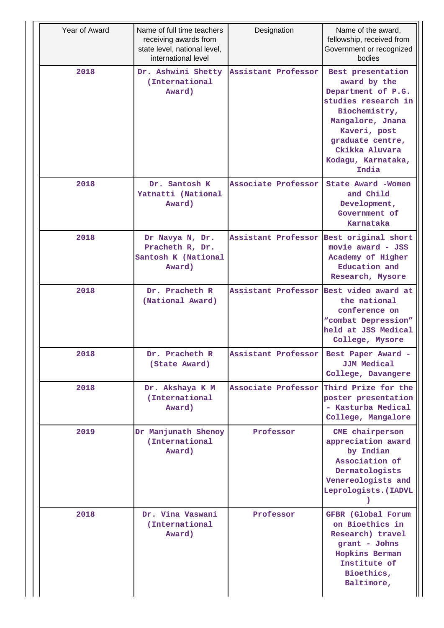| Year of Award | Name of full time teachers<br>receiving awards from<br>state level, national level,<br>international level | Designation                              | Name of the award,<br>fellowship, received from<br>Government or recognized<br>bodies                                                                                                                    |
|---------------|------------------------------------------------------------------------------------------------------------|------------------------------------------|----------------------------------------------------------------------------------------------------------------------------------------------------------------------------------------------------------|
| 2018          | Dr. Ashwini Shetty<br>(International<br>Award)                                                             | Assistant Professor                      | Best presentation<br>award by the<br>Department of P.G.<br>studies research in<br>Biochemistry,<br>Mangalore, Jnana<br>Kaveri, post<br>graduate centre,<br>Ckikka Aluvara<br>Kodagu, Karnataka,<br>India |
| 2018          | Dr. Santosh K<br>Yatnatti (National<br>Award)                                                              | Associate Professor                      | State Award -Women<br>and Child<br>Development,<br>Government of<br>Karnataka                                                                                                                            |
| 2018          | Dr Navya N, Dr.<br>Pracheth R, Dr.<br>Santosh K (National<br>Award)                                        | Assistant Professor                      | Best original short<br>movie award - JSS<br>Academy of Higher<br>Education and<br>Research, Mysore                                                                                                       |
| 2018          | Dr. Pracheth R<br>(National Award)                                                                         | Assistant Professor                      | Best video award at<br>the national<br>conference on<br>"combat Depression"<br>held at JSS Medical<br>College, Mysore                                                                                    |
| 2018          | Dr. Pracheth R<br>(State Award)                                                                            | Assistant Professor   Best Paper Award - | JJM Medical<br>College, Davangere                                                                                                                                                                        |
| 2018          | Dr. Akshaya K M<br>(International<br>Award)                                                                | Associate Professor Third Prize for the  | poster presentation<br>- Kasturba Medical<br>College, Mangalore                                                                                                                                          |
| 2019          | Dr Manjunath Shenoy<br>(International<br>Award)                                                            | Professor                                | CME chairperson<br>appreciation award<br>by Indian<br>Association of<br>Dermatologists<br>Venereologists and<br>Leprologists. (IADVL                                                                     |
| 2018          | Dr. Vina Vaswani<br>(International<br>Award)                                                               | Professor                                | GFBR (Global Forum<br>on Bioethics in<br>Research) travel<br>grant - Johns<br>Hopkins Berman<br>Institute of<br>Bioethics,<br>Baltimore,                                                                 |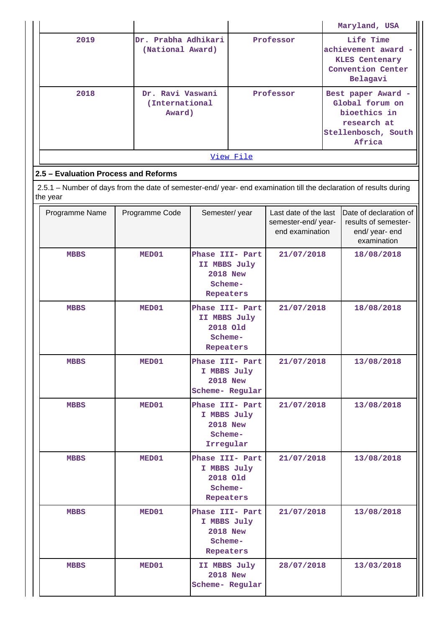|           |                                              |           | Maryland, USA                                                                                         |  |  |  |  |
|-----------|----------------------------------------------|-----------|-------------------------------------------------------------------------------------------------------|--|--|--|--|
| 2019      | Dr. Prabha Adhikari<br>(National Award)      | Professor | Life Time<br>achievement award -<br><b>KLES Centenary</b><br>Convention Center<br>Belagavi            |  |  |  |  |
| 2018      | Dr. Ravi Vaswani<br>(International<br>Award) | Professor | Best paper Award -<br>Global forum on<br>bioethics in<br>research at<br>Stellenbosch, South<br>Africa |  |  |  |  |
| View File |                                              |           |                                                                                                       |  |  |  |  |

## **2.5 – Evaluation Process and Reforms**

 2.5.1 – Number of days from the date of semester-end/ year- end examination till the declaration of results during the year

| Programme Name | Programme Code | Semester/year                                                              | Last date of the last<br>semester-end/year-<br>end examination | Date of declaration of<br>results of semester-<br>end/ year- end<br>examination |
|----------------|----------------|----------------------------------------------------------------------------|----------------------------------------------------------------|---------------------------------------------------------------------------------|
| <b>MBBS</b>    | MED01          | Phase III- Part<br>II MBBS July<br><b>2018 New</b><br>Scheme-<br>Repeaters | 21/07/2018                                                     | 18/08/2018                                                                      |
| <b>MBBS</b>    | MED01          | Phase III- Part<br>II MBBS July<br>2018 Old<br>Scheme-<br>Repeaters        | 21/07/2018                                                     | 18/08/2018                                                                      |
| <b>MBBS</b>    | MED01          | Phase III- Part<br>I MBBS July<br><b>2018 New</b><br>Scheme- Regular       | 21/07/2018                                                     | 13/08/2018                                                                      |
| <b>MBBS</b>    | MED01          | Phase III- Part<br>I MBBS July<br><b>2018 New</b><br>Scheme-<br>Irregular  | 21/07/2018                                                     | 13/08/2018                                                                      |
| <b>MBBS</b>    | MED01          | Phase III- Part<br>I MBBS July<br>2018 Old<br>Scheme-<br>Repeaters         | 21/07/2018                                                     | 13/08/2018                                                                      |
| <b>MBBS</b>    | MED01          | Phase III- Part<br>I MBBS July<br><b>2018 New</b><br>Scheme-<br>Repeaters  | 21/07/2018                                                     | 13/08/2018                                                                      |
| <b>MBBS</b>    | MED01          | II MBBS July<br><b>2018 New</b><br>Scheme- Regular                         | 28/07/2018                                                     | 13/03/2018                                                                      |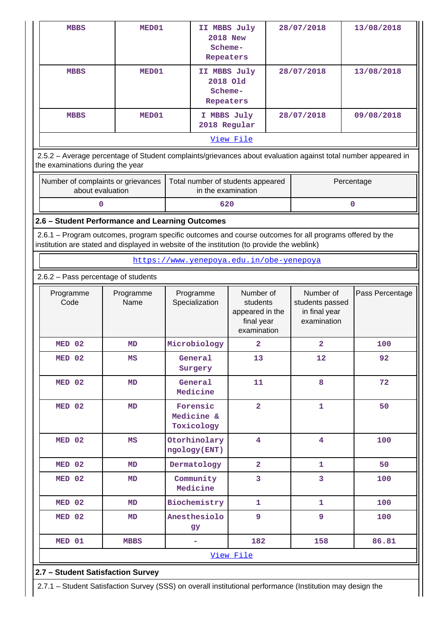| <b>MBBS</b>                                                                                 |                  | MED01                              |                                                  | II MBBS July<br><b>2018 New</b><br>Scheme-<br>Repeaters |                                                                       |            | 28/07/2018                                                                                              | 13/08/2018                                                                                                    |
|---------------------------------------------------------------------------------------------|------------------|------------------------------------|--------------------------------------------------|---------------------------------------------------------|-----------------------------------------------------------------------|------------|---------------------------------------------------------------------------------------------------------|---------------------------------------------------------------------------------------------------------------|
| <b>MBBS</b>                                                                                 |                  | MED01                              | II MBBS July<br>2018 Old<br>Scheme-<br>Repeaters |                                                         |                                                                       | 28/07/2018 |                                                                                                         | 13/08/2018                                                                                                    |
| <b>MBBS</b>                                                                                 |                  | MED01                              |                                                  | I MBBS July<br>2018 Regular                             |                                                                       |            | 28/07/2018                                                                                              | 09/08/2018                                                                                                    |
|                                                                                             |                  |                                    |                                                  | View File                                               |                                                                       |            |                                                                                                         |                                                                                                               |
| the examinations during the year                                                            |                  |                                    |                                                  |                                                         |                                                                       |            |                                                                                                         | 2.5.2 - Average percentage of Student complaints/grievances about evaluation against total number appeared in |
|                                                                                             | about evaluation | Number of complaints or grievances | Total number of students appeared                | in the examination                                      |                                                                       |            |                                                                                                         | Percentage                                                                                                    |
|                                                                                             | 0                |                                    |                                                  | 620                                                     |                                                                       |            |                                                                                                         | $\mathbf 0$                                                                                                   |
| 2.6 - Student Performance and Learning Outcomes                                             |                  |                                    |                                                  |                                                         |                                                                       |            |                                                                                                         |                                                                                                               |
| institution are stated and displayed in website of the institution (to provide the weblink) |                  |                                    |                                                  |                                                         |                                                                       |            | 2.6.1 – Program outcomes, program specific outcomes and course outcomes for all programs offered by the |                                                                                                               |
|                                                                                             |                  |                                    | https://www.yenepoya.edu.in/obe-yenepoya         |                                                         |                                                                       |            |                                                                                                         |                                                                                                               |
| 2.6.2 - Pass percentage of students                                                         |                  |                                    |                                                  |                                                         |                                                                       |            |                                                                                                         |                                                                                                               |
| Programme<br>Code                                                                           |                  | Programme<br>Name                  | Programme<br>Specialization                      |                                                         | Number of<br>students<br>appeared in the<br>final year<br>examination |            | Number of<br>students passed<br>in final year<br>examination                                            | Pass Percentage                                                                                               |
| MED 02                                                                                      |                  | MD                                 | Microbiology                                     |                                                         | $\overline{2}$                                                        |            | $\mathbf{2}$                                                                                            | 100                                                                                                           |
| MED 02                                                                                      |                  | MS                                 | General<br>Surgery                               |                                                         | 13                                                                    |            | 12                                                                                                      | 92                                                                                                            |
| MED 02                                                                                      |                  | <b>MD</b>                          | General<br>Medicine                              |                                                         | 11                                                                    |            | 8                                                                                                       | 72                                                                                                            |
| MED 02                                                                                      |                  | MD                                 | Forensic<br>Medicine &<br>Toxicology             |                                                         | $\overline{2}$                                                        |            | $\mathbf{1}$                                                                                            | 50                                                                                                            |
| MED 02                                                                                      |                  | MS                                 | Otorhinolary<br>ngology(ENT)                     |                                                         | $\overline{\mathbf{4}}$                                               |            | $\overline{\mathbf{4}}$                                                                                 | 100                                                                                                           |
| MED 02                                                                                      |                  | MD                                 | Dermatology                                      |                                                         | $\overline{2}$                                                        |            | $\mathbf{1}$                                                                                            | 50                                                                                                            |
| MED 02                                                                                      |                  | MD                                 | Community<br>Medicine                            |                                                         | 3                                                                     |            | 3                                                                                                       | 100                                                                                                           |
| MED 02                                                                                      |                  | MD                                 | Biochemistry                                     |                                                         | 1                                                                     |            | 1                                                                                                       | 100                                                                                                           |
| MED 02                                                                                      |                  | MD                                 | Anesthesiolo<br>gy                               |                                                         | 9                                                                     |            | 9                                                                                                       | 100                                                                                                           |
| MED 01<br>182<br>158<br>86.81<br><b>MBBS</b><br>۰                                           |                  |                                    |                                                  |                                                         |                                                                       |            |                                                                                                         |                                                                                                               |
|                                                                                             |                  |                                    |                                                  |                                                         |                                                                       |            |                                                                                                         |                                                                                                               |
|                                                                                             |                  |                                    |                                                  | View File                                               |                                                                       |            |                                                                                                         |                                                                                                               |
| 2.7 - Student Satisfaction Survey                                                           |                  |                                    |                                                  |                                                         |                                                                       |            |                                                                                                         |                                                                                                               |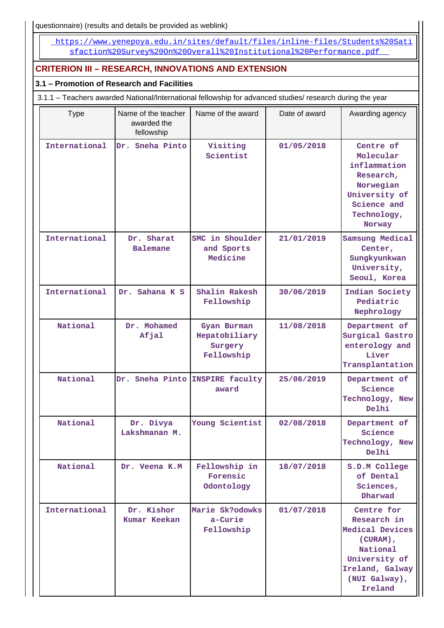questionnaire) (results and details be provided as weblink)

 [https://www.yenepoya.edu.in/sites/default/files/inline-files/Students%20Sati](https://www.yenepoya.edu.in/sites/default/files/inline-files/Students%20Satisfaction%20Survey%20On%20Overall%20Institutional%20Performance.pdf) [sfaction%20Survey%20On%20Overall%20Institutional%20Performance.pdf](https://www.yenepoya.edu.in/sites/default/files/inline-files/Students%20Satisfaction%20Survey%20On%20Overall%20Institutional%20Performance.pdf) 

## **CRITERION III – RESEARCH, INNOVATIONS AND EXTENSION**

### **3.1 – Promotion of Research and Facilities**

3.1.1 – Teachers awarded National/International fellowship for advanced studies/ research during the year

| <b>Type</b>   | Name of the teacher<br>awarded the<br>fellowship | Name of the award                                     | Date of award | Awarding agency                                                                                                                      |
|---------------|--------------------------------------------------|-------------------------------------------------------|---------------|--------------------------------------------------------------------------------------------------------------------------------------|
| International | Dr. Sneha Pinto                                  | Visiting<br>Scientist                                 | 01/05/2018    | Centre of<br>Molecular<br>inflammation<br>Research,<br>Norwegian<br>University of<br>Science and<br>Technology,<br>Norway            |
| International | Dr. Sharat<br><b>Balemane</b>                    | SMC in Shoulder<br>and Sports<br>Medicine             | 21/01/2019    | Samsung Medical<br>Center,<br>Sungkyunkwan<br>University,<br>Seoul, Korea                                                            |
| International | Dr. Sahana K S                                   | Shalin Rakesh<br>Fellowship                           | 30/06/2019    | Indian Society<br>Pediatric<br>Nephrology                                                                                            |
| National      | Dr. Mohamed<br>Afjal                             | Gyan Burman<br>Hepatobiliary<br>Surgery<br>Fellowship | 11/08/2018    | Department of<br>Surgical Gastro<br>enterology and<br>Liver<br>Transplantation                                                       |
| National      | Dr. Sneha Pinto INSPIRE faculty                  | award                                                 | 25/06/2019    | Department of<br>Science<br>Technology, New<br>Delhi                                                                                 |
| National      | Dr. Divya<br>Lakshmanan M.                       | Young Scientist                                       | 02/08/2018    | Department of<br>Science<br>Technology, New<br>Delhi                                                                                 |
| National      | Dr. Veena K.M                                    | Fellowship in<br>Forensic<br>Odontology               | 18/07/2018    | S.D.M College<br>of Dental<br>Sciences,<br>Dharwad                                                                                   |
| International | Dr. Kishor<br><b>Kumar Keekan</b>                | Marie Sk?odowks<br>a-Curie<br>Fellowship              | 01/07/2018    | Centre for<br>Research in<br>Medical Devices<br>(CURAM),<br>National<br>University of<br>Ireland, Galway<br>(NUI Galway),<br>Ireland |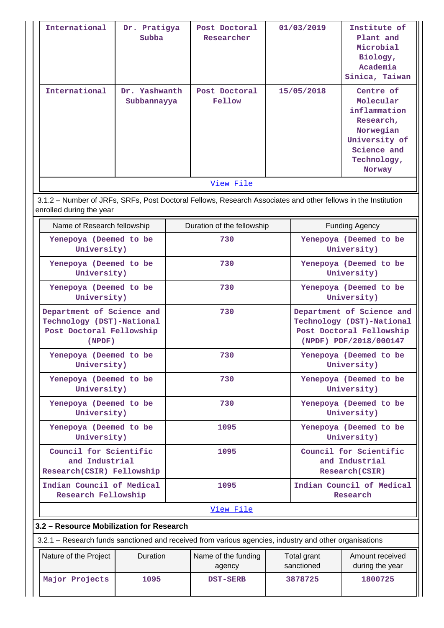|                                       | International<br>International                                                                     | Dr. Pratigya<br>Subba        |     | Post Doctoral<br>Researcher<br>Post Doctoral                                                                  |                                       | 01/03/2019                                                                                                   | Institute of<br>Plant and<br>Microbial<br>Biology,<br>Academia<br>Sinica, Taiwan<br>Centre of                |  |
|---------------------------------------|----------------------------------------------------------------------------------------------------|------------------------------|-----|---------------------------------------------------------------------------------------------------------------|---------------------------------------|--------------------------------------------------------------------------------------------------------------|--------------------------------------------------------------------------------------------------------------|--|
|                                       |                                                                                                    | Dr. Yashwanth<br>Subbannayya |     | Fellow                                                                                                        | 15/05/2018                            |                                                                                                              | Molecular<br>inflammation<br>Research,<br>Norwegian<br>University of<br>Science and<br>Technology,<br>Norway |  |
|                                       |                                                                                                    |                              |     | View File                                                                                                     |                                       |                                                                                                              |                                                                                                              |  |
|                                       | enrolled during the year                                                                           |                              |     | 3.1.2 - Number of JRFs, SRFs, Post Doctoral Fellows, Research Associates and other fellows in the Institution |                                       |                                                                                                              |                                                                                                              |  |
|                                       | Name of Research fellowship                                                                        |                              |     | Duration of the fellowship                                                                                    |                                       |                                                                                                              | <b>Funding Agency</b>                                                                                        |  |
|                                       | Yenepoya (Deemed to be<br>University)                                                              |                              |     | 730                                                                                                           |                                       |                                                                                                              | Yenepoya (Deemed to be<br>University)                                                                        |  |
|                                       | Yenepoya (Deemed to be<br>University)                                                              |                              |     | 730                                                                                                           |                                       |                                                                                                              | Yenepoya (Deemed to be<br>University)                                                                        |  |
| Yenepoya (Deemed to be<br>University) |                                                                                                    |                              | 730 |                                                                                                               |                                       | Yenepoya (Deemed to be<br>University)                                                                        |                                                                                                              |  |
|                                       | Department of Science and<br>Technology (DST)-National<br>Post Doctoral Fellowship<br>$($ NPDF $)$ |                              |     | 730                                                                                                           |                                       | Department of Science and<br>Technology (DST)-National<br>Post Doctoral Fellowship<br>(NPDF) PDF/2018/000147 |                                                                                                              |  |
|                                       | Yenepoya (Deemed to be<br>University)                                                              |                              |     | 730                                                                                                           |                                       | Yenepoya (Deemed to be<br>University)                                                                        |                                                                                                              |  |
|                                       | Yenepoya (Deemed to be<br>University)                                                              |                              | 730 |                                                                                                               | Yenepoya (Deemed to be<br>University) |                                                                                                              |                                                                                                              |  |
|                                       | Yenepoya (Deemed to be<br>University)                                                              |                              |     | 730                                                                                                           |                                       |                                                                                                              | Yenepoya (Deemed to be<br>University)                                                                        |  |
|                                       | Yenepoya (Deemed to be<br>University)                                                              |                              |     | 1095                                                                                                          |                                       |                                                                                                              | Yenepoya (Deemed to be<br>University)                                                                        |  |
|                                       | Council for Scientific<br>and Industrial<br>Research(CSIR) Fellowship                              |                              |     | 1095                                                                                                          |                                       | Council for Scientific<br>and Industrial<br>Research(CSIR)                                                   |                                                                                                              |  |
|                                       | Indian Council of Medical<br>Research Fellowship                                                   |                              |     | 1095                                                                                                          |                                       | Indian Council of Medical<br>Research                                                                        |                                                                                                              |  |
|                                       |                                                                                                    |                              |     | View File                                                                                                     |                                       |                                                                                                              |                                                                                                              |  |
|                                       | 3.2 - Resource Mobilization for Research                                                           |                              |     |                                                                                                               |                                       |                                                                                                              |                                                                                                              |  |
|                                       |                                                                                                    |                              |     | 3.2.1 – Research funds sanctioned and received from various agencies, industry and other organisations        |                                       |                                                                                                              |                                                                                                              |  |
|                                       | Nature of the Project                                                                              | Duration                     |     | Name of the funding<br>agency                                                                                 |                                       | Total grant<br>sanctioned                                                                                    | Amount received<br>during the year                                                                           |  |
|                                       | Major Projects                                                                                     | 1095                         |     | <b>DST-SERB</b>                                                                                               |                                       | 3878725                                                                                                      | 1800725                                                                                                      |  |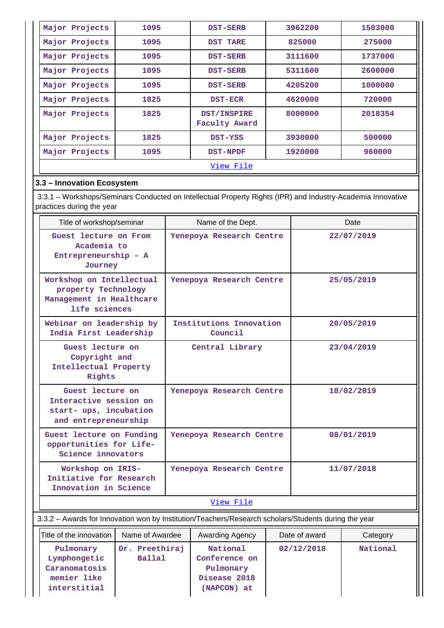| Major Projects | 1095 | <b>DST-SERB</b>              | 3962200 | 1503000 |  |  |  |  |
|----------------|------|------------------------------|---------|---------|--|--|--|--|
| Major Projects | 1095 | DST TARE                     | 825000  | 275000  |  |  |  |  |
| Major Projects | 1095 | <b>DST-SERB</b>              | 3111600 | 1737000 |  |  |  |  |
| Major Projects | 1095 | <b>DST-SERB</b>              | 5311600 | 2600000 |  |  |  |  |
| Major Projects | 1095 | <b>DST-SERB</b>              | 4205200 | 1000000 |  |  |  |  |
| Major Projects | 1825 | <b>DST-ECR</b>               | 4620000 | 720000  |  |  |  |  |
| Major Projects | 1825 | DST/INSPIRE<br>Faculty Award | 8000000 | 2018354 |  |  |  |  |
| Major Projects | 1825 | <b>DST-YSS</b>               | 3930000 | 500000  |  |  |  |  |
| Major Projects | 1095 | <b>DST-NPDF</b>              | 1920000 | 960000  |  |  |  |  |
| View File      |      |                              |         |         |  |  |  |  |

### **3.3 – Innovation Ecosystem**

 3.3.1 – Workshops/Seminars Conducted on Intellectual Property Rights (IPR) and Industry-Academia Innovative practices during the year

| Title of workshop/seminar                                                                    | Name of the Dept.                  | Date       |
|----------------------------------------------------------------------------------------------|------------------------------------|------------|
| Guest lecture on From<br>Academia to<br>Entrepreneurship - A<br>Journey                      | Yenepoya Research Centre           | 22/07/2019 |
| Workshop on Intellectual<br>property Technology<br>Management in Healthcare<br>life sciences | Yenepoya Research Centre           | 25/05/2019 |
| Webinar on leadership by<br>India First Leadership                                           | Institutions Innovation<br>Council | 20/05/2019 |
| Guest lecture on<br>Copyright and<br>Intellectual Property<br>Rights                         | Central Library                    | 23/04/2019 |
| Guest lecture on<br>Interactive session on<br>start- ups, incubation<br>and entrepreneurship | Yenepoya Research Centre           | 18/02/2019 |
| Guest lecture on Funding<br>opportunities for Life-<br>Science innovators                    | Yenepoya Research Centre           | 08/01/2019 |
| Workshop on IRIS-<br>Initiative for Research<br>Innovation in Science                        | Yenepoya Research Centre           | 11/07/2018 |
|                                                                                              | View File                          |            |

### 3.3.2 – Awards for Innovation won by Institution/Teachers/Research scholars/Students during the year

| Title of the innovation | Name of Awardee |                | Awarding Agency | Date of award | Category |
|-------------------------|-----------------|----------------|-----------------|---------------|----------|
| Pulmonary               |                 | Dr. Preethiraj | National        | 02/12/2018    | National |
| Lymphongetic            |                 | <b>Ballal</b>  | Conference on   |               |          |
| Caranomatosis           |                 |                | Pulmonary       |               |          |
| memier like             |                 |                | Disease 2018    |               |          |
| interstitial            |                 |                | (NAPCON) at     |               |          |
|                         |                 |                |                 |               |          |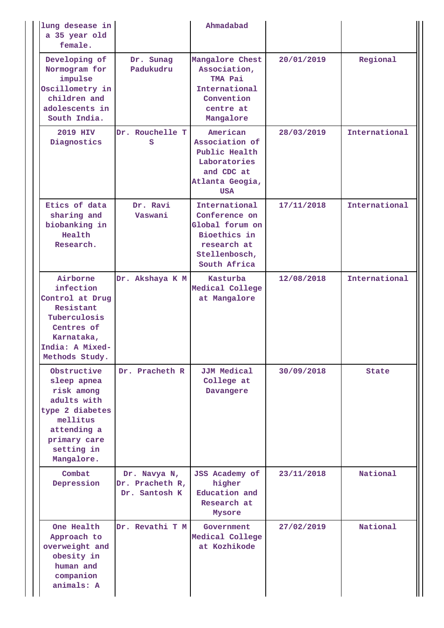| lung desease in<br>a 35 year old<br>female.                                                                                                       |                                                  | Ahmadabad                                                                                                         |            |               |
|---------------------------------------------------------------------------------------------------------------------------------------------------|--------------------------------------------------|-------------------------------------------------------------------------------------------------------------------|------------|---------------|
| Developing of<br>Normogram for<br>impulse<br>Oscillometry in<br>children and<br>adolescents in<br>South India.                                    | Dr. Sunag<br>Padukudru                           | Mangalore Chest<br>Association,<br>TMA Pai<br>International<br>Convention<br>centre at<br>Mangalore               | 20/01/2019 | Regional      |
| 2019 HIV<br>Diagnostics                                                                                                                           | Dr. Rouchelle T<br>s                             | American<br>Association of<br>Public Health<br>Laboratories<br>and CDC at<br>Atlanta Geogia,<br><b>USA</b>        | 28/03/2019 | International |
| Etics of data<br>sharing and<br>biobanking in<br>Health<br>Research.                                                                              | Dr. Ravi<br>Vaswani                              | International<br>Conference on<br>Global forum on<br>Bioethics in<br>research at<br>Stellenbosch,<br>South Africa | 17/11/2018 | International |
| Airborne<br>infection<br>Control at Drug<br>Resistant<br>Tuberculosis<br>Centres of<br>Karnataka,<br>India: A Mixed-<br>Methods Study.            | Dr. Akshaya K M                                  | Kasturba<br>Medical College<br>at Mangalore                                                                       | 12/08/2018 | International |
| Obstructive<br>sleep apnea<br>risk among<br>adults with<br>type 2 diabetes<br>mellitus<br>attending a<br>primary care<br>setting in<br>Mangalore. | Dr. Pracheth R                                   | <b>JJM Medical</b><br>College at<br>Davangere                                                                     | 30/09/2018 | State         |
| Combat<br>Depression                                                                                                                              | Dr. Navya N,<br>Dr. Pracheth R,<br>Dr. Santosh K | <b>JSS Academy of</b><br>higher<br>Education and<br>Research at<br>Mysore                                         | 23/11/2018 | National      |
| One Health<br>Approach to<br>overweight and<br>obesity in<br>human and<br>companion<br>animals: A                                                 | Dr. Revathi T M                                  | Government<br>Medical College<br>at Kozhikode                                                                     | 27/02/2019 | National      |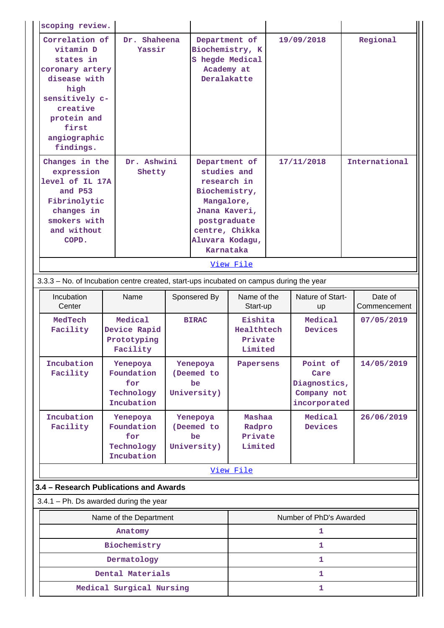| scoping review.                                                                                                                                                                                  |                                                                                         |                                                                                  |                                             |                                                                                                                                                                            |            |                                                                 |                         |
|--------------------------------------------------------------------------------------------------------------------------------------------------------------------------------------------------|-----------------------------------------------------------------------------------------|----------------------------------------------------------------------------------|---------------------------------------------|----------------------------------------------------------------------------------------------------------------------------------------------------------------------------|------------|-----------------------------------------------------------------|-------------------------|
| Correlation of<br>Dr. Shaheena<br>vitamin D<br>Yassir<br>states in<br>coronary artery<br>disease with<br>high<br>sensitively c-<br>creative<br>protein and<br>first<br>angiographic<br>findings. |                                                                                         | Department of<br>Biochemistry, K<br>S hegde Medical<br>Academy at<br>Deralakatte |                                             | 19/09/2018                                                                                                                                                                 |            | Regional                                                        |                         |
| Changes in the<br>expression<br>level of IL 17A<br>and P53<br>Fibrinolytic<br>changes in<br>smokers with<br>and without<br>COPD.                                                                 |                                                                                         | Dr. Ashwini<br>Shetty                                                            |                                             | Department of<br>studies and<br>research in<br>Biochemistry,<br>Mangalore,<br>Jnana Kaveri,<br>postgraduate<br>centre, Chikka<br>Aluvara Kodagu,<br>Karnataka<br>View File | 17/11/2018 |                                                                 | International           |
|                                                                                                                                                                                                  |                                                                                         |                                                                                  |                                             |                                                                                                                                                                            |            |                                                                 |                         |
|                                                                                                                                                                                                  | 3.3.3 - No. of Incubation centre created, start-ups incubated on campus during the year |                                                                                  |                                             |                                                                                                                                                                            |            |                                                                 |                         |
| Incubation<br>Center                                                                                                                                                                             | Name                                                                                    |                                                                                  | Sponsered By                                | Name of the<br>Start-up                                                                                                                                                    |            | Nature of Start-<br><b>up</b>                                   | Date of<br>Commencement |
| MedTech<br>Facility                                                                                                                                                                              | Medical<br>Device Rapid<br>Prototyping<br>Facility                                      |                                                                                  | <b>BIRAC</b>                                | Eishita<br>Healthtech<br>Private<br>Limited                                                                                                                                |            | Medical<br><b>Devices</b>                                       | 07/05/2019              |
| Incubation<br>Facility                                                                                                                                                                           | Yenepoya<br>Foundation<br>for<br>Technology<br>Incubation                               |                                                                                  | Yenepoya<br>(Deemed to<br>be<br>University) | Papersens                                                                                                                                                                  |            | Point of<br>Care<br>Diagnostics,<br>Company not<br>incorporated | 14/05/2019              |
| Incubation<br>Facility                                                                                                                                                                           | Yenepoya<br>Foundation<br>for<br>Technology<br>Incubation                               |                                                                                  | Yenepoya<br>(Deemed to<br>be<br>University) | Mashaa<br>Radpro<br>Private<br>Limited                                                                                                                                     |            | Medical<br>Devices                                              | 26/06/2019              |
|                                                                                                                                                                                                  |                                                                                         |                                                                                  |                                             | View File                                                                                                                                                                  |            |                                                                 |                         |
| 3.4 - Research Publications and Awards                                                                                                                                                           |                                                                                         |                                                                                  |                                             |                                                                                                                                                                            |            |                                                                 |                         |
| $3.4.1$ – Ph. Ds awarded during the year                                                                                                                                                         |                                                                                         |                                                                                  |                                             |                                                                                                                                                                            |            |                                                                 |                         |
| Name of the Department                                                                                                                                                                           |                                                                                         |                                                                                  |                                             |                                                                                                                                                                            |            | Number of PhD's Awarded                                         |                         |
| Anatomy                                                                                                                                                                                          |                                                                                         |                                                                                  |                                             |                                                                                                                                                                            |            | 1                                                               |                         |
| Biochemistry                                                                                                                                                                                     |                                                                                         |                                                                                  |                                             |                                                                                                                                                                            |            | 1                                                               |                         |
|                                                                                                                                                                                                  | Dermatology                                                                             |                                                                                  |                                             |                                                                                                                                                                            |            | 1                                                               |                         |
|                                                                                                                                                                                                  | Dental Materials                                                                        |                                                                                  |                                             |                                                                                                                                                                            |            | 1                                                               |                         |
| Medical Surgical Nursing                                                                                                                                                                         |                                                                                         |                                                                                  |                                             | 1                                                                                                                                                                          |            |                                                                 |                         |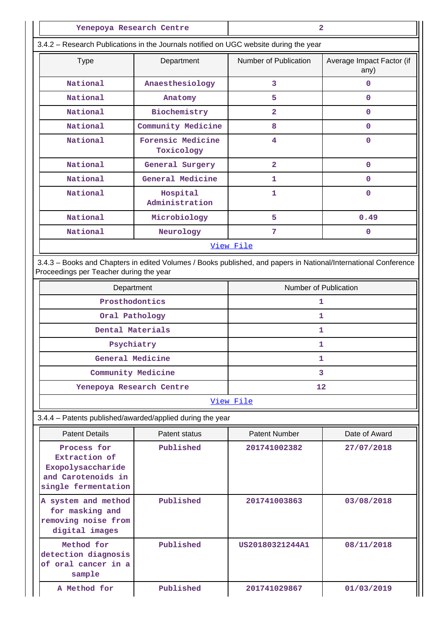| Yenepoya Research Centre                                                              |                                 |                       | 2                                 |  |
|---------------------------------------------------------------------------------------|---------------------------------|-----------------------|-----------------------------------|--|
| 3.4.2 - Research Publications in the Journals notified on UGC website during the year |                                 |                       |                                   |  |
| <b>Type</b>                                                                           | Department                      | Number of Publication | Average Impact Factor (if<br>any) |  |
| National                                                                              | Anaesthesiology                 | 3                     | 0                                 |  |
| National                                                                              | Anatomy                         | 5                     | 0                                 |  |
| National                                                                              | Biochemistry                    | $\overline{2}$        | 0                                 |  |
| National                                                                              | Community Medicine              | 8                     | 0                                 |  |
| National                                                                              | Forensic Medicine<br>Toxicology | 4                     | 0                                 |  |
| National                                                                              | General Surgery                 | $\overline{2}$        | 0                                 |  |
| National                                                                              | General Medicine                | 1                     | 0                                 |  |
| National                                                                              | Hospital<br>Administration      | 1                     | 0                                 |  |
| National                                                                              | Microbiology                    | 5                     | 0.49                              |  |
| National                                                                              | Neurology                       | 7                     | 0                                 |  |
|                                                                                       |                                 | View File             |                                   |  |

 3.4.3 – Books and Chapters in edited Volumes / Books published, and papers in National/International Conference Proceedings per Teacher during the year

| Department               | Number of Publication |  |  |  |
|--------------------------|-----------------------|--|--|--|
| Prosthodontics           |                       |  |  |  |
| Oral Pathology           |                       |  |  |  |
| Dental Materials         |                       |  |  |  |
| Psychiatry               |                       |  |  |  |
| General Medicine         |                       |  |  |  |
| Community Medicine       |                       |  |  |  |
| Yenepoya Research Centre | 12                    |  |  |  |

### [View File](https://assessmentonline.naac.gov.in/public/Postacc/Books_and_Chapters/3835_Books_and_Chapters_1583557462.xlsx)

3.4.4 – Patents published/awarded/applied during the year

| <b>Patent Details</b>                                                                          | Patent status | <b>Patent Number</b> | Date of Award |
|------------------------------------------------------------------------------------------------|---------------|----------------------|---------------|
| Process for<br>Extraction of<br>Exopolysaccharide<br>and Carotenoids in<br>single fermentation | Published     | 201741002382         | 27/07/2018    |
| A system and method<br>for masking and<br>removing noise from<br>digital images                | Published     | 201741003863         | 03/08/2018    |
| Method for<br>detection diagnosis<br>of oral cancer in a<br>sample                             | Published     | US20180321244A1      | 08/11/2018    |
| A Method for                                                                                   | Published     | 201741029867         | 01/03/2019    |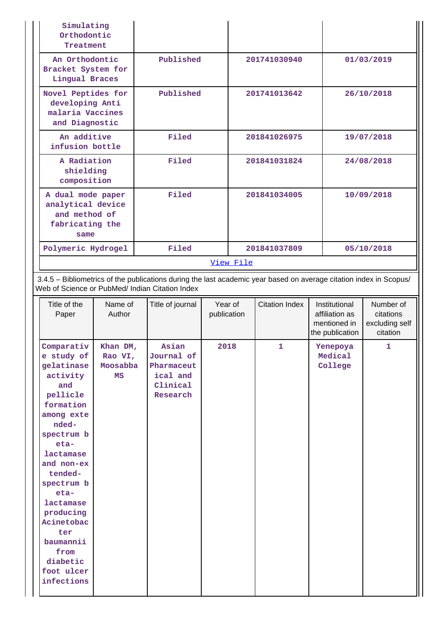| Simulating<br>Orthodontic<br>Treatment                                             |           |              |            |
|------------------------------------------------------------------------------------|-----------|--------------|------------|
| An Orthodontic<br>Bracket System for<br>Lingual Braces                             | Published | 201741030940 | 01/03/2019 |
| Novel Peptides for<br>developing Anti<br>malaria Vaccines<br>and Diagnostic        | Published | 201741013642 | 26/10/2018 |
| An additive<br>infusion bottle                                                     | Filed     | 201841026975 | 19/07/2018 |
| A Radiation<br>shielding<br>composition                                            | Filed     | 201841031824 | 24/08/2018 |
| A dual mode paper<br>analytical device<br>and method of<br>fabricating the<br>same | Filed     | 201841034005 | 10/09/2018 |
| Polymeric Hydrogel                                                                 | Filed     | 201841037809 | 05/10/2018 |
|                                                                                    |           | View File    |            |

 3.4.5 – Bibliometrics of the publications during the last academic year based on average citation index in Scopus/ Web of Science or PubMed/ Indian Citation Index

| Asian<br>Comparativ<br>2018<br>$\mathbf{1}$<br>$\mathbf{1}$<br>Khan DM,<br>Yenepoya<br>e study of<br>Journal of<br>Medical<br>Rao VI,<br>Pharmaceut<br>College<br>gelatinase<br>Moosabba<br>activity<br>ical and<br>MS<br>Clinical<br>and<br>pellicle<br>Research<br>formation<br>among exte<br>nded-<br>spectrum b<br>$eta$ -<br>lactamase<br>and non-ex<br>tended-<br>spectrum b<br>$eta$ -<br>lactamase<br>producing<br>Acinetobac<br>ter<br>baumannii<br>from<br>diabetic<br>foot ulcer<br>infections | Title of the<br>Paper | Name of<br>Author | Title of journal | Year of<br>publication | <b>Citation Index</b> | Institutional<br>affiliation as<br>mentioned in<br>the publication | Number of<br>citations<br>excluding self<br>citation |
|-----------------------------------------------------------------------------------------------------------------------------------------------------------------------------------------------------------------------------------------------------------------------------------------------------------------------------------------------------------------------------------------------------------------------------------------------------------------------------------------------------------|-----------------------|-------------------|------------------|------------------------|-----------------------|--------------------------------------------------------------------|------------------------------------------------------|
|                                                                                                                                                                                                                                                                                                                                                                                                                                                                                                           |                       |                   |                  |                        |                       |                                                                    |                                                      |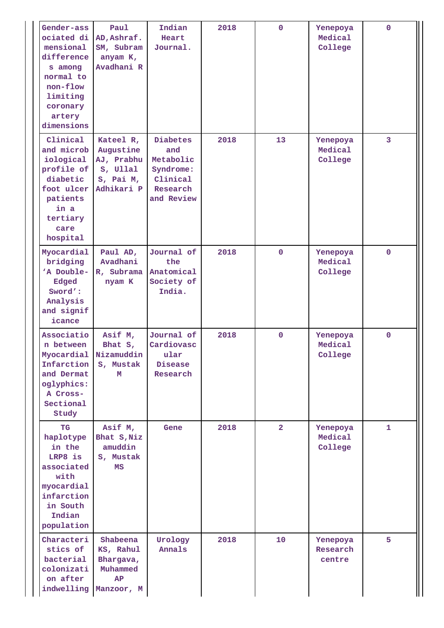| Gender-ass<br>ociated di<br>mensional<br>difference<br>s among<br>normal to<br>non-flow<br>limiting<br>coronary<br>artery<br>dimensions | Paul<br>AD, Ashraf.<br>SM, Subram<br>anyam K,<br>Avadhani R                 | Indian<br>Heart<br>Journal.                                                            | 2018 | $\mathbf 0$    | Yenepoya<br>Medical<br>College | $\mathbf{0}$   |
|-----------------------------------------------------------------------------------------------------------------------------------------|-----------------------------------------------------------------------------|----------------------------------------------------------------------------------------|------|----------------|--------------------------------|----------------|
| Clinical<br>and microb<br>iological<br>profile of<br>diabetic<br>foot ulcer<br>patients<br>in a<br>tertiary<br>care<br>hospital         | Kateel R,<br>Augustine<br>AJ, Prabhu<br>s, Ullal<br>S, Pai M,<br>Adhikari P | <b>Diabetes</b><br>and<br>Metabolic<br>Syndrome:<br>Clinical<br>Research<br>and Review | 2018 | 13             | Yenepoya<br>Medical<br>College | $\overline{3}$ |
| Myocardial<br>bridging<br>'A Double-<br>Edged<br>Sword':<br>Analysis<br>and signif<br>icance                                            | Paul AD,<br>Avadhani<br>R, Subrama<br>nyam K                                | Journal of<br>the<br>Anatomical<br>Society of<br>India.                                | 2018 | $\mathbf 0$    | Yenepoya<br>Medical<br>College | $\mathbf{0}$   |
| Associatio<br>n between<br>Infarction<br>and Dermat<br>oglyphics:<br>A Cross-<br>Sectional<br>Study                                     | Asif M,<br>Bhat $S$ ,<br>Myocardial Nizamuddin<br>S, Mustak<br>м            | Journal of<br>Cardiovasc<br>ular<br>Disease<br>Research                                | 2018 | $\mathbf 0$    | Yenepoya<br>Medical<br>College | $\mathbf{0}$   |
| TG<br>haplotype<br>in the<br>LRP8 is<br>associated<br>with<br>myocardial<br>infarction<br>in South<br>Indian<br>population              | Asif M,<br>Bhat S, Niz<br>amuddin<br>S, Mustak<br>MS                        | Gene                                                                                   | 2018 | $\overline{2}$ | Yenepoya<br>Medical<br>College | $\mathbf{1}$   |
| Characteri<br>stics of<br>bacterial<br>colonizati<br>on after<br>indwelling                                                             | Shabeena<br>KS, Rahul<br>Bhargava,<br>Muhammed<br>AP<br>Manzoor, M          | Urology<br>Annals                                                                      | 2018 | 10             | Yenepoya<br>Research<br>centre | 5              |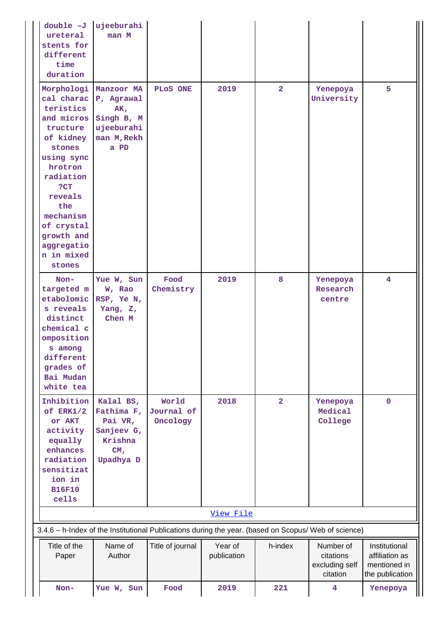| $double -J$<br>ureteral<br>stents for<br>different<br>time<br>duration                                                                                                                                   | ujeeburahi<br>man M                                                                                      |                                 |                        |                |                                                      |                                                                    |
|----------------------------------------------------------------------------------------------------------------------------------------------------------------------------------------------------------|----------------------------------------------------------------------------------------------------------|---------------------------------|------------------------|----------------|------------------------------------------------------|--------------------------------------------------------------------|
| teristics<br>and micros<br>tructure<br>of kidney<br>stones<br>using sync<br>hrotron<br>radiation<br>?CT<br>reveals<br>the<br>mechanism<br>of crystal<br>growth and<br>aggregatio<br>n in mixed<br>stones | Morphologi Manzoor MA<br>cal charac P, Agrawal<br>AK,<br>Singh B, M<br>ujeeburahi<br>man M, Rekh<br>a PD | PLOS ONE                        | 2019                   | $\overline{2}$ | Yenepoya<br>University                               | 5                                                                  |
| $Non-$<br>targeted m<br>etabolomic<br>s reveals<br>distinct<br>chemical c<br>omposition<br>s among<br>different<br>grades of<br>Bai Mudan<br>white tea                                                   | Yue W, Sun<br>W, Rao<br>RSP, Ye N,<br>Yang, Z,<br>Chen M                                                 | Food<br>Chemistry               | 2019                   | 8              | Yenepoya<br>Research<br>centre                       | $\overline{4}$                                                     |
| Inhibition<br>of ERK1/2<br>or AKT<br>activity<br>equally<br>enhances<br>radiation<br>sensitizat<br>ion in<br><b>B16F10</b><br>cells                                                                      | Kalal BS,<br>Fathima F,<br>Pai VR,<br>Sanjeev G,<br>Krishna<br>CM <sub>r</sub><br>Upadhya D              | World<br>Journal of<br>Oncology | 2018                   | $\overline{a}$ | Yenepoya<br>Medical<br>College                       | $\mathbf{O}$                                                       |
|                                                                                                                                                                                                          |                                                                                                          |                                 | View File              |                |                                                      |                                                                    |
| 3.4.6 - h-Index of the Institutional Publications during the year. (based on Scopus/ Web of science)                                                                                                     |                                                                                                          |                                 |                        |                |                                                      |                                                                    |
| Title of the<br>Paper                                                                                                                                                                                    | Name of<br>Author                                                                                        | Title of journal                | Year of<br>publication | h-index        | Number of<br>citations<br>excluding self<br>citation | Institutional<br>affiliation as<br>mentioned in<br>the publication |
| Non-                                                                                                                                                                                                     | Yue W, Sun                                                                                               | Food                            | 2019                   | 221            | 4                                                    | Yenepoya                                                           |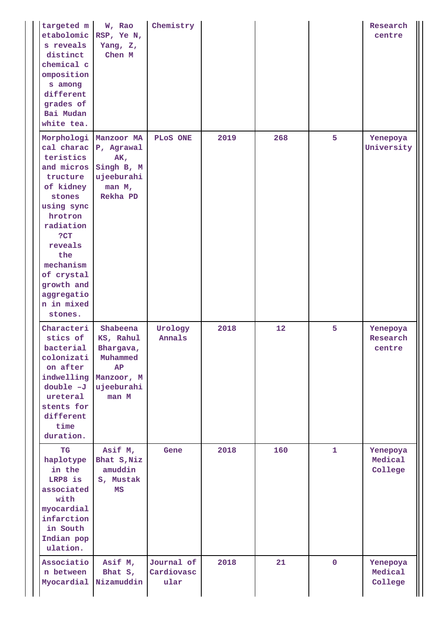| targeted m<br>etabolomic<br>s reveals<br>distinct<br>chemical c<br>omposition<br>s among<br>different<br>grades of<br>Bai Mudan<br>white tea.                                                                                         | W, Rao<br>RSP, Ye N,<br>Yang, Z,<br>Chen M                                                | Chemistry                        |      |     |              | Research<br>centre             |
|---------------------------------------------------------------------------------------------------------------------------------------------------------------------------------------------------------------------------------------|-------------------------------------------------------------------------------------------|----------------------------------|------|-----|--------------|--------------------------------|
| Morphologi<br>cal charac<br>teristics<br>and micros<br>tructure<br>of kidney<br>stones<br>using sync<br>hrotron<br>radiation<br>?CT<br>reveals<br>the<br>mechanism<br>of crystal<br>growth and<br>aggregatio<br>n in mixed<br>stones. | Manzoor MA<br>P, Agrawal<br>AK,<br>Singh B, M<br>ujeeburahi<br>man M,<br>Rekha PD         | PLOS ONE                         | 2019 | 268 | 5            | Yenepoya<br>University         |
| Characteri<br>stics of<br>bacterial<br>colonizati<br>on after<br>indwelling<br>$double -J$<br>ureteral<br>stents for<br>different<br>time<br>duration.                                                                                | Shabeena<br>KS, Rahul<br>Bhargava,<br>Muhammed<br>AP<br>Manzoor, M<br>ujeeburahi<br>man M | Urology<br>Annals                | 2018 | 12  | 5            | Yenepoya<br>Research<br>centre |
| TG<br>haplotype<br>in the<br>LRP8 is<br>associated<br>with<br>myocardial<br>infarction<br>in South<br>Indian pop<br>ulation.                                                                                                          | Asif M,<br>Bhat S, Niz<br>amuddin<br>S, Mustak<br>MS                                      | Gene                             | 2018 | 160 | $\mathbf{1}$ | Yenepoya<br>Medical<br>College |
| Associatio<br>n between<br>Myocardial                                                                                                                                                                                                 | Asif M,<br>Bhat S,<br>Nizamuddin                                                          | Journal of<br>Cardiovasc<br>ular | 2018 | 21  | $\mathbf{0}$ | Yenepoya<br>Medical<br>College |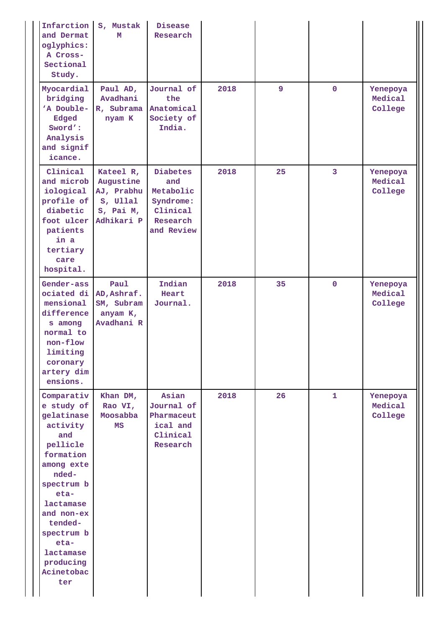| Infarction<br>and Dermat<br>oglyphics:<br>A Cross-<br>Sectional<br>Study.                                                                                                                                                                  | S, Mustak<br>M                                                              | Disease<br>Research                                                             |      |    |              |                                |
|--------------------------------------------------------------------------------------------------------------------------------------------------------------------------------------------------------------------------------------------|-----------------------------------------------------------------------------|---------------------------------------------------------------------------------|------|----|--------------|--------------------------------|
| Myocardial<br>bridging<br>'A Double-<br>Edged<br>Sword':<br>Analysis<br>and signif<br>icance.                                                                                                                                              | Paul AD,<br>Avadhani<br>R, Subrama<br>nyam K                                | Journal of<br>the<br>Anatomical<br>Society of<br>India.                         | 2018 | 9  | $\mathbf 0$  | Yenepoya<br>Medical<br>College |
| Clinical<br>and microb<br>iological<br>profile of<br>diabetic<br>foot ulcer<br>patients<br>in a<br>tertiary<br>care<br>hospital.                                                                                                           | Kateel R,<br>Augustine<br>AJ, Prabhu<br>s, Ullal<br>S, Pai M,<br>Adhikari P | Diabetes<br>and<br>Metabolic<br>Syndrome:<br>Clinical<br>Research<br>and Review | 2018 | 25 | 3            | Yenepoya<br>Medical<br>College |
| Gender-ass<br>ociated di<br>mensional<br>difference<br>s among<br>normal to<br>non-flow<br>limiting<br>coronary<br>artery dim<br>ensions.                                                                                                  | Paul<br>AD, Ashraf.<br>SM, Subram<br>anyam K,<br>Avadhani R                 | Indian<br>Heart<br>Journal.                                                     | 2018 | 35 | $\mathbf 0$  | Yenepoya<br>Medical<br>College |
| Comparativ<br>e study of<br>gelatinase<br>activity<br>and<br>pellicle<br>formation<br>among exte<br>nded-<br>spectrum b<br>eta-<br>lactamase<br>and non-ex<br>tended-<br>spectrum b<br>eta-<br>lactamase<br>producing<br>Acinetobac<br>ter | Khan DM,<br>Rao VI,<br>Moosabba<br>МS                                       | Asian<br>Journal of<br>Pharmaceut<br>ical and<br>Clinical<br>Research           | 2018 | 26 | $\mathbf{1}$ | Yenepoya<br>Medical<br>College |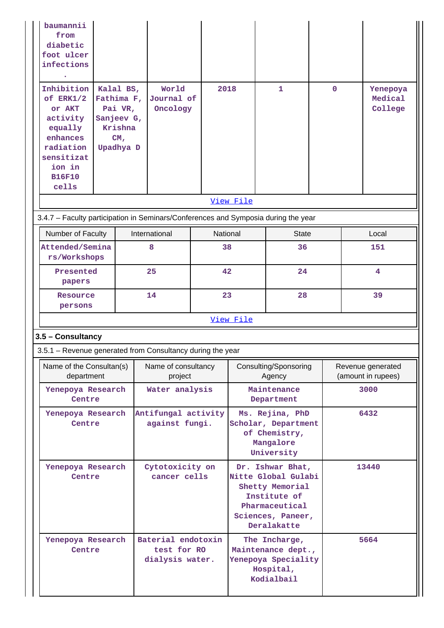| baumannii<br>from<br>diabetic<br>foot ulcer<br>infections<br>Inhibition<br>of ERK1/2<br>or AKT<br>activity<br>equally<br>enhances<br>radiation<br>sensitizat<br>ion in<br><b>B16F10</b><br>cells | Kalal BS,<br>Fathima F,<br>Pai VR,<br>Sanjeev G,<br>Krishna<br>CM <sub>r</sub><br>Upadhya D | World<br>Journal of<br>Oncology                            | 2018                                  |                                                                                                                                  | 1                                                                                     | $\mathbf 0$ |                                         | Yenepoya<br>Medical<br>College |
|--------------------------------------------------------------------------------------------------------------------------------------------------------------------------------------------------|---------------------------------------------------------------------------------------------|------------------------------------------------------------|---------------------------------------|----------------------------------------------------------------------------------------------------------------------------------|---------------------------------------------------------------------------------------|-------------|-----------------------------------------|--------------------------------|
| 3.4.7 - Faculty participation in Seminars/Conferences and Symposia during the year                                                                                                               |                                                                                             |                                                            |                                       | View File                                                                                                                        |                                                                                       |             |                                         |                                |
| Number of Faculty                                                                                                                                                                                |                                                                                             | International                                              |                                       |                                                                                                                                  |                                                                                       |             |                                         |                                |
| Attended/Semina                                                                                                                                                                                  |                                                                                             | 8                                                          | National<br>38                        |                                                                                                                                  | <b>State</b><br>36                                                                    |             |                                         | Local<br>151                   |
| rs/Workshops                                                                                                                                                                                     |                                                                                             |                                                            |                                       |                                                                                                                                  |                                                                                       |             |                                         |                                |
| Presented<br>papers                                                                                                                                                                              |                                                                                             | 25                                                         | 42                                    |                                                                                                                                  | 24                                                                                    |             | 4                                       |                                |
| Resource<br>persons                                                                                                                                                                              |                                                                                             | 14                                                         |                                       | 23                                                                                                                               | 28                                                                                    |             |                                         | 39                             |
|                                                                                                                                                                                                  |                                                                                             |                                                            |                                       | View File                                                                                                                        |                                                                                       |             |                                         |                                |
| 3.5 - Consultancy                                                                                                                                                                                |                                                                                             |                                                            |                                       |                                                                                                                                  |                                                                                       |             |                                         |                                |
|                                                                                                                                                                                                  |                                                                                             | 3.5.1 – Revenue generated from Consultancy during the year |                                       |                                                                                                                                  |                                                                                       |             |                                         |                                |
| Name of the Consultan(s)<br>department                                                                                                                                                           |                                                                                             | Name of consultancy<br>project                             |                                       | Consulting/Sponsoring<br>Agency                                                                                                  |                                                                                       |             | Revenue generated<br>(amount in rupees) |                                |
| Yenepoya Research<br>Centre                                                                                                                                                                      |                                                                                             | Water analysis                                             |                                       | Maintenance<br>Department                                                                                                        |                                                                                       |             | 3000                                    |                                |
| Yenepoya Research<br>Centre                                                                                                                                                                      |                                                                                             |                                                            | Antifungal activity<br>against fungi. |                                                                                                                                  | Ms. Rejina, PhD<br>Scholar, Department<br>of Chemistry,<br>Mangalore<br>University    |             | 6432                                    |                                |
| Cytotoxicity on<br>Yenepoya Research<br>cancer cells<br>Centre                                                                                                                                   |                                                                                             |                                                            |                                       | Dr. Ishwar Bhat,<br>Nitte Global Gulabi<br>Shetty Memorial<br>Institute of<br>Pharmaceutical<br>Sciences, Paneer,<br>Deralakatte |                                                                                       |             | 13440                                   |                                |
| Yenepoya Research<br>Centre                                                                                                                                                                      |                                                                                             | Baterial endotoxin<br>test for RO<br>dialysis water.       |                                       |                                                                                                                                  | The Incharge,<br>Maintenance dept.,<br>Yenepoya Speciality<br>Hospital,<br>Kodialbail |             | 5664                                    |                                |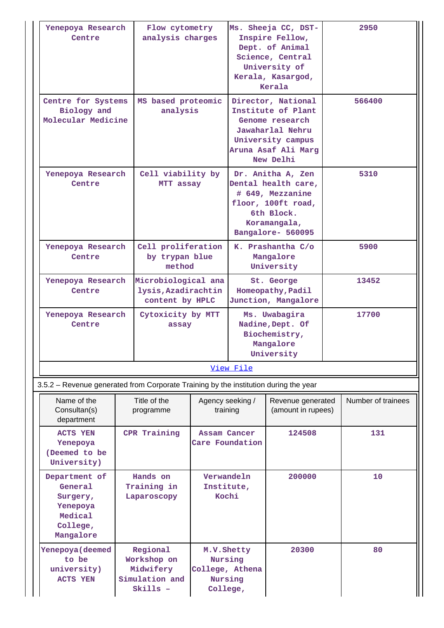| Yenepoya Research<br>Centre                                                          | Flow cytometry<br>analysis charges                                 |                                                                  | Ms. Sheeja CC, DST-<br>Inspire Fellow,<br>Dept. of Animal<br>Science, Central<br>University of<br>Kerala, Kasargod,<br>Kerala            |                                                                               |  | 2950               |
|--------------------------------------------------------------------------------------|--------------------------------------------------------------------|------------------------------------------------------------------|------------------------------------------------------------------------------------------------------------------------------------------|-------------------------------------------------------------------------------|--|--------------------|
| Centre for Systems<br>Biology and<br>Molecular Medicine                              | MS based proteomic<br>analysis                                     |                                                                  | Director, National<br>Institute of Plant<br>Genome research<br>Jawaharlal Nehru<br>University campus<br>Aruna Asaf Ali Marg<br>New Delhi |                                                                               |  | 566400             |
| Yenepoya Research<br>Centre                                                          | Cell viability by<br>MTT assay                                     |                                                                  | Dr. Anitha A, Zen<br>Dental health care,<br># 649, Mezzanine<br>floor, 100ft road,<br>6th Block.<br>Koramangala,<br>Bangalore- 560095    |                                                                               |  | 5310               |
| Yenepoya Research<br>Centre                                                          | Cell proliferation<br>by trypan blue<br>method                     |                                                                  |                                                                                                                                          | K. Prashantha C/o<br>Mangalore<br>University                                  |  | 5900               |
| Yenepoya Research<br>Centre                                                          | Microbiological ana<br>lysis, Azadirachtin<br>content by HPLC      |                                                                  |                                                                                                                                          | St. George<br>Homeopathy, Padil<br>Junction, Mangalore                        |  | 13452              |
| Yenepoya Research<br>Centre                                                          | Cytoxicity by MTT<br>assay                                         |                                                                  |                                                                                                                                          | Ms. Uwabagira<br>Nadine, Dept. Of<br>Biochemistry,<br>Mangalore<br>University |  | 17700              |
|                                                                                      |                                                                    |                                                                  | View File                                                                                                                                |                                                                               |  |                    |
| 3.5.2 – Revenue generated from Corporate Training by the institution during the year |                                                                    |                                                                  |                                                                                                                                          |                                                                               |  |                    |
| Name of the<br>Consultan(s)<br>department                                            | Title of the<br>programme                                          | Agency seeking /<br>training                                     |                                                                                                                                          | Revenue generated<br>(amount in rupees)                                       |  | Number of trainees |
| <b>ACTS YEN</b><br>Yenepoya<br>(Deemed to be<br>University)                          | CPR Training                                                       | Assam Cancer<br>Care Foundation                                  |                                                                                                                                          | 124508                                                                        |  | 131                |
| Department of<br>General<br>Surgery,<br>Yenepoya<br>Medical<br>College,<br>Mangalore | Hands on<br>Training in<br>Laparoscopy                             | Verwandeln<br>Institute,<br>Kochi                                |                                                                                                                                          | 200000                                                                        |  | 10                 |
| Yenepoya (deemed<br>to be<br>university)<br><b>ACTS YEN</b>                          | Regional<br>Workshop on<br>Midwifery<br>Simulation and<br>Skills - | M.V. Shetty<br>Nursing<br>College, Athena<br>Nursing<br>College, |                                                                                                                                          | 20300                                                                         |  | 80                 |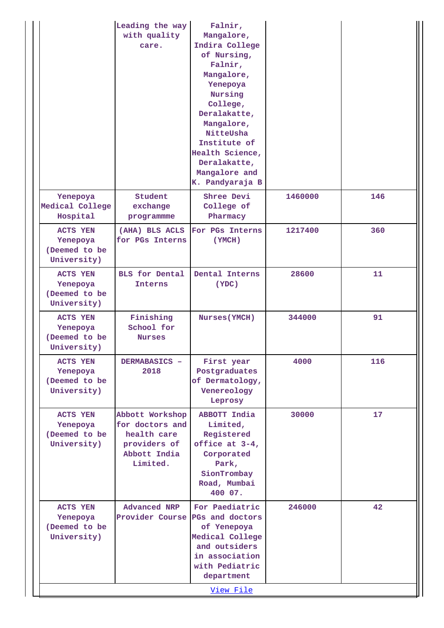|                                                             | Leading the way<br>with quality<br>care.                                                      | Falnir,<br>Mangalore,<br>Indira College<br>of Nursing,<br>Falnir,<br>Mangalore,<br>Yenepoya<br>Nursing<br>College,<br>Deralakatte,<br>Mangalore,<br>NitteUsha<br>Institute of<br>Health Science,<br>Deralakatte,<br>Mangalore and<br>K. Pandyaraja B |         |     |
|-------------------------------------------------------------|-----------------------------------------------------------------------------------------------|------------------------------------------------------------------------------------------------------------------------------------------------------------------------------------------------------------------------------------------------------|---------|-----|
| Yenepoya<br>Medical College<br>Hospital                     | Student<br>exchange<br>programmme                                                             | Shree Devi<br>College of<br>Pharmacy                                                                                                                                                                                                                 | 1460000 | 146 |
| <b>ACTS YEN</b><br>Yenepoya<br>(Deemed to be<br>University) | (AHA) BLS ACLS<br>for PGs Interns                                                             | For PGs Interns<br>(YMCH)                                                                                                                                                                                                                            | 1217400 | 360 |
| ACTS YEN<br>Yenepoya<br>(Deemed to be<br>University)        | <b>BLS</b> for Dental<br>Interns                                                              | Dental Interns<br>(YDC)                                                                                                                                                                                                                              | 28600   | 11  |
| <b>ACTS YEN</b><br>Yenepoya<br>(Deemed to be<br>University) | Finishing<br>School for<br><b>Nurses</b>                                                      | <b>Nurses (YMCH)</b>                                                                                                                                                                                                                                 | 344000  | 91  |
| ACTS YEN<br>Yenepoya<br>(Deemed to be<br>University)        | DERMABASICS -<br>2018                                                                         | First year<br>Postgraduates<br>of Dermatology,<br>Venereology<br>Leprosy                                                                                                                                                                             | 4000    | 116 |
| ACTS YEN<br>Yenepoya<br>(Deemed to be<br>University)        | Abbott Workshop<br>for doctors and<br>health care<br>providers of<br>Abbott India<br>Limited. | ABBOTT India<br>Limited,<br>Registered<br>office at 3-4,<br>Corporated<br>Park,<br>SionTrombay<br>Road, Mumbai<br>400 07.                                                                                                                            | 30000   | 17  |
| <b>ACTS YEN</b><br>Yenepoya<br>(Deemed to be<br>University) | <b>Advanced NRP</b><br>Provider Course                                                        | For Paediatric<br>PGs and doctors<br>of Yenepoya<br>Medical College<br>and outsiders<br>in association<br>with Pediatric<br>department<br>View File                                                                                                  | 246000  | 42  |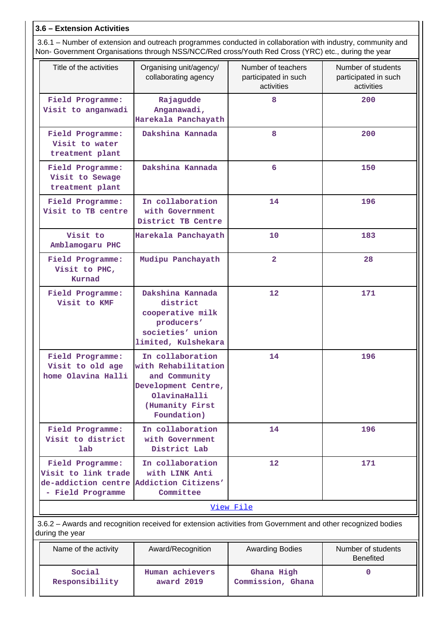### **3.6 – Extension Activities**

 3.6.1 – Number of extension and outreach programmes conducted in collaboration with industry, community and Non- Government Organisations through NSS/NCC/Red cross/Youth Red Cross (YRC) etc., during the year

| Title of the activities                                                                                                         | Organising unit/agency/<br>collaborating agency                                                                                   | Number of teachers<br>participated in such<br>activities | Number of students<br>participated in such<br>activities |  |  |  |  |
|---------------------------------------------------------------------------------------------------------------------------------|-----------------------------------------------------------------------------------------------------------------------------------|----------------------------------------------------------|----------------------------------------------------------|--|--|--|--|
| Field Programme:<br>Visit to anganwadi                                                                                          | Rajagudde<br>Anganawadi,<br>Harekala Panchayath                                                                                   | 8                                                        | 200                                                      |  |  |  |  |
| Field Programme:<br>Visit to water<br>treatment plant                                                                           | Dakshina Kannada                                                                                                                  | 8                                                        | 200                                                      |  |  |  |  |
| Field Programme:<br>Visit to Sewage<br>treatment plant                                                                          | Dakshina Kannada                                                                                                                  | 6                                                        | 150                                                      |  |  |  |  |
| Field Programme:<br>Visit to TB centre                                                                                          | In collaboration<br>with Government<br>District TB Centre                                                                         | 14                                                       | 196                                                      |  |  |  |  |
| Visit to<br>Amblamogaru PHC                                                                                                     | Harekala Panchayath                                                                                                               | 10                                                       | 183                                                      |  |  |  |  |
| Field Programme:<br>Visit to PHC,<br>Kurnad                                                                                     | Mudipu Panchayath                                                                                                                 | $\overline{2}$                                           | 28                                                       |  |  |  |  |
| Field Programme:<br>Visit to KMF                                                                                                | Dakshina Kannada<br>district<br>cooperative milk<br>producers'<br>societies' union<br>limited, Kulshekara                         | 12                                                       | 171                                                      |  |  |  |  |
| Field Programme:<br>Visit to old age<br>home Olavina Halli                                                                      | In collaboration<br>with Rehabilitation<br>and Community<br>Development Centre,<br>OlavinaHalli<br>(Humanity First<br>Foundation) | 14                                                       | 196                                                      |  |  |  |  |
| Field Programme:<br>Visit to district<br>lab                                                                                    | In collaboration<br>with Government<br>District Lab                                                                               | 14                                                       | 196                                                      |  |  |  |  |
| Field Programme:<br>Visit to link trade<br>de-addiction centre<br>- Field Programme                                             | In collaboration<br>with LINK Anti<br>Addiction Citizens'<br>Committee                                                            | 12                                                       | 171                                                      |  |  |  |  |
| View File                                                                                                                       |                                                                                                                                   |                                                          |                                                          |  |  |  |  |
| 3.6.2 - Awards and recognition received for extension activities from Government and other recognized bodies<br>during the year |                                                                                                                                   |                                                          |                                                          |  |  |  |  |

| Name of the activity | Award/Recognition | <b>Awarding Bodies</b> | Number of students<br><b>Benefited</b> |
|----------------------|-------------------|------------------------|----------------------------------------|
| Social               | Human achievers   | Ghana High             |                                        |
| Responsibility       | award 2019        | Commission, Ghana      |                                        |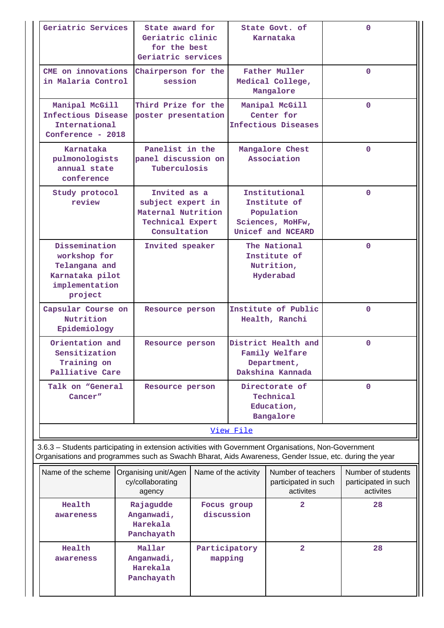| Geriatric Services                                                                                                                                                                                             |                                                        | State award for<br>Geriatric clinic<br>for the best<br>Geriatric services                          |                                | State Govt. of<br>Karnataka                                                          |                                                         | $\Omega$     |  |
|----------------------------------------------------------------------------------------------------------------------------------------------------------------------------------------------------------------|--------------------------------------------------------|----------------------------------------------------------------------------------------------------|--------------------------------|--------------------------------------------------------------------------------------|---------------------------------------------------------|--------------|--|
| CME on innovations<br>in Malaria Control                                                                                                                                                                       |                                                        | Chairperson for the<br>session                                                                     |                                | <b>Father Muller</b><br>Medical College,<br>Mangalore                                |                                                         | $\Omega$     |  |
| Manipal McGill<br>Infectious Disease<br>International<br>Conference - 2018                                                                                                                                     |                                                        | Third Prize for the<br>poster presentation                                                         |                                | Manipal McGill<br>Center for<br>Infectious Diseases                                  |                                                         | $\mathbf{0}$ |  |
| Karnataka<br>pulmonologists<br>annual state<br>conference                                                                                                                                                      | Panelist in the<br>panel discussion on<br>Tuberculosis |                                                                                                    | Mangalore Chest<br>Association |                                                                                      |                                                         | $\Omega$     |  |
| Study protocol<br>review                                                                                                                                                                                       |                                                        | Invited as a<br>subject expert in<br>Maternal Nutrition<br><b>Technical Expert</b><br>Consultation |                                | Institutional<br>Institute of<br>Population<br>Sciences, MoHFw,<br>Unicef and NCEARD |                                                         | $\mathbf{O}$ |  |
| Dissemination<br>workshop for<br>Telangana and<br>Karnataka pilot<br>implementation<br>project                                                                                                                 |                                                        | Invited speaker                                                                                    |                                | The National<br>Institute of<br>Nutrition,<br>Hyderabad                              |                                                         | $\mathbf{0}$ |  |
| Capsular Course on<br>Nutrition<br>Epidemiology                                                                                                                                                                | Resource person                                        | Institute of Public<br>Health, Ranchi                                                              |                                |                                                                                      |                                                         | $\Omega$     |  |
| Orientation and<br>Sensitization<br>Training on<br>Palliative Care                                                                                                                                             |                                                        | Resource person                                                                                    |                                | District Health and<br>Family Welfare<br>Department,<br>Dakshina Kannada             | $\Omega$                                                |              |  |
| Talk on "General<br>Cancer"                                                                                                                                                                                    |                                                        | Resource person                                                                                    |                                | Directorate of<br>Technical<br>Education,<br>Bangalore                               |                                                         | $\mathbf 0$  |  |
|                                                                                                                                                                                                                |                                                        |                                                                                                    | View File                      |                                                                                      |                                                         |              |  |
| 3.6.3 - Students participating in extension activities with Government Organisations, Non-Government<br>Organisations and programmes such as Swachh Bharat, Aids Awareness, Gender Issue, etc. during the year |                                                        |                                                                                                    |                                |                                                                                      |                                                         |              |  |
| Name of the scheme                                                                                                                                                                                             | Organising unit/Agen<br>cy/collaborating<br>agency     | Name of the activity                                                                               |                                | Number of teachers<br>participated in such<br>activites                              | Number of students<br>participated in such<br>activites |              |  |
| Health<br>awareness                                                                                                                                                                                            | Rajagudde<br>Anganwadi,<br>Harekala<br>Panchayath      | Focus group                                                                                        | discussion                     | 2                                                                                    |                                                         | 28           |  |
| Health<br>awareness                                                                                                                                                                                            | Mallar<br>Anganwadi,<br>Harekala<br>Panchayath         | Participatory<br>mapping                                                                           |                                | $\overline{\mathbf{2}}$                                                              |                                                         | 28           |  |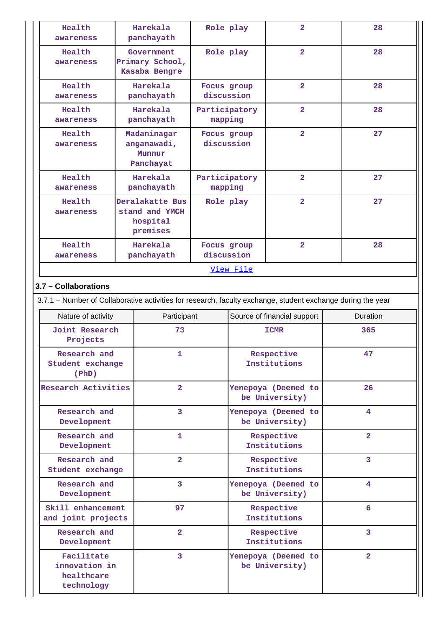| Health<br>awareness                                                                                         |                                  | Harekala<br>panchayath                                    |                          | Role play                                           | $\overline{\mathbf{2}}$               | 28             |  |
|-------------------------------------------------------------------------------------------------------------|----------------------------------|-----------------------------------------------------------|--------------------------|-----------------------------------------------------|---------------------------------------|----------------|--|
| Health<br>awareness                                                                                         |                                  | Government<br>Primary School,<br>Kasaba Bengre            | Role play                |                                                     | $\overline{\mathbf{2}}$               | 28             |  |
| Health<br>awareness                                                                                         |                                  | Harekala<br>panchayath                                    |                          | Focus group<br>discussion                           | $\overline{\mathbf{2}}$               | 28             |  |
| Health<br>awareness                                                                                         |                                  | Harekala<br>panchayath                                    |                          | $\overline{\mathbf{2}}$<br>Participatory<br>mapping |                                       | 28             |  |
| Health<br>awareness                                                                                         |                                  | Madaninagar<br>anganawadi,<br>Munnur<br>Panchayat         | Focus group              | discussion                                          | $\overline{\mathbf{2}}$               | 27             |  |
| Health<br>awareness                                                                                         |                                  | Harekala<br>panchayath                                    | Participatory<br>mapping |                                                     | $\overline{\mathbf{2}}$               | 27             |  |
| Health<br>awareness                                                                                         |                                  | Deralakatte Bus<br>stand and YMCH<br>hospital<br>premises |                          | Role play                                           | $\overline{2}$                        | 27             |  |
| Health<br>awareness                                                                                         |                                  | Harekala<br>panchayath                                    | Focus group              | discussion                                          | $\overline{\mathbf{2}}$               | 28             |  |
|                                                                                                             |                                  |                                                           |                          | View File                                           |                                       |                |  |
| 3.7 - Collaborations                                                                                        |                                  |                                                           |                          |                                                     |                                       |                |  |
| 3.7.1 – Number of Collaborative activities for research, faculty exchange, student exchange during the year |                                  |                                                           |                          |                                                     |                                       |                |  |
| Nature of activity                                                                                          |                                  |                                                           | Participant              |                                                     | Source of financial support           | Duration       |  |
| Joint Research<br>Projects                                                                                  |                                  | 73                                                        |                          |                                                     | <b>ICMR</b>                           | 365            |  |
| Research and<br>Student exchange<br>(PhD)                                                                   |                                  | 1                                                         |                          |                                                     | Respective<br>Institutions            | 47             |  |
| Research Activities                                                                                         |                                  | $\overline{a}$                                            |                          |                                                     | Yenepoya (Deemed to<br>be University) | 26             |  |
| Research and<br>Development                                                                                 |                                  | 3                                                         |                          | Yenepoya (Deemed to<br>be University)               |                                       | 4              |  |
| Research and<br>Development                                                                                 |                                  | 1                                                         |                          | Respective<br>Institutions                          |                                       | $\overline{2}$ |  |
|                                                                                                             | Research and<br>Student exchange |                                                           | $\overline{2}$           |                                                     | Respective<br>Institutions            | 3              |  |
| Research and<br>Development                                                                                 |                                  | 3                                                         |                          | Yenepoya (Deemed to<br>be University)               |                                       | 4              |  |
| Skill enhancement<br>and joint projects                                                                     |                                  | 97                                                        |                          | Respective<br>Institutions                          |                                       | 6              |  |
| Development                                                                                                 | Research and<br>$\overline{a}$   |                                                           |                          | Respective<br>Institutions                          |                                       | 3              |  |
| Facilitate<br>3<br>innovation in<br>healthcare<br>technology                                                |                                  |                                                           |                          | Yenepoya (Deemed to<br>be University)               | $\overline{2}$                        |                |  |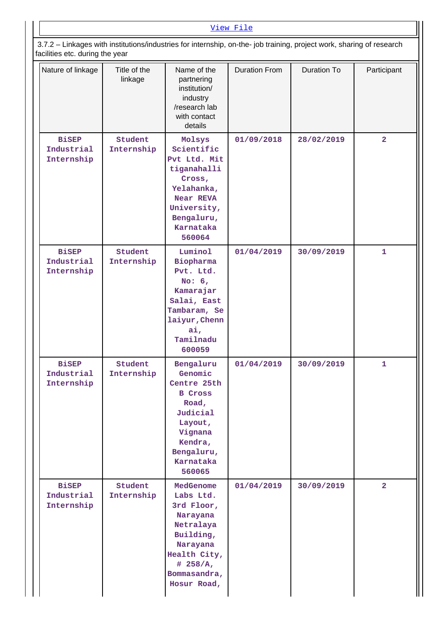| 3.7.2 - Linkages with institutions/industries for internship, on-the- job training, project work, sharing of research<br>facilities etc. during the year |                         |                                                                                                                                                     |                      |                    |                |  |
|----------------------------------------------------------------------------------------------------------------------------------------------------------|-------------------------|-----------------------------------------------------------------------------------------------------------------------------------------------------|----------------------|--------------------|----------------|--|
| Nature of linkage                                                                                                                                        | Title of the<br>linkage | Name of the<br>partnering<br>institution/<br>industry<br>/research lab<br>with contact<br>details                                                   | <b>Duration From</b> | <b>Duration To</b> | Participant    |  |
| <b>BiSEP</b><br>Industrial<br>Internship                                                                                                                 | Student<br>Internship   | Molsys<br>Scientific<br>Pvt Ltd. Mit<br>tiganahalli<br>Cross,<br>Yelahanka,<br><b>Near REVA</b><br>University,<br>Bengaluru,<br>Karnataka<br>560064 | 01/09/2018           | 28/02/2019         | $\overline{a}$ |  |
| <b>BiSEP</b><br>Industrial<br>Internship                                                                                                                 | Student<br>Internship   | Luminol<br>Biopharma<br>Pvt. Ltd.<br>No: $6,$<br>Kamarajar<br>Salai, East<br>Tambaram, Se<br>laiyur, Chenn<br>ai,<br>Tamilnadu<br>600059            | 01/04/2019           | 30/09/2019         | 1              |  |
| <b>BiSEP</b><br>Industrial<br>Internship                                                                                                                 | Student<br>Internship   | Bengaluru<br>Genomic<br>Centre 25th<br><b>B</b> Cross<br>Road,<br>Judicial<br>Layout,<br>Vignana<br>Kendra,<br>Bengaluru,<br>Karnataka<br>560065    | 01/04/2019           | 30/09/2019         | $\mathbf{1}$   |  |
| <b>BiSEP</b><br>Industrial<br>Internship                                                                                                                 | Student<br>Internship   | MedGenome<br>Labs Ltd.<br>3rd Floor,<br>Narayana<br>Netralaya<br>Building,<br>Narayana<br>Health City,<br># 258/A,<br>Bommasandra,<br>Hosur Road,   | 01/04/2019           | 30/09/2019         | $\overline{2}$ |  |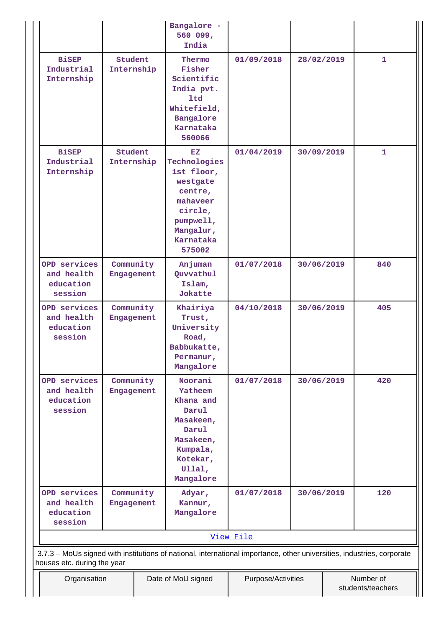|                                                    |                                                                                                                                                       |                    | Bangalore -<br>560 099,<br>India                                                                                                  |            |            |  |              |
|----------------------------------------------------|-------------------------------------------------------------------------------------------------------------------------------------------------------|--------------------|-----------------------------------------------------------------------------------------------------------------------------------|------------|------------|--|--------------|
| <b>BiSEP</b><br>Industrial<br>Internship           | Student<br>Internship                                                                                                                                 |                    | Thermo<br>Fisher<br>Scientific<br>India pvt.<br>ltd<br>Whitefield,<br>Bangalore<br>Karnataka<br>560066                            | 01/09/2018 | 28/02/2019 |  | $\mathbf{1}$ |
| <b>BiSEP</b><br>Industrial<br>Internship           | Student<br>Internship                                                                                                                                 |                    | EZ<br>Technologies<br>1st floor,<br>westgate<br>centre,<br>mahaveer<br>circle,<br>pumpwell,<br>Mangalur,<br>Karnataka<br>575002   | 01/04/2019 | 30/09/2019 |  | 1            |
| OPD services<br>and health<br>education<br>session | Community<br>Engagement                                                                                                                               |                    | Anjuman<br>Quvvathul<br>Islam,<br>Jokatte                                                                                         | 01/07/2018 | 30/06/2019 |  | 840          |
| OPD services<br>and health<br>education<br>session | Community<br>Engagement                                                                                                                               |                    | Khairiya<br>Trust,<br>University<br>Road,<br>Babbukatte,<br>Permanur,<br>Mangalore                                                | 04/10/2018 | 30/06/2019 |  | 405          |
| OPD services<br>and health<br>education<br>session | Community<br>Engagement                                                                                                                               |                    | Noorani<br><b>Yatheem</b><br>Khana and<br>Darul<br>Masakeen,<br>Darul<br>Masakeen,<br>Kumpala,<br>Kotekar,<br>Ullal,<br>Mangalore | 01/07/2018 | 30/06/2019 |  | 420          |
| OPD services<br>and health<br>education<br>session | Community<br>Engagement                                                                                                                               |                    | Adyar,<br>Kannur,<br>Mangalore                                                                                                    | 01/07/2018 | 30/06/2019 |  | 120          |
|                                                    | View File                                                                                                                                             |                    |                                                                                                                                   |            |            |  |              |
|                                                    | 3.7.3 - MoUs signed with institutions of national, international importance, other universities, industries, corporate<br>houses etc. during the year |                    |                                                                                                                                   |            |            |  |              |
| Organisation                                       |                                                                                                                                                       | Date of MoU signed | Number of<br>Purpose/Activities<br>students/teachers                                                                              |            |            |  |              |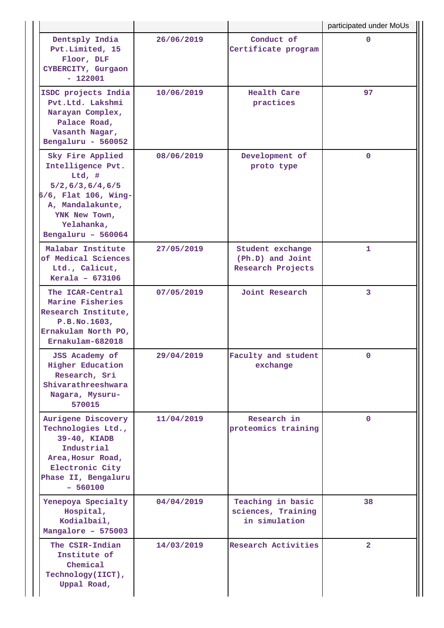|                                                                                                                                                                        |            |                                                           | participated under MoUs |
|------------------------------------------------------------------------------------------------------------------------------------------------------------------------|------------|-----------------------------------------------------------|-------------------------|
| Dentsply India<br>Pvt.Limited, 15<br>Floor, DLF<br>CYBERCITY, Gurgaon<br>$-122001$                                                                                     | 26/06/2019 | Conduct of<br>Certificate program                         | $\mathbf{0}$            |
| ISDC projects India<br>Pvt.Ltd. Lakshmi<br>Narayan Complex,<br>Palace Road,<br>Vasanth Nagar,<br>Bengaluru - 560052                                                    | 10/06/2019 | Health Care<br>practices                                  | 97                      |
| Sky Fire Applied<br>Intelligence Pvt.<br>Ltd, #<br>5/2, 6/3, 6/4, 6/5<br>6/6, Flat 106, Wing-<br>A, Mandalakunte,<br>YNK New Town,<br>Yelahanka,<br>Bengaluru - 560064 | 08/06/2019 | Development of<br>proto type                              | $\mathbf{O}$            |
| Malabar Institute<br>of Medical Sciences<br>Ltd., Calicut,<br>Kerala $-673106$                                                                                         | 27/05/2019 | Student exchange<br>(Ph.D) and Joint<br>Research Projects | 1                       |
| The ICAR-Central<br>Marine Fisheries<br>Research Institute,<br>P.B.No.1603,<br>Ernakulam North PO,<br>Ernakulam-682018                                                 | 07/05/2019 | Joint Research                                            | 3                       |
| JSS Academy of<br><b>Higher Education</b><br>Research, Sri<br>Shivarathreeshwara<br>Nagara, Mysuru-<br>570015                                                          | 29/04/2019 | Faculty and student<br>exchange                           | $\mathbf{0}$            |
| Aurigene Discovery<br>Technologies Ltd.,<br>39-40, KIADB<br>Industrial<br>Area, Hosur Road,<br>Electronic City<br>Phase II, Bengaluru<br>$-560100$                     | 11/04/2019 | Research in<br>proteomics training                        | $\mathbf{0}$            |
| Yenepoya Specialty<br>Hospital,<br>Kodialbail,<br>Mangalore - 575003                                                                                                   | 04/04/2019 | Teaching in basic<br>sciences, Training<br>in simulation  | 38                      |
| The CSIR-Indian<br>Institute of<br>Chemical<br>Technology(IICT),<br>Uppal Road,                                                                                        | 14/03/2019 | <b>Research Activities</b>                                | $\overline{2}$          |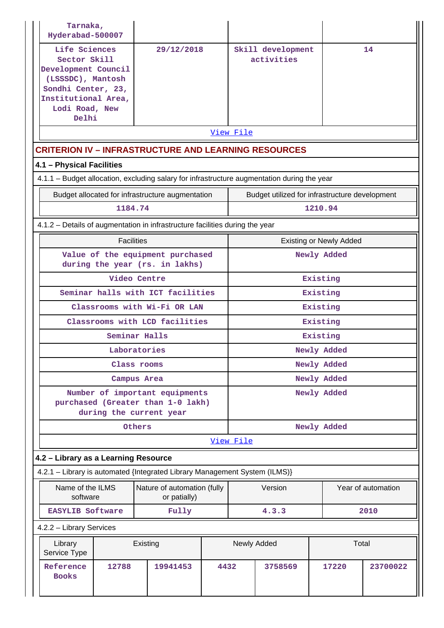| Tarnaka,<br>Hyderabad-500007                                                                                                                      |                   |                                                                                                |      |                      |                                                |         |                                |                    |
|---------------------------------------------------------------------------------------------------------------------------------------------------|-------------------|------------------------------------------------------------------------------------------------|------|----------------------|------------------------------------------------|---------|--------------------------------|--------------------|
| Life Sciences<br>Sector Skill<br>Development Council<br>(LSSSDC), Mantosh<br>Sondhi Center, 23,<br>Institutional Area,<br>Lodi Road, New<br>Delhi |                   | 29/12/2018                                                                                     |      |                      | Skill development<br>activities                |         |                                | 14                 |
|                                                                                                                                                   |                   |                                                                                                |      | View File            |                                                |         |                                |                    |
|                                                                                                                                                   |                   | <b>CRITERION IV - INFRASTRUCTURE AND LEARNING RESOURCES</b>                                    |      |                      |                                                |         |                                |                    |
| 4.1 - Physical Facilities                                                                                                                         |                   |                                                                                                |      |                      |                                                |         |                                |                    |
|                                                                                                                                                   |                   | 4.1.1 - Budget allocation, excluding salary for infrastructure augmentation during the year    |      |                      |                                                |         |                                |                    |
|                                                                                                                                                   |                   | Budget allocated for infrastructure augmentation                                               |      |                      | Budget utilized for infrastructure development |         |                                |                    |
|                                                                                                                                                   | 1184.74           |                                                                                                |      |                      |                                                | 1210.94 |                                |                    |
| 4.1.2 - Details of augmentation in infrastructure facilities during the year                                                                      |                   |                                                                                                |      |                      |                                                |         |                                |                    |
|                                                                                                                                                   | <b>Facilities</b> |                                                                                                |      |                      |                                                |         | <b>Existing or Newly Added</b> |                    |
|                                                                                                                                                   |                   | Value of the equipment purchased<br>during the year (rs. in lakhs)                             |      | Newly Added          |                                                |         |                                |                    |
| Video Centre                                                                                                                                      |                   |                                                                                                |      |                      |                                                |         | Existing                       |                    |
| Seminar halls with ICT facilities                                                                                                                 |                   |                                                                                                |      |                      |                                                |         | Existing                       |                    |
| Classrooms with Wi-Fi OR LAN                                                                                                                      |                   |                                                                                                |      |                      |                                                |         | Existing                       |                    |
|                                                                                                                                                   |                   | Classrooms with LCD facilities                                                                 |      |                      |                                                |         | Existing                       |                    |
|                                                                                                                                                   |                   | Seminar Halls                                                                                  |      | Existing             |                                                |         |                                |                    |
|                                                                                                                                                   |                   | Laboratories                                                                                   |      | Newly Added          |                                                |         |                                |                    |
|                                                                                                                                                   |                   | Class rooms                                                                                    |      | Newly Added          |                                                |         |                                |                    |
|                                                                                                                                                   |                   | Campus Area                                                                                    |      | Newly Added          |                                                |         |                                |                    |
|                                                                                                                                                   |                   | Number of important equipments<br>purchased (Greater than 1-0 lakh)<br>during the current year |      |                      |                                                |         | Newly Added                    |                    |
|                                                                                                                                                   |                   | Others                                                                                         |      |                      |                                                |         | Newly Added                    |                    |
|                                                                                                                                                   |                   |                                                                                                |      | View File            |                                                |         |                                |                    |
| 4.2 - Library as a Learning Resource                                                                                                              |                   |                                                                                                |      |                      |                                                |         |                                |                    |
|                                                                                                                                                   |                   | 4.2.1 - Library is automated {Integrated Library Management System (ILMS)}                     |      |                      |                                                |         |                                |                    |
| Name of the ILMS<br>software                                                                                                                      |                   | Nature of automation (fully<br>or patially)                                                    |      |                      | Version                                        |         |                                | Year of automation |
| <b>EASYLIB Software</b>                                                                                                                           |                   | Fully                                                                                          |      | 4.3.3<br>2010        |                                                |         |                                |                    |
| 4.2.2 - Library Services                                                                                                                          |                   |                                                                                                |      |                      |                                                |         |                                |                    |
| Library<br>Service Type                                                                                                                           |                   | Existing                                                                                       |      | Newly Added<br>Total |                                                |         |                                |                    |
| Reference<br><b>Books</b>                                                                                                                         | 12788             | 19941453                                                                                       | 4432 |                      | 3758569                                        |         | 17220                          | 23700022           |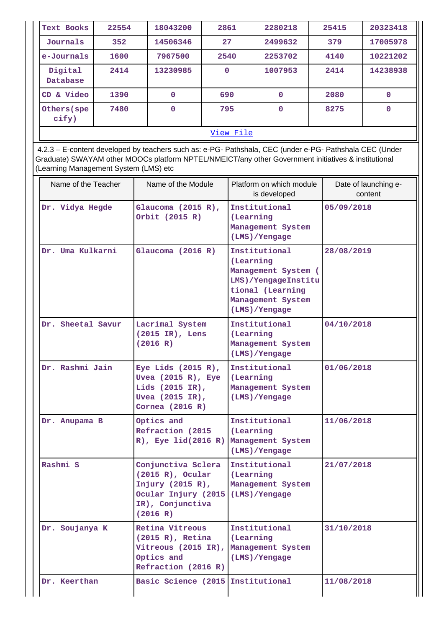| Text Books           | 22554     | 18043200    | 2861     | 2280218     | 25415 | 20323418    |  |
|----------------------|-----------|-------------|----------|-------------|-------|-------------|--|
| Journals             | 352       | 14506346    | 27       | 2499632     | 379   | 17005978    |  |
| e-Journals           | 1600      | 7967500     | 2540     | 2253702     | 4140  | 10221202    |  |
| Digital<br>Database  | 2414      | 13230985    | $\Omega$ | 1007953     | 2414  | 14238938    |  |
| & Video<br>CD        | 1390      | $\mathbf 0$ | 690      | $\Omega$    | 2080  | $\mathbf 0$ |  |
| Others (spe<br>cify) | 7480      | $\mathbf 0$ | 795      | $\mathbf 0$ | 8275  | $\mathbf 0$ |  |
|                      | View File |             |          |             |       |             |  |

 4.2.3 – E-content developed by teachers such as: e-PG- Pathshala, CEC (under e-PG- Pathshala CEC (Under Graduate) SWAYAM other MOOCs platform NPTEL/NMEICT/any other Government initiatives & institutional (Learning Management System (LMS) etc

| Name of the Teacher | Name of the Module                                                                                                      | Platform on which module<br>is developed                                                                                           | Date of launching e-<br>content |
|---------------------|-------------------------------------------------------------------------------------------------------------------------|------------------------------------------------------------------------------------------------------------------------------------|---------------------------------|
| Dr. Vidya Hegde     | Glaucoma $(2015 R)$ ,<br>Orbit (2015 R)                                                                                 | Institutional<br>(Learning<br>Management System<br>(LMS)/Yengage                                                                   | 05/09/2018                      |
| Dr. Uma Kulkarni    | Glaucoma $(2016 R)$                                                                                                     | Institutional<br>(Learning<br>Management System (<br>LMS)/YengageInstitu<br>tional (Learning<br>Management System<br>(LMS)/Yengage | 28/08/2019                      |
| Dr. Sheetal Savur   | Lacrimal System<br>(2015 IR), Lens<br>(2016 R)                                                                          | Institutional<br>(Learning<br>Management System<br>(LMS)/Yengage                                                                   | 04/10/2018                      |
| Dr. Rashmi Jain     | Eye Lids $(2015 R)$ ,<br>Uvea $(2015 R)$ , Eye<br>Lids (2015 IR),<br>Uvea (2015 IR),<br>Cornea $(2016 R)$               | Institutional<br>(Learning<br>Management System<br>(LMS)/Yengage                                                                   | 01/06/2018                      |
| Dr. Anupama B       | Optics and<br>Refraction (2015<br>R), Eye lid(2016 R)                                                                   | Institutional<br>(Learning<br>Management System<br>(LMS)/Yengage                                                                   | 11/06/2018                      |
| Rashmi S            | Conjunctiva Sclera<br>$(2015 R)$ , Ocular<br>Injury $(2015 R)$ ,<br>Ocular Injury (2015<br>IR), Conjunctiva<br>(2016 R) | Institutional<br>(Learning)<br>Management System<br>(LMS)/Yengage                                                                  | 21/07/2018                      |
| Dr. Soujanya K      | Retina Vitreous<br>$(2015 R)$ , Retina<br>Vitreous (2015 IR),<br>Optics and<br>Refraction (2016 R)                      | Institutional<br>(Learning<br>Management System<br>(LMS)/Yengage                                                                   | 31/10/2018                      |
| Dr. Keerthan        | Basic Science (2015 Institutional                                                                                       |                                                                                                                                    | 11/08/2018                      |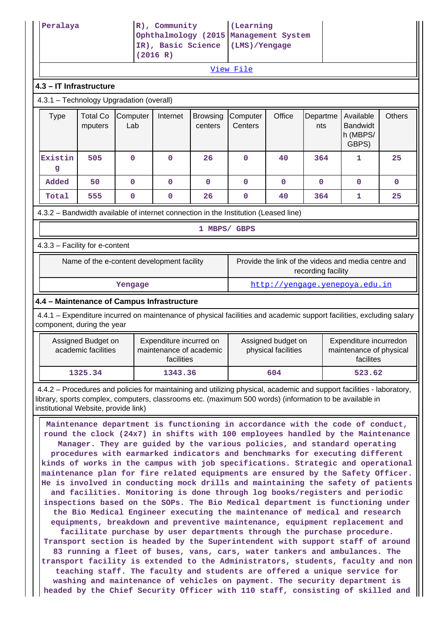| Peralaya                                                                                                                                                                                                                         |                                                                                                                                                                                                                                                                                                                                                                                                                                                                                                                                                                                                                                                                                                                                                                                                                                                                                                                                                                                                                                                                                                                                                                                                                                                                                                                                                                      |                 | R), Community<br>IR), Basic Science<br>(2016 R)                  |                            | (Learning<br>Ophthalmology (2015 Management System<br>(LMS)/Yengage |                                           |                 |                                                                |               |
|----------------------------------------------------------------------------------------------------------------------------------------------------------------------------------------------------------------------------------|----------------------------------------------------------------------------------------------------------------------------------------------------------------------------------------------------------------------------------------------------------------------------------------------------------------------------------------------------------------------------------------------------------------------------------------------------------------------------------------------------------------------------------------------------------------------------------------------------------------------------------------------------------------------------------------------------------------------------------------------------------------------------------------------------------------------------------------------------------------------------------------------------------------------------------------------------------------------------------------------------------------------------------------------------------------------------------------------------------------------------------------------------------------------------------------------------------------------------------------------------------------------------------------------------------------------------------------------------------------------|-----------------|------------------------------------------------------------------|----------------------------|---------------------------------------------------------------------|-------------------------------------------|-----------------|----------------------------------------------------------------|---------------|
|                                                                                                                                                                                                                                  |                                                                                                                                                                                                                                                                                                                                                                                                                                                                                                                                                                                                                                                                                                                                                                                                                                                                                                                                                                                                                                                                                                                                                                                                                                                                                                                                                                      |                 |                                                                  |                            | View File                                                           |                                           |                 |                                                                |               |
|                                                                                                                                                                                                                                  | 4.3 - IT Infrastructure                                                                                                                                                                                                                                                                                                                                                                                                                                                                                                                                                                                                                                                                                                                                                                                                                                                                                                                                                                                                                                                                                                                                                                                                                                                                                                                                              |                 |                                                                  |                            |                                                                     |                                           |                 |                                                                |               |
| 4.3.1 - Technology Upgradation (overall)                                                                                                                                                                                         |                                                                                                                                                                                                                                                                                                                                                                                                                                                                                                                                                                                                                                                                                                                                                                                                                                                                                                                                                                                                                                                                                                                                                                                                                                                                                                                                                                      |                 |                                                                  |                            |                                                                     |                                           |                 |                                                                |               |
| <b>Type</b>                                                                                                                                                                                                                      | <b>Total Co</b><br>mputers                                                                                                                                                                                                                                                                                                                                                                                                                                                                                                                                                                                                                                                                                                                                                                                                                                                                                                                                                                                                                                                                                                                                                                                                                                                                                                                                           | Computer<br>Lab | Internet                                                         | <b>Browsing</b><br>centers | Computer<br>Centers                                                 | Office                                    | Departme<br>nts | Available<br><b>Bandwidt</b><br>h (MBPS/<br>GBPS)              | <b>Others</b> |
| Existin<br>g                                                                                                                                                                                                                     | 505                                                                                                                                                                                                                                                                                                                                                                                                                                                                                                                                                                                                                                                                                                                                                                                                                                                                                                                                                                                                                                                                                                                                                                                                                                                                                                                                                                  | $\mathbf 0$     | $\Omega$                                                         | 26                         | 0                                                                   | 40                                        | 364             | 1                                                              | 25            |
| Added                                                                                                                                                                                                                            | 50                                                                                                                                                                                                                                                                                                                                                                                                                                                                                                                                                                                                                                                                                                                                                                                                                                                                                                                                                                                                                                                                                                                                                                                                                                                                                                                                                                   | $\mathbf{O}$    | $\mathbf 0$                                                      | $\mathbf 0$                | 0                                                                   | $\mathbf 0$                               | $\mathbf{0}$    | $\mathbf{0}$                                                   | 0             |
| Total                                                                                                                                                                                                                            | 555                                                                                                                                                                                                                                                                                                                                                                                                                                                                                                                                                                                                                                                                                                                                                                                                                                                                                                                                                                                                                                                                                                                                                                                                                                                                                                                                                                  | $\mathbf 0$     | $\mathbf 0$                                                      | 26                         | 0                                                                   | 40                                        | 364             | 1                                                              | 25            |
| 4.3.2 - Bandwidth available of internet connection in the Institution (Leased line)                                                                                                                                              |                                                                                                                                                                                                                                                                                                                                                                                                                                                                                                                                                                                                                                                                                                                                                                                                                                                                                                                                                                                                                                                                                                                                                                                                                                                                                                                                                                      |                 |                                                                  |                            |                                                                     |                                           |                 |                                                                |               |
|                                                                                                                                                                                                                                  |                                                                                                                                                                                                                                                                                                                                                                                                                                                                                                                                                                                                                                                                                                                                                                                                                                                                                                                                                                                                                                                                                                                                                                                                                                                                                                                                                                      |                 |                                                                  | 1 MBPS/ GBPS               |                                                                     |                                           |                 |                                                                |               |
| 4.3.3 - Facility for e-content                                                                                                                                                                                                   |                                                                                                                                                                                                                                                                                                                                                                                                                                                                                                                                                                                                                                                                                                                                                                                                                                                                                                                                                                                                                                                                                                                                                                                                                                                                                                                                                                      |                 |                                                                  |                            |                                                                     |                                           |                 |                                                                |               |
|                                                                                                                                                                                                                                  | Provide the link of the videos and media centre and<br>Name of the e-content development facility<br>recording facility                                                                                                                                                                                                                                                                                                                                                                                                                                                                                                                                                                                                                                                                                                                                                                                                                                                                                                                                                                                                                                                                                                                                                                                                                                              |                 |                                                                  |                            |                                                                     |                                           |                 |                                                                |               |
|                                                                                                                                                                                                                                  |                                                                                                                                                                                                                                                                                                                                                                                                                                                                                                                                                                                                                                                                                                                                                                                                                                                                                                                                                                                                                                                                                                                                                                                                                                                                                                                                                                      | Yengage         |                                                                  |                            |                                                                     |                                           |                 | http://yengage.yenepoya.edu.in                                 |               |
| 4.4 - Maintenance of Campus Infrastructure                                                                                                                                                                                       |                                                                                                                                                                                                                                                                                                                                                                                                                                                                                                                                                                                                                                                                                                                                                                                                                                                                                                                                                                                                                                                                                                                                                                                                                                                                                                                                                                      |                 |                                                                  |                            |                                                                     |                                           |                 |                                                                |               |
| 4.4.1 – Expenditure incurred on maintenance of physical facilities and academic support facilities, excluding salary<br>component, during the year                                                                               |                                                                                                                                                                                                                                                                                                                                                                                                                                                                                                                                                                                                                                                                                                                                                                                                                                                                                                                                                                                                                                                                                                                                                                                                                                                                                                                                                                      |                 |                                                                  |                            |                                                                     |                                           |                 |                                                                |               |
|                                                                                                                                                                                                                                  | Assigned Budget on<br>academic facilities                                                                                                                                                                                                                                                                                                                                                                                                                                                                                                                                                                                                                                                                                                                                                                                                                                                                                                                                                                                                                                                                                                                                                                                                                                                                                                                            |                 | Expenditure incurred on<br>maintenance of academic<br>facilities |                            |                                                                     | Assigned budget on<br>physical facilities |                 | Expenditure incurredon<br>maintenance of physical<br>facilites |               |
|                                                                                                                                                                                                                                  | 1325.34                                                                                                                                                                                                                                                                                                                                                                                                                                                                                                                                                                                                                                                                                                                                                                                                                                                                                                                                                                                                                                                                                                                                                                                                                                                                                                                                                              |                 | 1343.36                                                          |                            |                                                                     | 604                                       |                 | 523.62                                                         |               |
| 4.4.2 - Procedures and policies for maintaining and utilizing physical, academic and support facilities - laboratory,<br>library, sports complex, computers, classrooms etc. (maximum 500 words) (information to be available in |                                                                                                                                                                                                                                                                                                                                                                                                                                                                                                                                                                                                                                                                                                                                                                                                                                                                                                                                                                                                                                                                                                                                                                                                                                                                                                                                                                      |                 |                                                                  |                            |                                                                     |                                           |                 |                                                                |               |
| washing and maintenance of vehicles on payment. The security department is                                                                                                                                                       | institutional Website, provide link)<br>Maintenance department is functioning in accordance with the code of conduct,<br>round the clock (24x7) in shifts with 100 employees handled by the Maintenance<br>Manager. They are guided by the various policies, and standard operating<br>procedures with earmarked indicators and benchmarks for executing different<br>kinds of works in the campus with job specifications. Strategic and operational<br>maintenance plan for fire related equipments are ensured by the Safety Officer.<br>He is involved in conducting mock drills and maintaining the safety of patients<br>and facilities. Monitoring is done through log books/registers and periodic<br>inspections based on the SOPs. The Bio Medical department is functioning under<br>the Bio Medical Engineer executing the maintenance of medical and research<br>equipments, breakdown and preventive maintenance, equipment replacement and<br>facilitate purchase by user departments through the purchase procedure.<br>Transport section is headed by the Superintendent with support staff of around<br>83 running a fleet of buses, vans, cars, water tankers and ambulances. The<br>transport facility is extended to the Administrators, students, faculty and non<br>teaching staff. The faculty and students are offered a unique service for |                 |                                                                  |                            |                                                                     |                                           |                 |                                                                |               |

**headed by the Chief Security Officer with 110 staff, consisting of skilled and**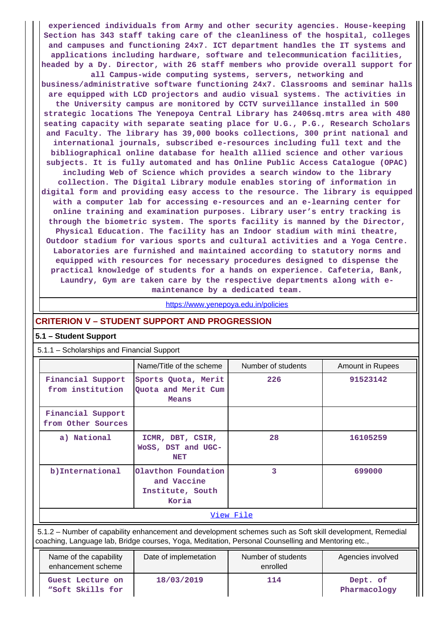**experienced individuals from Army and other security agencies. House-keeping Section has 343 staff taking care of the cleanliness of the hospital, colleges and campuses and functioning 24x7. ICT department handles the IT systems and applications including hardware, software and telecommunication facilities, headed by a Dy. Director, with 26 staff members who provide overall support for**

**all Campus-wide computing systems, servers, networking and business/administrative software functioning 24x7. Classrooms and seminar halls are equipped with LCD projectors and audio visual systems. The activities in the University campus are monitored by CCTV surveillance installed in 500 strategic locations The Yenepoya Central Library has 2406sq.mtrs area with 480 seating capacity with separate seating place for U.G., P.G., Research Scholars and Faculty. The library has 39,000 books collections, 300 print national and international journals, subscribed e-resources including full text and the bibliographical online database for health allied science and other various subjects. It is fully automated and has Online Public Access Catalogue (OPAC) including Web of Science which provides a search window to the library collection. The Digital Library module enables storing of information in digital form and providing easy access to the resource. The library is equipped with a computer lab for accessing e-resources and an e-learning center for online training and examination purposes. Library user's entry tracking is through the biometric system. The sports facility is manned by the Director, Physical Education. The facility has an Indoor stadium with mini theatre, Outdoor stadium for various sports and cultural activities and a Yoga Centre. Laboratories are furnished and maintained according to statutory norms and**

**equipped with resources for necessary procedures designed to dispense the practical knowledge of students for a hands on experience. Cafeteria, Bank, Laundry, Gym are taken care by the respective departments along with emaintenance by a dedicated team.**

<https://www.yenepoya.edu.in/policies>

## **CRITERION V – STUDENT SUPPORT AND PROGRESSION**

## **5.1 – Student Support**

## 5.1.1 – Scholarships and Financial Support

|                                         | Name/Title of the scheme                                        | Number of students | Amount in Rupees |  |  |  |
|-----------------------------------------|-----------------------------------------------------------------|--------------------|------------------|--|--|--|
| Financial Support<br>from institution   | Sports Quota, Merit<br>Quota and Merit Cum<br>Means             | 226                | 91523142         |  |  |  |
| Financial Support<br>from Other Sources |                                                                 |                    |                  |  |  |  |
| a) National                             | ICMR, DBT, CSIR,<br>WoSS, DST and UGC-<br><b>NET</b>            | 28                 | 16105259         |  |  |  |
| b) International                        | Olavthon Foundation<br>and Vaccine<br>Institute, South<br>Koria | 3                  | 699000           |  |  |  |
|                                         | View File                                                       |                    |                  |  |  |  |

 5.1.2 – Number of capability enhancement and development schemes such as Soft skill development, Remedial coaching, Language lab, Bridge courses, Yoga, Meditation, Personal Counselling and Mentoring etc.,

| Name of the capability<br>enhancement scheme | Date of implemetation | Number of students<br>enrolled | Agencies involved        |
|----------------------------------------------|-----------------------|--------------------------------|--------------------------|
| Guest Lecture on<br>"Soft Skills for         | 18/03/2019            | 114                            | Dept. of<br>Pharmacology |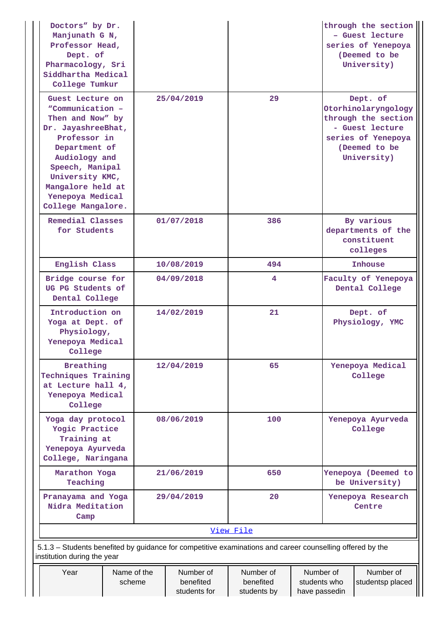| Doctors" by Dr.<br>Manjunath G N,<br>Professor Head,<br>Dept. of<br>Pharmacology, Sri<br>Siddhartha Medical<br>College Tumkur                                                                                                         |                       |                                        |                                       |                                                                             |                             | through the section<br>- Guest lecture<br>series of Yenepoya<br>(Deemed to be<br>University)                                    |
|---------------------------------------------------------------------------------------------------------------------------------------------------------------------------------------------------------------------------------------|-----------------------|----------------------------------------|---------------------------------------|-----------------------------------------------------------------------------|-----------------------------|---------------------------------------------------------------------------------------------------------------------------------|
| Guest Lecture on<br>"Communication -<br>Then and Now" by<br>Dr. JayashreeBhat,<br>Professor in<br>Department of<br>Audiology and<br>Speech, Manipal<br>University KMC,<br>Mangalore held at<br>Yenepoya Medical<br>College Mangalore. |                       | 25/04/2019                             | 29                                    |                                                                             |                             | Dept. of<br>Otorhinolaryngology<br>through the section<br>- Guest lecture<br>series of Yenepoya<br>(Deemed to be<br>University) |
| Remedial Classes<br>for Students                                                                                                                                                                                                      |                       | 01/07/2018                             | 386                                   |                                                                             |                             | By various<br>departments of the<br>constituent<br>colleges                                                                     |
| English Class                                                                                                                                                                                                                         | 10/08/2019            |                                        | 494                                   |                                                                             | <b>Inhouse</b>              |                                                                                                                                 |
| Bridge course for<br>UG PG Students of<br>Dental College                                                                                                                                                                              |                       | 04/09/2018                             | 4                                     |                                                                             |                             | Faculty of Yenepoya<br>Dental College                                                                                           |
| Introduction on<br>Yoga at Dept. of<br>Physiology,<br>Yenepoya Medical<br>College                                                                                                                                                     |                       | 14/02/2019                             | 21                                    |                                                                             |                             | Dept. of<br>Physiology, YMC                                                                                                     |
| <b>Breathing</b><br>Techniques Training<br>at Lecture hall 4,<br>Yenepoya Medical<br>College                                                                                                                                          |                       | 12/04/2019                             | 65                                    |                                                                             |                             | Yenepoya Medical<br>College                                                                                                     |
| Yoga day protocol<br>Yogic Practice<br>Training at<br>Yenepoya Ayurveda<br>College, Naringana                                                                                                                                         |                       | 08/06/2019                             | 100                                   |                                                                             |                             | Yenepoya Ayurveda<br>College                                                                                                    |
| Marathon Yoga<br>Teaching                                                                                                                                                                                                             |                       | 21/06/2019                             | 650                                   |                                                                             |                             | Yenepoya (Deemed to<br>be University)                                                                                           |
| Pranayama and Yoga<br>Nidra Meditation<br>Camp                                                                                                                                                                                        |                       | 29/04/2019                             | 20                                    |                                                                             | Yenepoya Research<br>Centre |                                                                                                                                 |
|                                                                                                                                                                                                                                       | View File             |                                        |                                       |                                                                             |                             |                                                                                                                                 |
| 5.1.3 – Students benefited by guidance for competitive examinations and career counselling offered by the<br>institution during the year                                                                                              |                       |                                        |                                       |                                                                             |                             |                                                                                                                                 |
| Year                                                                                                                                                                                                                                  | Name of the<br>scheme | Number of<br>benefited<br>students for | Number of<br>benefited<br>students by | Number of<br>Number of<br>students who<br>studentsp placed<br>have passedin |                             |                                                                                                                                 |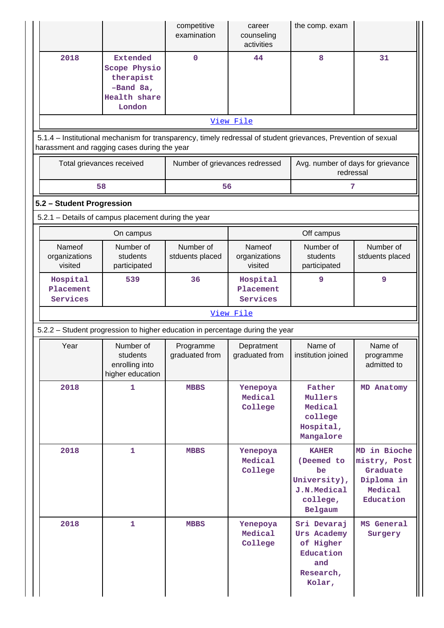|                                                                                                                                                                |                                                                                     | competitive<br>examination     | career<br>counseling<br>activities | the comp. exam                                                                         |                                                                                |  |  |  |  |
|----------------------------------------------------------------------------------------------------------------------------------------------------------------|-------------------------------------------------------------------------------------|--------------------------------|------------------------------------|----------------------------------------------------------------------------------------|--------------------------------------------------------------------------------|--|--|--|--|
| 2018                                                                                                                                                           | <b>Extended</b><br>Scope Physio<br>therapist<br>-Band 8a,<br>Health share<br>London | $\mathbf 0$                    | 44                                 | 8                                                                                      | 31                                                                             |  |  |  |  |
|                                                                                                                                                                |                                                                                     |                                | View File                          |                                                                                        |                                                                                |  |  |  |  |
| 5.1.4 – Institutional mechanism for transparency, timely redressal of student grievances, Prevention of sexual<br>harassment and ragging cases during the year |                                                                                     |                                |                                    |                                                                                        |                                                                                |  |  |  |  |
| Total grievances received                                                                                                                                      |                                                                                     | Number of grievances redressed |                                    | Avg. number of days for grievance<br>redressal                                         |                                                                                |  |  |  |  |
| 58                                                                                                                                                             |                                                                                     | 56                             |                                    | 7                                                                                      |                                                                                |  |  |  |  |
| 5.2 - Student Progression                                                                                                                                      |                                                                                     |                                |                                    |                                                                                        |                                                                                |  |  |  |  |
| 5.2.1 - Details of campus placement during the year                                                                                                            |                                                                                     |                                |                                    |                                                                                        |                                                                                |  |  |  |  |
| Nameof<br>organizations<br>visited                                                                                                                             | On campus<br>Number of<br>students<br>participated                                  | Number of<br>stduents placed   | Nameof<br>organizations<br>visited | Off campus<br>Number of<br>students<br>participated                                    | Number of<br>stduents placed                                                   |  |  |  |  |
| Hospital<br>Placement<br>Services                                                                                                                              | 539                                                                                 | 36                             | Hospital<br>Placement<br>Services  | 9                                                                                      | 9                                                                              |  |  |  |  |
|                                                                                                                                                                |                                                                                     |                                | View File                          |                                                                                        |                                                                                |  |  |  |  |
| 5.2.2 - Student progression to higher education in percentage during the year                                                                                  |                                                                                     |                                |                                    |                                                                                        |                                                                                |  |  |  |  |
| Year                                                                                                                                                           | Number of<br>students<br>enrolling into<br>higher education                         | Programme<br>graduated from    | Depratment<br>graduated from       | Name of<br>institution joined                                                          | Name of<br>programme<br>admitted to                                            |  |  |  |  |
| 2018                                                                                                                                                           | 1                                                                                   | <b>MBBS</b>                    | Yenepoya<br>Medical<br>College     | Father<br>Mullers<br>Medical<br>college<br>Hospital,<br>Mangalore                      | MD Anatomy                                                                     |  |  |  |  |
| 2018                                                                                                                                                           | $\mathbf{1}$                                                                        | <b>MBBS</b>                    | Yenepoya<br>Medical<br>College     | <b>KAHER</b><br>(Deemed to<br>be<br>University),<br>J.N.Medical<br>college,<br>Belgaum | MD in Bioche<br>mistry, Post<br>Graduate<br>Diploma in<br>Medical<br>Education |  |  |  |  |
| 2018                                                                                                                                                           | $\mathbf{1}$                                                                        | <b>MBBS</b>                    | Yenepoya<br>Medical<br>College     | Sri Devaraj<br>Urs Academy<br>of Higher<br>Education<br>and<br>Research,<br>Kolar,     | MS General<br>Surgery                                                          |  |  |  |  |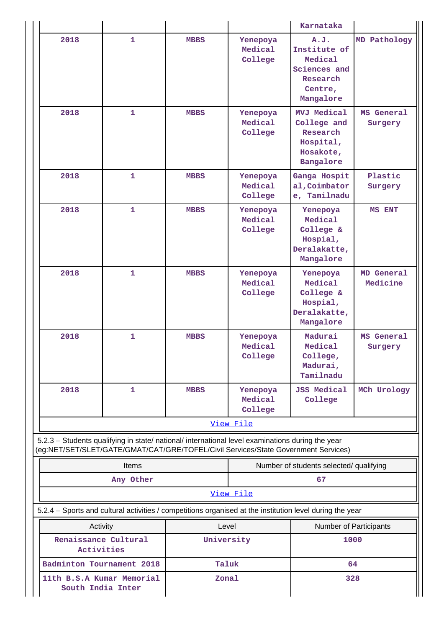|                                                                                                                                                                                        |              |             |                                | Karnataka                                                                            |                        |  |
|----------------------------------------------------------------------------------------------------------------------------------------------------------------------------------------|--------------|-------------|--------------------------------|--------------------------------------------------------------------------------------|------------------------|--|
| 2018                                                                                                                                                                                   | $\mathbf{1}$ | <b>MBBS</b> | Yenepoya<br>Medical<br>College | A.J.<br>Institute of<br>Medical<br>Sciences and<br>Research<br>Centre,<br>Mangalore  | MD Pathology           |  |
| 2018                                                                                                                                                                                   | $\mathbf{1}$ | <b>MBBS</b> | Yenepoya<br>Medical<br>College | <b>MVJ Medical</b><br>College and<br>Research<br>Hospital,<br>Hosakote,<br>Bangalore | MS General<br>Surgery  |  |
| 2018                                                                                                                                                                                   | $\mathbf{1}$ | <b>MBBS</b> | Yenepoya<br>Medical<br>College | Ganga Hospit<br>al, Coimbator<br>e, Tamilnadu                                        | Plastic<br>Surgery     |  |
| 2018                                                                                                                                                                                   | $\mathbf{1}$ | <b>MBBS</b> | Yenepoya<br>Medical<br>College | Yenepoya<br>Medical<br>College &<br>Hospial,<br>Deralakatte,<br>Mangalore            | MS ENT                 |  |
| 2018                                                                                                                                                                                   | $\mathbf{1}$ | <b>MBBS</b> | Yenepoya<br>Medical<br>College | Yenepoya<br>Medical<br>College &<br>Hospial,<br>Deralakatte,<br>Mangalore            | MD General<br>Medicine |  |
| 2018                                                                                                                                                                                   | $\mathbf{1}$ | <b>MBBS</b> | Yenepoya<br>Medical<br>College | Madurai<br>Medical<br>College,<br>Madurai,<br>Tamilnadu                              | MS General<br>Surgery  |  |
| 2018                                                                                                                                                                                   | 1            | <b>MBBS</b> | Yenepoya<br>Medical<br>College | <b>JSS Medical</b><br>College                                                        | MCh Urology            |  |
|                                                                                                                                                                                        |              |             | View File                      |                                                                                      |                        |  |
| 5.2.3 - Students qualifying in state/ national/ international level examinations during the year<br>(eg:NET/SET/SLET/GATE/GMAT/CAT/GRE/TOFEL/Civil Services/State Government Services) |              |             |                                |                                                                                      |                        |  |
|                                                                                                                                                                                        | Items        |             |                                | Number of students selected/ qualifying                                              |                        |  |
| Any Other<br>67<br>View File                                                                                                                                                           |              |             |                                |                                                                                      |                        |  |
| 5.2.4 - Sports and cultural activities / competitions organised at the institution level during the year                                                                               |              |             |                                |                                                                                      |                        |  |
| Activity                                                                                                                                                                               |              | Level       |                                | Number of Participants                                                               |                        |  |
| Renaissance Cultural<br>Activities                                                                                                                                                     |              | University  |                                | 1000                                                                                 |                        |  |
| Badminton Tournament 2018                                                                                                                                                              |              | Taluk       |                                | 64                                                                                   |                        |  |
| 11th B.S.A Kumar Memorial<br>South India Inter                                                                                                                                         |              | Zonal       |                                | 328                                                                                  |                        |  |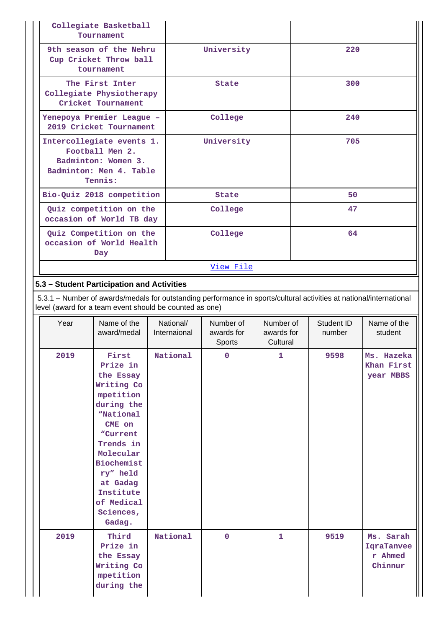| Collegiate Basketball<br>Tournament                                                                       |              |     |
|-----------------------------------------------------------------------------------------------------------|--------------|-----|
| 9th season of the Nehru<br>Cup Cricket Throw ball<br>tournament                                           | University   | 220 |
| The First Inter<br>Collegiate Physiotherapy<br>Cricket Tournament                                         | State        | 300 |
| Yenepoya Premier League -<br>2019 Cricket Tournament                                                      | College      | 240 |
| Intercollegiate events 1.<br>Football Men 2.<br>Badminton: Women 3.<br>Badminton: Men 4. Table<br>Tennis: | University   | 705 |
| Bio-Quiz 2018 competition                                                                                 | <b>State</b> | 50  |
| Quiz competition on the<br>occasion of World TB day                                                       | College      | 47  |
| Quiz Competition on the<br>occasion of World Health<br>Day                                                | College      | 64  |
|                                                                                                           | View File    |     |

# **5.3 – Student Participation and Activities**

 5.3.1 – Number of awards/medals for outstanding performance in sports/cultural activities at national/international level (award for a team event should be counted as one)

| Year | Name of the<br>award/medal                                                                                                                                                                                                   | National/<br>Internaional | Number of<br>awards for<br>Sports | Number of<br>awards for<br>Cultural | Student ID<br>number | Name of the<br>student                        |
|------|------------------------------------------------------------------------------------------------------------------------------------------------------------------------------------------------------------------------------|---------------------------|-----------------------------------|-------------------------------------|----------------------|-----------------------------------------------|
| 2019 | First<br>Prize in<br>the Essay<br>Writing Co<br>mpetition<br>during the<br>"National<br>CME on<br>"Current<br>Trends in<br>Molecular<br>Biochemist<br>ry" held<br>at Gadag<br>Institute<br>of Medical<br>Sciences,<br>Gadag. | National                  | 0                                 | $\mathbf{1}$                        | 9598                 | Ms. Hazeka<br>Khan First<br>year MBBS         |
| 2019 | Third<br>Prize in<br>the Essay<br>Writing Co<br>mpetition<br>during the                                                                                                                                                      | National                  | $\mathbf 0$                       | $\mathbf{1}$                        | 9519                 | Ms. Sarah<br>IqraTanvee<br>r Ahmed<br>Chinnur |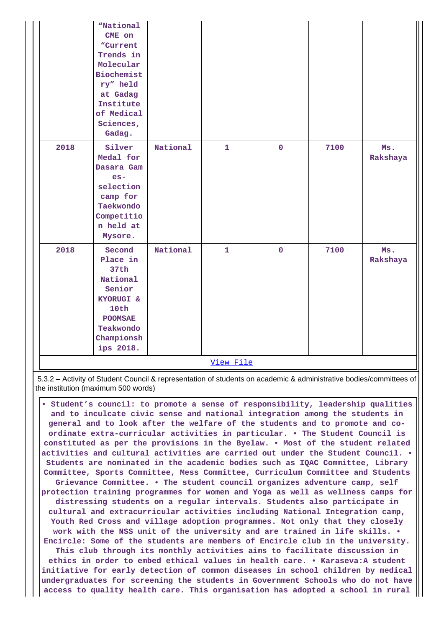| National<br>2018<br>Silver<br>$\mathbf 0$<br>7100<br>$\mathbf{1}$<br>Ms.<br>Medal for<br>Dasara Gam<br>$es-$<br>selection<br>camp for<br>Taekwondo<br>Competitio<br>n held at<br>Mysore.<br>National<br>2018<br>$\mathbf{1}$<br>$\mathbf{O}$<br>Second<br>7100<br>Ms.<br>Place in<br>37th<br>National<br>Senior<br>KYORUGI &<br>10th<br><b>POOMSAE</b><br>Teakwondo<br>Championsh |  | "National<br>CME on<br>"Current<br>Trends in<br>Molecular<br>Biochemist<br>ry" held<br>at Gadag<br>Institute<br>of Medical<br>Sciences,<br>Gadag. |  |  |          |
|-----------------------------------------------------------------------------------------------------------------------------------------------------------------------------------------------------------------------------------------------------------------------------------------------------------------------------------------------------------------------------------|--|---------------------------------------------------------------------------------------------------------------------------------------------------|--|--|----------|
|                                                                                                                                                                                                                                                                                                                                                                                   |  |                                                                                                                                                   |  |  | Rakshaya |
| ips 2018.<br>View File                                                                                                                                                                                                                                                                                                                                                            |  |                                                                                                                                                   |  |  | Rakshaya |

 5.3.2 – Activity of Student Council & representation of students on academic & administrative bodies/committees of the institution (maximum 500 words)

 **• Student's council: to promote a sense of responsibility, leadership qualities and to inculcate civic sense and national integration among the students in general and to look after the welfare of the students and to promote and coordinate extra-curricular activities in particular. • The Student Council is constituted as per the provisions in the Byelaw. • Most of the student related activities and cultural activities are carried out under the Student Council. • Students are nominated in the academic bodies such as IQAC Committee, Library Committee, Sports Committee, Mess Committee, Curriculum Committee and Students Grievance Committee. • The student council organizes adventure camp, self protection training programmes for women and Yoga as well as wellness camps for distressing students on a regular intervals. Students also participate in cultural and extracurricular activities including National Integration camp, Youth Red Cross and village adoption programmes. Not only that they closely work with the NSS unit of the university and are trained in life skills. • Encircle: Some of the students are members of Encircle club in the university. This club through its monthly activities aims to facilitate discussion in ethics in order to embed ethical values in health care. • Karaseva:A student initiative for early detection of common diseases in school children by medical undergraduates for screening the students in Government Schools who do not have access to quality health care. This organisation has adopted a school in rural**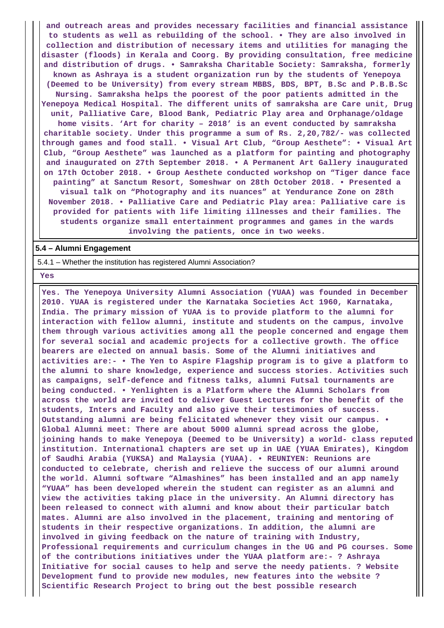**and outreach areas and provides necessary facilities and financial assistance to students as well as rebuilding of the school. • They are also involved in collection and distribution of necessary items and utilities for managing the disaster (floods) in Kerala and Coorg. By providing consultation, free medicine and distribution of drugs. • Samraksha Charitable Society: Samraksha, formerly known as Ashraya is a student organization run by the students of Yenepoya (Deemed to be University) from every stream MBBS, BDS, BPT, B.Sc and P.B.B.Sc Nursing. Samraksha helps the poorest of the poor patients admitted in the Yenepoya Medical Hospital. The different units of samraksha are Care unit, Drug unit, Palliative Care, Blood Bank, Pediatric Play area and Orphanage/oldage home visits. 'Art for charity – 2018' is an event conducted by samraksha charitable society. Under this programme a sum of Rs. 2,20,782/- was collected through games and food stall. • Visual Art Club, "Group Aesthete": • Visual Art Club, "Group Aesthete" was launched as a platform for painting and photography and inaugurated on 27th September 2018. • A Permanent Art Gallery inaugurated on 17th October 2018. • Group Aesthete conducted workshop on "Tiger dance face painting" at Sanctum Resort, Someshwar on 28th October 2018. • Presented a visual talk on "Photography and its nuances" at Yendurance Zone on 28th November 2018. • Palliative Care and Pediatric Play area: Palliative care is provided for patients with life limiting illnesses and their families. The students organize small entertainment programmes and games in the wards involving the patients, once in two weeks.**

### **5.4 – Alumni Engagement**

5.4.1 – Whether the institution has registered Alumni Association?

 **Yes**

 **Yes. The Yenepoya University Alumni Association (YUAA) was founded in December 2010. YUAA is registered under the Karnataka Societies Act 1960, Karnataka, India. The primary mission of YUAA is to provide platform to the alumni for interaction with fellow alumni, institute and students on the campus, involve them through various activities among all the people concerned and engage them for several social and academic projects for a collective growth. The office bearers are elected on annual basis. Some of the Alumni initiatives and activities are:- • The Yen to Aspire Flagship program is to give a platform to the alumni to share knowledge, experience and success stories. Activities such as campaigns, self-defence and fitness talks, alumni Futsal tournaments are being conducted. • Yenlighten is a Platform where the Alumni Scholars from across the world are invited to deliver Guest Lectures for the benefit of the students, Inters and Faculty and also give their testimonies of success. Outstanding alumni are being felicitated whenever they visit our campus. • Global Alumni meet: There are about 5000 alumni spread across the globe, joining hands to make Yenepoya (Deemed to be University) a world- class reputed institution. International chapters are set up in UAE (YUAA Emirates), Kingdom of Saudhi Arabia (YUKSA) and Malaysia (YUAA). • REUNIYEN: Reunions are conducted to celebrate, cherish and relieve the success of our alumni around the world. Alumni software "Almashines" has been installed and an app namely "YUAA" has been developed wherein the student can register as an alumni and view the activities taking place in the university. An Alumni directory has been released to connect with alumni and know about their particular batch mates. Alumni are also involved in the placement, training and mentoring of students in their respective organizations. In addition, the alumni are involved in giving feedback on the nature of training with Industry, Professional requirements and curriculum changes in the UG and PG courses. Some of the contributions initiatives under the YUAA platform are:- ? Ashraya Initiative for social causes to help and serve the needy patients. ? Website Development fund to provide new modules, new features into the website ? Scientific Research Project to bring out the best possible research**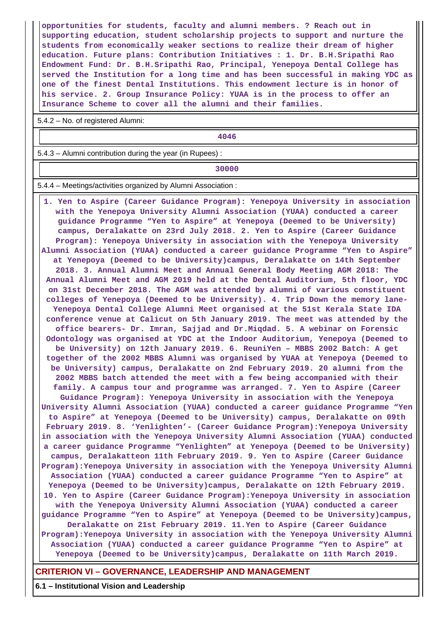**opportunities for students, faculty and alumni members. ? Reach out in supporting education, student scholarship projects to support and nurture the students from economically weaker sections to realize their dream of higher education. Future plans: Contribution Initiatives : 1. Dr. B.H.Sripathi Rao Endowment Fund: Dr. B.H.Sripathi Rao, Principal, Yenepoya Dental College has served the Institution for a long time and has been successful in making YDC as one of the finest Dental Institutions. This endowment lecture is in honor of his service. 2. Group Insurance Policy: YUAA is in the process to offer an Insurance Scheme to cover all the alumni and their families.**

5.4.2 – No. of registered Alumni:

**4046**

5.4.3 – Alumni contribution during the year (in Rupees) :

**1 30000** 

5.4.4 – Meetings/activities organized by Alumni Association :

 **1. Yen to Aspire (Career Guidance Program): Yenepoya University in association with the Yenepoya University Alumni Association (YUAA) conducted a career guidance Programme "Yen to Aspire" at Yenepoya (Deemed to be University) campus, Deralakatte on 23rd July 2018. 2. Yen to Aspire (Career Guidance Program): Yenepoya University in association with the Yenepoya University Alumni Association (YUAA) conducted a career guidance Programme "Yen to Aspire" at Yenepoya (Deemed to be University)campus, Deralakatte on 14th September 2018. 3. Annual Alumni Meet and Annual General Body Meeting AGM 2018: The Annual Alumni Meet and AGM 2019 held at the Dental Auditorium, 5th floor, YDC on 31st December 2018. The AGM was attended by alumni of various constituent colleges of Yenepoya (Deemed to be University). 4. Trip Down the memory lane-Yenepoya Dental College Alumni Meet organised at the 51st Kerala State IDA conference venue at Calicut on 5th January 2019. The meet was attended by the office bearers- Dr. Imran, Sajjad and Dr.Miqdad. 5. A webinar on Forensic Odontology was organised at YDC at the Indoor Auditorium, Yenepoya (Deemed to be University) on 12th January 2019. 6. ReuniYen – MBBS 2002 Batch: A get together of the 2002 MBBS Alumni was organised by YUAA at Yenepoya (Deemed to be University) campus, Deralakatte on 2nd February 2019. 20 alumni from the 2002 MBBS batch attended the meet with a few being accompanied with their family. A campus tour and programme was arranged. 7. Yen to Aspire (Career Guidance Program): Yenepoya University in association with the Yenepoya University Alumni Association (YUAA) conducted a career guidance Programme "Yen to Aspire" at Yenepoya (Deemed to be University) campus, Deralakatte on 09th February 2019. 8. 'Yenlighten'- (Career Guidance Program):Yenepoya University in association with the Yenepoya University Alumni Association (YUAA) conducted a career guidance Programme "Yenlighten" at Yenepoya (Deemed to be University) campus, Deralakatteon 11th February 2019. 9. Yen to Aspire (Career Guidance Program):Yenepoya University in association with the Yenepoya University Alumni Association (YUAA) conducted a career guidance Programme "Yen to Aspire" at Yenepoya (Deemed to be University)campus, Deralakatte on 12th February 2019. 10. Yen to Aspire (Career Guidance Program):Yenepoya University in association with the Yenepoya University Alumni Association (YUAA) conducted a career guidance Programme "Yen to Aspire" at Yenepoya (Deemed to be University)campus, Deralakatte on 21st February 2019. 11.Yen to Aspire (Career Guidance Program):Yenepoya University in association with the Yenepoya University Alumni Association (YUAA) conducted a career guidance Programme "Yen to Aspire" at Yenepoya (Deemed to be University)campus, Deralakatte on 11th March 2019.**

## **CRITERION VI – GOVERNANCE, LEADERSHIP AND MANAGEMENT**

**6.1 – Institutional Vision and Leadership**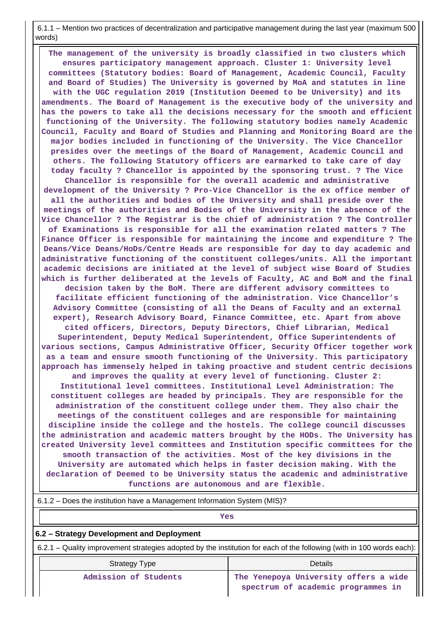6.1.1 – Mention two practices of decentralization and participative management during the last year (maximum 500 words)

 **The management of the university is broadly classified in two clusters which ensures participatory management approach. Cluster 1: University level committees (Statutory bodies: Board of Management, Academic Council, Faculty and Board of Studies) The University is governed by MoA and statutes in line with the UGC regulation 2019 (Institution Deemed to be University) and its amendments. The Board of Management is the executive body of the university and has the powers to take all the decisions necessary for the smooth and efficient functioning of the University. The following statutory bodies namely Academic Council, Faculty and Board of Studies and Planning and Monitoring Board are the major bodies included in functioning of the University. The Vice Chancellor presides over the meetings of the Board of Management, Academic Council and others. The following Statutory officers are earmarked to take care of day today faculty ? Chancellor is appointed by the sponsoring trust. ? The Vice Chancellor is responsible for the overall academic and administrative development of the University ? Pro-Vice Chancellor is the ex office member of all the authorities and bodies of the University and shall preside over the meetings of the authorities and Bodies of the University in the absence of the Vice Chancellor ? The Registrar is the chief of administration ? The Controller of Examinations is responsible for all the examination related matters ? The Finance Officer is responsible for maintaining the income and expenditure ? The Deans/Vice Deans/HoDs/Centre Heads are responsible for day to day academic and administrative functioning of the constituent colleges/units. All the important academic decisions are initiated at the level of subject wise Board of Studies which is further deliberated at the levels of Faculty, AC and BoM and the final decision taken by the BoM. There are different advisory committees to facilitate efficient functioning of the administration. Vice Chancellor's Advisory Committee (consisting of all the Deans of Faculty and an external expert), Research Advisory Board, Finance Committee, etc. Apart from above cited officers, Directors, Deputy Directors, Chief Librarian, Medical Superintendent, Deputy Medical Superintendent, Office Superintendents of various sections, Campus Administrative Officer, Security Officer together work as a team and ensure smooth functioning of the University. This participatory approach has immensely helped in taking proactive and student centric decisions and improves the quality at every level of functioning. Cluster 2: Institutional level committees. Institutional Level Administration: The constituent colleges are headed by principals. They are responsible for the administration of the constituent college under them. They also chair the meetings of the constituent colleges and are responsible for maintaining discipline inside the college and the hostels. The college council discusses the administration and academic matters brought by the HODs. The University has created University level committees and Institution specific committees for the smooth transaction of the activities. Most of the key divisions in the University are automated which helps in faster decision making. With the declaration of Deemed to be University status the academic and administrative functions are autonomous and are flexible.**

| 6.1.2 - Does the institution have a Management Information System (MIS)?                                              |                                                                             |  |  |
|-----------------------------------------------------------------------------------------------------------------------|-----------------------------------------------------------------------------|--|--|
| Yes                                                                                                                   |                                                                             |  |  |
| 6.2 – Strategy Development and Deployment                                                                             |                                                                             |  |  |
| 6.2.1 – Quality improvement strategies adopted by the institution for each of the following (with in 100 words each): |                                                                             |  |  |
| Details<br>Strategy Type                                                                                              |                                                                             |  |  |
| Admission of Students                                                                                                 | The Yenepoya University offers a wide<br>spectrum of academic programmes in |  |  |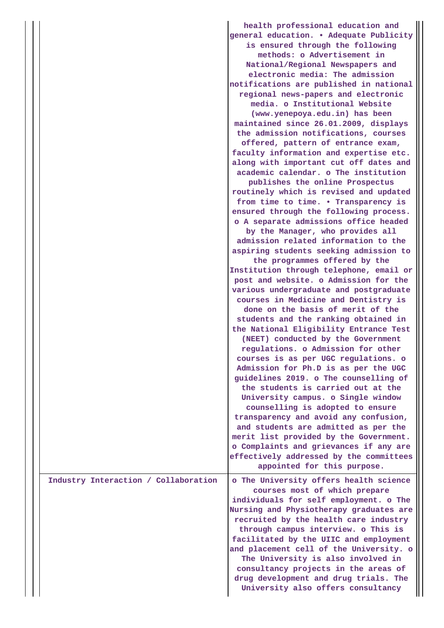|                                      | health professional education and<br>general education. . Adequate Publicity<br>is ensured through the following<br>methods: o Advertisement in<br>National/Regional Newspapers and<br>electronic media: The admission<br>notifications are published in national<br>regional news-papers and electronic<br>media. o Institutional Website<br>(www.yenepoya.edu.in) has been<br>maintained since 26.01.2009, displays<br>the admission notifications, courses<br>offered, pattern of entrance exam,<br>faculty information and expertise etc.<br>along with important cut off dates and<br>academic calendar, o The institution<br>publishes the online Prospectus<br>routinely which is revised and updated<br>from time to time. . Transparency is<br>ensured through the following process.<br>o A separate admissions office headed<br>by the Manager, who provides all<br>admission related information to the<br>aspiring students seeking admission to<br>the programmes offered by the<br>Institution through telephone, email or<br>post and website. o Admission for the<br>various undergraduate and postgraduate<br>courses in Medicine and Dentistry is<br>done on the basis of merit of the<br>students and the ranking obtained in<br>the National Eligibility Entrance Test<br>(NEET) conducted by the Government<br>regulations. o Admission for other<br>courses is as per UGC regulations. o<br>Admission for Ph.D is as per the UGC<br>guidelines 2019. o The counselling of<br>the students is carried out at the<br>University campus. o Single window<br>counselling is adopted to ensure<br>transparency and avoid any confusion,<br>and students are admitted as per the |
|--------------------------------------|---------------------------------------------------------------------------------------------------------------------------------------------------------------------------------------------------------------------------------------------------------------------------------------------------------------------------------------------------------------------------------------------------------------------------------------------------------------------------------------------------------------------------------------------------------------------------------------------------------------------------------------------------------------------------------------------------------------------------------------------------------------------------------------------------------------------------------------------------------------------------------------------------------------------------------------------------------------------------------------------------------------------------------------------------------------------------------------------------------------------------------------------------------------------------------------------------------------------------------------------------------------------------------------------------------------------------------------------------------------------------------------------------------------------------------------------------------------------------------------------------------------------------------------------------------------------------------------------------------------------------------------------------------------------------------------------------|
|                                      | merit list provided by the Government.<br>o Complaints and grievances if any are<br>effectively addressed by the committees<br>appointed for this purpose.                                                                                                                                                                                                                                                                                                                                                                                                                                                                                                                                                                                                                                                                                                                                                                                                                                                                                                                                                                                                                                                                                                                                                                                                                                                                                                                                                                                                                                                                                                                                        |
| Industry Interaction / Collaboration | o The University offers health science<br>courses most of which prepare<br>individuals for self employment. o The<br>Nursing and Physiotherapy graduates are<br>recruited by the health care industry<br>through campus interview. o This is<br>facilitated by the UIIC and employment<br>and placement cell of the University. o<br>The University is also involved in<br>consultancy projects in the areas of<br>drug development and drug trials. The<br>University also offers consultancy                                                                                                                                                                                                                                                                                                                                                                                                                                                                                                                                                                                                                                                                                                                                                                                                                                                                                                                                                                                                                                                                                                                                                                                                    |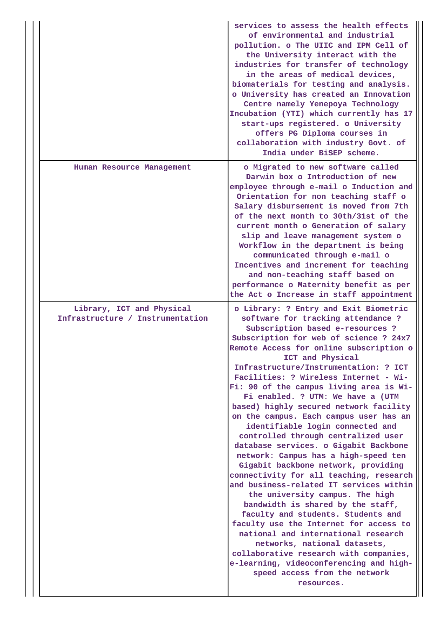|  |                                                               | services to assess the health effects<br>of environmental and industrial<br>pollution. o The UIIC and IPM Cell of<br>the University interact with the<br>industries for transfer of technology<br>in the areas of medical devices,<br>biomaterials for testing and analysis.<br>o University has created an Innovation<br>Centre namely Yenepoya Technology<br>Incubation (YTI) which currently has 17<br>start-ups registered. o University<br>offers PG Diploma courses in<br>collaboration with industry Govt. of<br>India under BiSEP scheme.                                                                                                                                                                                                                                                                                                                                                                                                                                                                                                                                                                                          |
|--|---------------------------------------------------------------|--------------------------------------------------------------------------------------------------------------------------------------------------------------------------------------------------------------------------------------------------------------------------------------------------------------------------------------------------------------------------------------------------------------------------------------------------------------------------------------------------------------------------------------------------------------------------------------------------------------------------------------------------------------------------------------------------------------------------------------------------------------------------------------------------------------------------------------------------------------------------------------------------------------------------------------------------------------------------------------------------------------------------------------------------------------------------------------------------------------------------------------------|
|  | Human Resource Management                                     | o Migrated to new software called<br>Darwin box o Introduction of new<br>employee through e-mail o Induction and<br>Orientation for non teaching staff o<br>Salary disbursement is moved from 7th<br>of the next month to 30th/31st of the<br>current month o Generation of salary<br>slip and leave management system o<br>Workflow in the department is being<br>communicated through e-mail o<br>Incentives and increment for teaching<br>and non-teaching staff based on<br>performance o Maternity benefit as per<br>the Act o Increase in staff appointment                                                                                                                                                                                                                                                                                                                                                                                                                                                                                                                                                                          |
|  | Library, ICT and Physical<br>Infrastructure / Instrumentation | o Library: ? Entry and Exit Biometric<br>software for tracking attendance ?<br>Subscription based e-resources ?<br>Subscription for web of science ? 24x7<br>Remote Access for online subscription o<br>ICT and Physical<br>Infrastructure/Instrumentation: ? ICT<br>Facilities: ? Wireless Internet - Wi-<br>Fi: 90 of the campus living area is Wi-<br>Fi enabled. ? UTM: We have a (UTM<br>based) highly secured network facility<br>on the campus. Each campus user has an<br>identifiable login connected and<br>controlled through centralized user<br>database services. o Gigabit Backbone<br>network: Campus has a high-speed ten<br>Gigabit backbone network, providing<br>connectivity for all teaching, research<br>and business-related IT services within<br>the university campus. The high<br>bandwidth is shared by the staff,<br>faculty and students. Students and<br>faculty use the Internet for access to<br>national and international research<br>networks, national datasets,<br>collaborative research with companies,<br>e-learning, videoconferencing and high-<br>speed access from the network<br>resources. |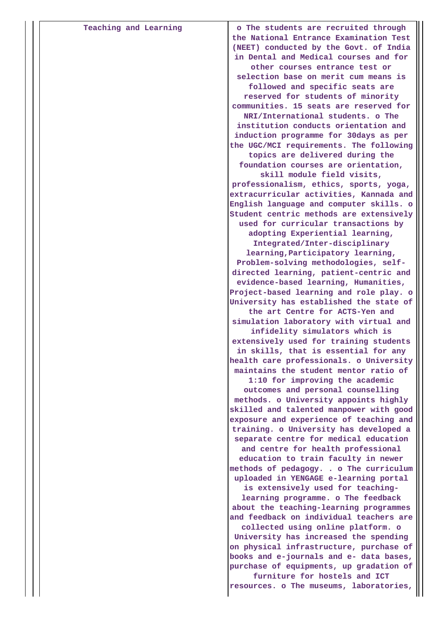| Teaching and Learning | o The students are recruited through    |
|-----------------------|-----------------------------------------|
|                       | the National Entrance Examination Test  |
|                       | (NEET) conducted by the Govt. of India  |
|                       | in Dental and Medical courses and for   |
|                       | other courses entrance test or          |
|                       | selection base on merit cum means is    |
|                       | followed and specific seats are         |
|                       | reserved for students of minority       |
|                       | communities. 15 seats are reserved for  |
|                       | NRI/International students. o The       |
|                       | institution conducts orientation and    |
|                       | induction programme for 30days as per   |
|                       | the UGC/MCI requirements. The following |
|                       | topics are delivered during the         |
|                       | foundation courses are orientation,     |
|                       | skill module field visits,              |
|                       | professionalism, ethics, sports, yoga,  |
|                       | extracurricular activities, Kannada and |
|                       | English language and computer skills. o |
|                       | Student centric methods are extensively |
|                       | used for curricular transactions by     |
|                       | adopting Experiential learning,         |
|                       | Integrated/Inter-disciplinary           |
|                       | learning, Participatory learning,       |
|                       | Problem-solving methodologies, self-    |
|                       | directed learning, patient-centric and  |
|                       | evidence-based learning, Humanities,    |
|                       | Project-based learning and role play. o |
|                       | University has established the state of |
|                       | the art Centre for ACTS-Yen and         |
|                       | simulation laboratory with virtual and  |
|                       | infidelity simulators which is          |
|                       | extensively used for training students  |
|                       | in skills, that is essential for any    |
|                       | health care professionals. o University |
|                       | maintains the student mentor ratio of   |
|                       | 1:10 for improving the academic         |
|                       | outcomes and personal counselling       |
|                       | methods. o University appoints highly   |
|                       | skilled and talented manpower with good |
|                       | exposure and experience of teaching and |
|                       | training. o University has developed a  |
|                       | separate centre for medical education   |
|                       | and centre for health professional      |
|                       | education to train faculty in newer     |
|                       | methods of pedagogy. . o The curriculum |
|                       | uploaded in YENGAGE e-learning portal   |
|                       | is extensively used for teaching-       |
|                       | learning programme. o The feedback      |
|                       | about the teaching-learning programmes  |
|                       | and feedback on individual teachers are |
|                       | collected using online platform. o      |
|                       | University has increased the spending   |
|                       | on physical infrastructure, purchase of |
|                       | books and e-journals and e- data bases, |
|                       | purchase of equipments, up gradation of |
|                       | furniture for hostels and ICT           |
|                       | resources. o The museums, laboratories, |
|                       |                                         |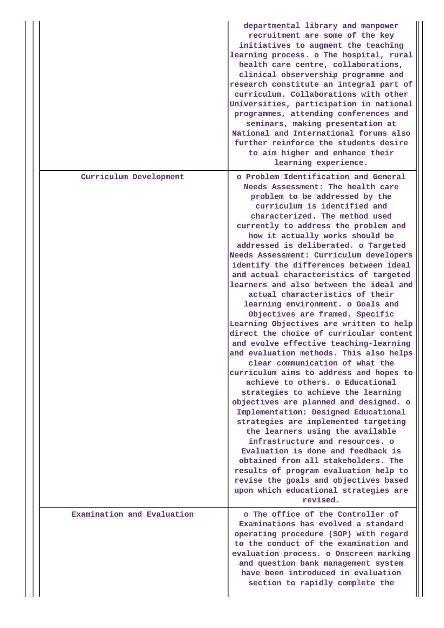|                            | departmental library and manpower<br>recruitment are some of the key<br>initiatives to augment the teaching<br>learning process. o The hospital, rural<br>health care centre, collaborations,<br>clinical observership programme and<br>research constitute an integral part of<br>curriculum. Collaborations with other<br>Universities, participation in national<br>programmes, attending conferences and<br>seminars, making presentation at<br>National and International forums also<br>further reinforce the students desire<br>to aim higher and enhance their<br>learning experience.                                                                                                                                                                                                                                                                                                                                                                                                                                                                                                                                                                                                                                                                                                                                    |
|----------------------------|-----------------------------------------------------------------------------------------------------------------------------------------------------------------------------------------------------------------------------------------------------------------------------------------------------------------------------------------------------------------------------------------------------------------------------------------------------------------------------------------------------------------------------------------------------------------------------------------------------------------------------------------------------------------------------------------------------------------------------------------------------------------------------------------------------------------------------------------------------------------------------------------------------------------------------------------------------------------------------------------------------------------------------------------------------------------------------------------------------------------------------------------------------------------------------------------------------------------------------------------------------------------------------------------------------------------------------------|
| Curriculum Development     | o Problem Identification and General<br>Needs Assessment: The health care<br>problem to be addressed by the<br>curriculum is identified and<br>characterized. The method used<br>currently to address the problem and<br>how it actually works should be<br>addressed is deliberated. o Targeted<br>Needs Assessment: Curriculum developers<br>identify the differences between ideal<br>and actual characteristics of targeted<br>learners and also between the ideal and<br>actual characteristics of their<br>learning environment. o Goals and<br>Objectives are framed. Specific<br>Learning Objectives are written to help<br>direct the choice of curricular content<br>and evolve effective teaching-learning<br>and evaluation methods. This also helps<br>clear communication of what the<br>curriculum aims to address and hopes to<br>achieve to others, o Educational<br>strategies to achieve the learning<br>objectives are planned and designed. o<br>Implementation: Designed Educational<br>strategies are implemented targeting<br>the learners using the available<br>infrastructure and resources. o<br>Evaluation is done and feedback is<br>obtained from all stakeholders. The<br>results of program evaluation help to<br>revise the goals and objectives based<br>upon which educational strategies are |
| Examination and Evaluation | revised.<br>o The office of the Controller of<br>Examinations has evolved a standard<br>operating procedure (SOP) with regard<br>to the conduct of the examination and<br>evaluation process. o Onscreen marking<br>and question bank management system<br>have been introduced in evaluation<br>section to rapidly complete the                                                                                                                                                                                                                                                                                                                                                                                                                                                                                                                                                                                                                                                                                                                                                                                                                                                                                                                                                                                                  |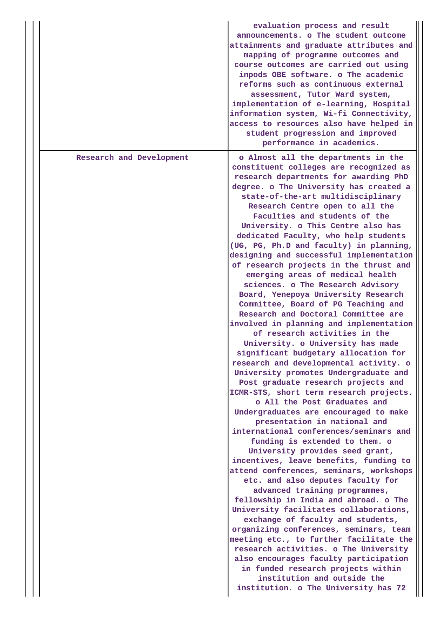|                          | evaluation process and result<br>announcements. o The student outcome<br>attainments and graduate attributes and<br>mapping of programme outcomes and<br>course outcomes are carried out using<br>inpods OBE software. o The academic<br>reforms such as continuous external<br>assessment, Tutor Ward system,<br>implementation of e-learning, Hospital<br>information system, Wi-fi Connectivity,<br>access to resources also have helped in<br>student progression and improved<br>performance in academics.                                                                                                                                                                                                                                                                                                                                                                                                                                                                                                                                                                                                                                                                                                                                                                                                                                                                                                                                                                                                                                                                                                                                                                                                                                                                                                     |
|--------------------------|---------------------------------------------------------------------------------------------------------------------------------------------------------------------------------------------------------------------------------------------------------------------------------------------------------------------------------------------------------------------------------------------------------------------------------------------------------------------------------------------------------------------------------------------------------------------------------------------------------------------------------------------------------------------------------------------------------------------------------------------------------------------------------------------------------------------------------------------------------------------------------------------------------------------------------------------------------------------------------------------------------------------------------------------------------------------------------------------------------------------------------------------------------------------------------------------------------------------------------------------------------------------------------------------------------------------------------------------------------------------------------------------------------------------------------------------------------------------------------------------------------------------------------------------------------------------------------------------------------------------------------------------------------------------------------------------------------------------------------------------------------------------------------------------------------------------|
| Research and Development | o Almost all the departments in the<br>constituent colleges are recognized as<br>research departments for awarding PhD<br>degree. o The University has created a<br>state-of-the-art multidisciplinary<br>Research Centre open to all the<br>Faculties and students of the<br>University. o This Centre also has<br>dedicated Faculty, who help students<br>(UG, PG, Ph.D and faculty) in planning,<br>designing and successful implementation<br>of research projects in the thrust and<br>emerging areas of medical health<br>sciences. o The Research Advisory<br>Board, Yenepoya University Research<br>Committee, Board of PG Teaching and<br>Research and Doctoral Committee are<br>involved in planning and implementation<br>of research activities in the<br>University. o University has made<br>significant budgetary allocation for<br>research and developmental activity. o<br>University promotes Undergraduate and<br>Post graduate research projects and<br>ICMR-STS, short term research projects.<br>o All the Post Graduates and<br>Undergraduates are encouraged to make<br>presentation in national and<br>international conferences/seminars and<br>funding is extended to them. o<br>University provides seed grant,<br>incentives, leave benefits, funding to<br>attend conferences, seminars, workshops<br>etc. and also deputes faculty for<br>advanced training programmes,<br>fellowship in India and abroad. o The<br>University facilitates collaborations,<br>exchange of faculty and students,<br>organizing conferences, seminars, team<br>meeting etc., to further facilitate the<br>research activities. o The University<br>also encourages faculty participation<br>in funded research projects within<br>institution and outside the<br>institution. o The University has 72 |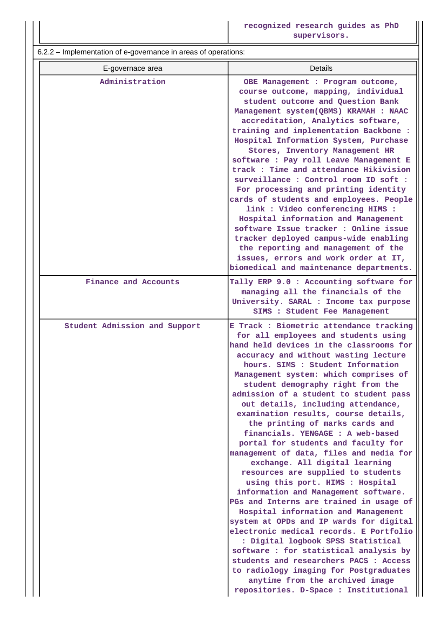6.2.2 – Implementation of e-governance in areas of operations:

| E-governace area              | Details                                                                                                                                                                                                                                                                                                                                                                                                                                                                                                                                                                                                                                                                                                                                                                                                                                                                                                                                                                                                                                                                                                                                             |
|-------------------------------|-----------------------------------------------------------------------------------------------------------------------------------------------------------------------------------------------------------------------------------------------------------------------------------------------------------------------------------------------------------------------------------------------------------------------------------------------------------------------------------------------------------------------------------------------------------------------------------------------------------------------------------------------------------------------------------------------------------------------------------------------------------------------------------------------------------------------------------------------------------------------------------------------------------------------------------------------------------------------------------------------------------------------------------------------------------------------------------------------------------------------------------------------------|
| Administration                | OBE Management : Program outcome,<br>course outcome, mapping, individual<br>student outcome and Question Bank<br>Management system(QBMS) KRAMAH : NAAC<br>accreditation, Analytics software,<br>training and implementation Backbone :<br>Hospital Information System, Purchase<br>Stores, Inventory Management HR<br>software : Pay roll Leave Management E<br>track : Time and attendance Hikivision<br>surveillance : Control room ID soft :<br>For processing and printing identity<br>cards of students and employees. People<br>link : Video conferencing HIMS :<br>Hospital information and Management<br>software Issue tracker : Online issue<br>tracker deployed campus-wide enabling<br>the reporting and management of the<br>issues, errors and work order at IT,<br>biomedical and maintenance departments.                                                                                                                                                                                                                                                                                                                           |
| Finance and Accounts          | Tally ERP 9.0 : Accounting software for<br>managing all the financials of the<br>University. SARAL : Income tax purpose<br>SIMS : Student Fee Management                                                                                                                                                                                                                                                                                                                                                                                                                                                                                                                                                                                                                                                                                                                                                                                                                                                                                                                                                                                            |
| Student Admission and Support | E Track : Biometric attendance tracking<br>for all employees and students using<br>hand held devices in the classrooms for<br>accuracy and without wasting lecture<br>hours. SIMS : Student Information<br>Management system: which comprises of<br>student demography right from the<br>admission of a student to student pass<br>out details, including attendance,<br>examination results, course details,<br>the printing of marks cards and<br>financials. YENGAGE : A web-based<br>portal for students and faculty for<br>management of data, files and media for<br>exchange. All digital learning<br>resources are supplied to students<br>using this port. HIMS : Hospital<br>information and Management software.<br>PGs and Interns are trained in usage of<br>Hospital information and Management<br>system at OPDs and IP wards for digital<br>electronic medical records. E Portfolio<br>: Digital logbook SPSS Statistical<br>software : for statistical analysis by<br>students and researchers PACS : Access<br>to radiology imaging for Postgraduates<br>anytime from the archived image<br>repositories. D-Space : Institutional |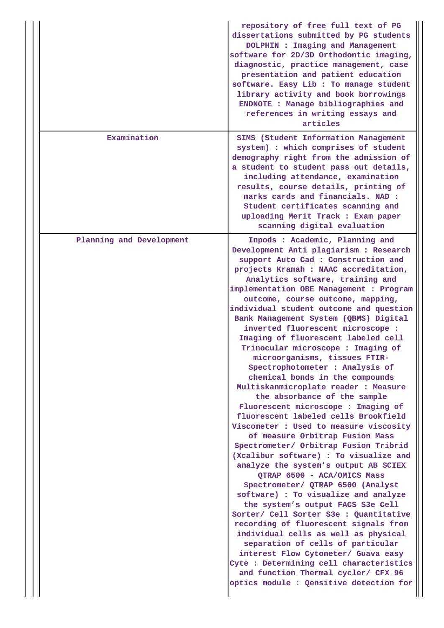|                          | repository of free full text of PG<br>dissertations submitted by PG students<br>DOLPHIN : Imaging and Management<br>software for 2D/3D Orthodontic imaging,<br>diagnostic, practice management, case<br>presentation and patient education<br>software. Easy Lib : To manage student<br>library activity and book borrowings<br>ENDNOTE : Manage bibliographies and<br>references in writing essays and<br>articles                                                                                                                                                                                                                                                                                                                                                                                                                                                                                                                                                                                                                                                                                                                                                                                                                                                                                                                                                                                                                           |
|--------------------------|-----------------------------------------------------------------------------------------------------------------------------------------------------------------------------------------------------------------------------------------------------------------------------------------------------------------------------------------------------------------------------------------------------------------------------------------------------------------------------------------------------------------------------------------------------------------------------------------------------------------------------------------------------------------------------------------------------------------------------------------------------------------------------------------------------------------------------------------------------------------------------------------------------------------------------------------------------------------------------------------------------------------------------------------------------------------------------------------------------------------------------------------------------------------------------------------------------------------------------------------------------------------------------------------------------------------------------------------------------------------------------------------------------------------------------------------------|
| Examination              | SIMS (Student Information Management<br>system) : which comprises of student<br>demography right from the admission of<br>a student to student pass out details,<br>including attendance, examination<br>results, course details, printing of<br>marks cards and financials. NAD :<br>Student certificates scanning and<br>uploading Merit Track : Exam paper<br>scanning digital evaluation                                                                                                                                                                                                                                                                                                                                                                                                                                                                                                                                                                                                                                                                                                                                                                                                                                                                                                                                                                                                                                                  |
| Planning and Development | Inpods: Academic, Planning and<br>Development Anti plagiarism : Research<br>support Auto Cad : Construction and<br>projects Kramah : NAAC accreditation,<br>Analytics software, training and<br>implementation OBE Management : Program<br>outcome, course outcome, mapping,<br>individual student outcome and question<br>Bank Management System (QBMS) Digital<br>inverted fluorescent microscope :<br>Imaging of fluorescent labeled cell<br>Trinocular microscope : Imaging of<br>microorganisms, tissues FTIR-<br>Spectrophotometer : Analysis of<br>chemical bonds in the compounds<br>Multiskanmicroplate reader : Measure<br>the absorbance of the sample<br>Fluorescent microscope : Imaging of<br>fluorescent labeled cells Brookfield<br>Viscometer : Used to measure viscosity<br>of measure Orbitrap Fusion Mass<br>Spectrometer/ Orbitrap Fusion Tribrid<br>(Xcalibur software) : To visualize and<br>analyze the system's output AB SCIEX<br>QTRAP 6500 - ACA/OMICS Mass<br>Spectrometer/ QTRAP 6500 (Analyst<br>software) : To visualize and analyze<br>the system's output FACS S3e Cell<br>Sorter/ Cell Sorter S3e : Quantitative<br>recording of fluorescent signals from<br>individual cells as well as physical<br>separation of cells of particular<br>interest Flow Cytometer/ Guava easy<br>Cyte : Determining cell characteristics<br>and function Thermal cycler/ CFX 96<br>optics module : Qensitive detection for |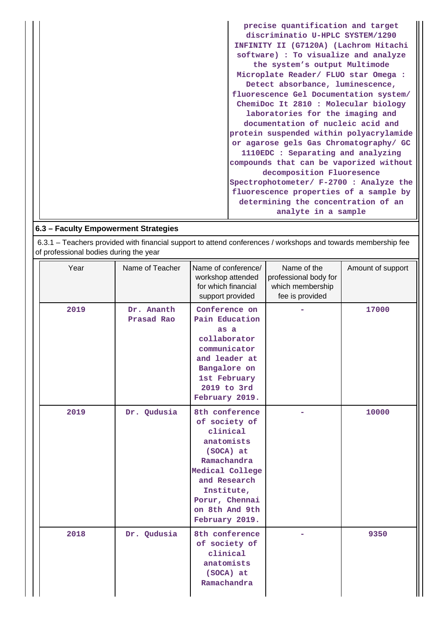| precise quantification and target       |
|-----------------------------------------|
| discriminatio U-HPLC SYSTEM/1290        |
| INFINITY II (G7120A) (Lachrom Hitachi   |
| software) : To visualize and analyze    |
| the system's output Multimode           |
| Microplate Reader/ FLUO star Omega :    |
| Detect absorbance, luminescence,        |
| fluorescence Gel Documentation system/  |
| ChemiDoc It 2810 : Molecular biology    |
| laboratories for the imaging and        |
| documentation of nucleic acid and       |
| protein suspended within polyacrylamide |
| or agarose gels Gas Chromatography/ GC  |
| 1110EDC : Separating and analyzing      |
| compounds that can be vaporized without |
| decomposition Fluoresence               |
| Spectrophotometer/ F-2700 : Analyze the |
| fluorescence properties of a sample by  |
| determining the concentration of an     |
| analyte in a sample                     |

# **6.3 – Faculty Empowerment Strategies**

 6.3.1 – Teachers provided with financial support to attend conferences / workshops and towards membership fee of professional bodies during the year

| Year | Name of Teacher          | Name of conference/<br>workshop attended<br>for which financial<br>support provided                                                                                                          | Name of the<br>professional body for<br>which membership<br>fee is provided | Amount of support |
|------|--------------------------|----------------------------------------------------------------------------------------------------------------------------------------------------------------------------------------------|-----------------------------------------------------------------------------|-------------------|
| 2019 | Dr. Ananth<br>Prasad Rao | Conference on<br>Pain Education<br>as a<br>collaborator<br>communicator<br>and leader at<br>Bangalore on<br>1st February<br>2019 to 3rd<br>February 2019.                                    |                                                                             | 17000             |
| 2019 | Dr. Qudusia              | 8th conference<br>of society of<br>clinical<br>anatomists<br>(SOCA) at<br>Ramachandra<br>Medical College<br>and Research<br>Institute,<br>Porur, Chennai<br>on 8th And 9th<br>February 2019. |                                                                             | 10000             |
| 2018 | Dr. Qudusia              | 8th conference<br>of society of<br>clinical<br>anatomists<br>(SOCA) at<br>Ramachandra                                                                                                        |                                                                             | 9350              |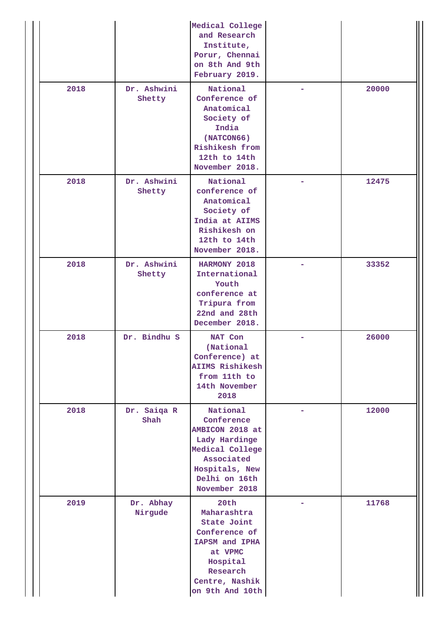|      |                       | Medical College<br>and Research<br>Institute,<br>Porur, Chennai<br>on 8th And 9th<br>February 2019.                                             |       |
|------|-----------------------|-------------------------------------------------------------------------------------------------------------------------------------------------|-------|
| 2018 | Dr. Ashwini<br>Shetty | National<br>Conference of<br>Anatomical<br>Society of<br>India<br>(NATCON66)<br>Rishikesh from<br>12th to 14th<br>November 2018.                | 20000 |
| 2018 | Dr. Ashwini<br>Shetty | National<br>conference of<br>Anatomical<br>Society of<br>India at AIIMS<br>Rishikesh on<br>12th to 14th<br>November 2018.                       | 12475 |
| 2018 | Dr. Ashwini<br>Shetty | HARMONY 2018<br>International<br>Youth<br>conference at<br>Tripura from<br>22nd and 28th<br>December 2018.                                      | 33352 |
| 2018 | Dr. Bindhu S          | NAT Con<br>(National<br>Conference) at<br><b>AIIMS Rishikesh</b><br>from 11th to<br>14th November<br>2018                                       | 26000 |
| 2018 | Dr. Saiqa R<br>Shah   | National<br>Conference<br>AMBICON 2018 at<br>Lady Hardinge<br>Medical College<br>Associated<br>Hospitals, New<br>Delhi on 16th<br>November 2018 | 12000 |
| 2019 | Dr. Abhay<br>Nirgude  | 20th<br>Maharashtra<br>State Joint<br>Conference of<br>IAPSM and IPHA<br>at VPMC<br>Hospital<br>Research<br>Centre, Nashik<br>on 9th And 10th   | 11768 |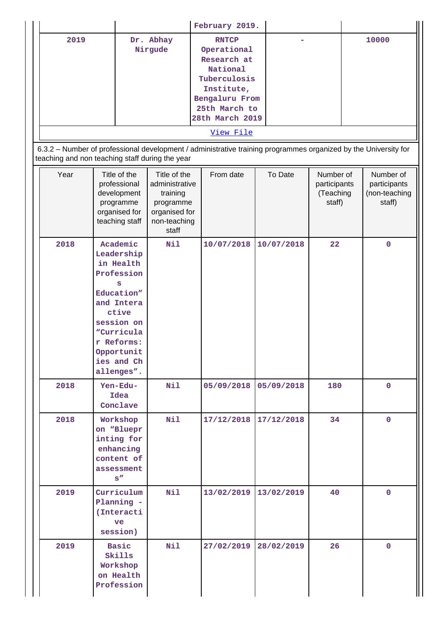|           |           | February 2019.  |  |       |
|-----------|-----------|-----------------|--|-------|
| 2019      | Dr. Abhay | <b>RNTCP</b>    |  | 10000 |
|           | Nirgude   | Operational     |  |       |
|           |           | Research at     |  |       |
|           |           | National        |  |       |
|           |           | Tuberculosis    |  |       |
|           |           | Institute,      |  |       |
|           |           | Bengaluru From  |  |       |
|           |           | 25th March to   |  |       |
|           |           | 28th March 2019 |  |       |
| View File |           |                 |  |       |

 6.3.2 – Number of professional development / administrative training programmes organized by the University for teaching and non teaching staff during the year

| Year | Title of the<br>professional<br>development<br>programme<br>organised for<br>teaching staff                                                                                     | Title of the<br>administrative<br>training<br>programme<br>organised for<br>non-teaching<br>staff | From date  | To Date    | Number of<br>participants<br>(Teaching<br>staff) | Number of<br>participants<br>(non-teaching<br>staff) |
|------|---------------------------------------------------------------------------------------------------------------------------------------------------------------------------------|---------------------------------------------------------------------------------------------------|------------|------------|--------------------------------------------------|------------------------------------------------------|
| 2018 | Academic<br>Leadership<br>in Health<br>Profession<br>s<br>Education"<br>and Intera<br>ctive<br>session on<br>"Curricula<br>r Reforms:<br>Opportunit<br>ies and Ch<br>allenges". | Nil                                                                                               | 10/07/2018 | 10/07/2018 | 22                                               | $\mathbf 0$                                          |
| 2018 | Yen-Edu-<br>Idea<br>Conclave                                                                                                                                                    | Nil                                                                                               | 05/09/2018 | 05/09/2018 | 180                                              | $\mathbf 0$                                          |
| 2018 | Workshop<br>on "Bluepr<br>inting for<br>enhancing<br>content of<br>assessment<br>$\mathbf{s}''$                                                                                 | Nil                                                                                               | 17/12/2018 | 17/12/2018 | 34                                               | $\mathbf 0$                                          |
| 2019 | Curriculum<br>Planning -<br>(Interacti<br>ve<br>session)                                                                                                                        | Nil                                                                                               | 13/02/2019 | 13/02/2019 | 40                                               | $\pmb{0}$                                            |
| 2019 | <b>Basic</b><br>Skills<br>Workshop<br>on Health<br>Profession                                                                                                                   | Nil                                                                                               | 27/02/2019 | 28/02/2019 | 26                                               | $\mathbf{O}$                                         |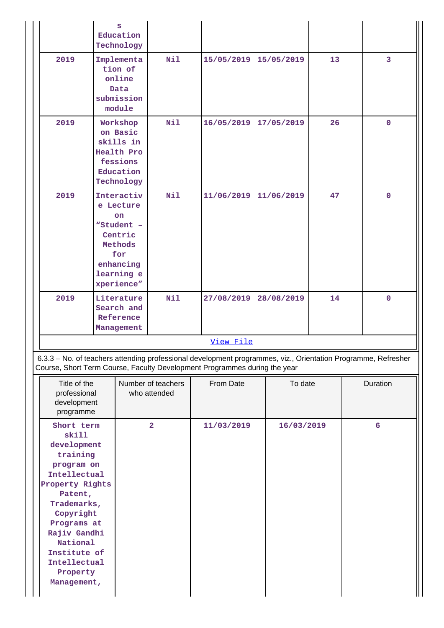|                                                                                                                                                                                                                                              | s<br>Education<br>Technology                                                                                             |                                    |            |            |    |                 |
|----------------------------------------------------------------------------------------------------------------------------------------------------------------------------------------------------------------------------------------------|--------------------------------------------------------------------------------------------------------------------------|------------------------------------|------------|------------|----|-----------------|
| 2019                                                                                                                                                                                                                                         | Implementa<br>tion of<br>online<br>Data<br>submission<br>module                                                          | Nil                                | 15/05/2019 | 15/05/2019 | 13 | $\overline{3}$  |
| 2019                                                                                                                                                                                                                                         | Workshop<br>on Basic<br>skills in<br>Health Pro<br>fessions<br>Education<br>Technology                                   | Nil                                | 16/05/2019 | 17/05/2019 | 26 | $\mathbf{0}$    |
| 2019                                                                                                                                                                                                                                         | Interactiv<br>e Lecture<br><b>on</b><br>"Student -<br>Centric<br>Methods<br>for<br>enhancing<br>learning e<br>xperience" | Nil                                | 11/06/2019 | 11/06/2019 | 47 | $\mathbf 0$     |
| 2019                                                                                                                                                                                                                                         | Literature<br>Search and<br>Reference<br>Management                                                                      | Nil                                | 27/08/2019 | 28/08/2019 | 14 | $\mathbf{0}$    |
|                                                                                                                                                                                                                                              |                                                                                                                          |                                    | View File  |            |    |                 |
| 6.3.3 - No. of teachers attending professional development programmes, viz., Orientation Programme, Refresher<br>Course, Short Term Course, Faculty Development Programmes during the year                                                   |                                                                                                                          |                                    |            |            |    |                 |
| Title of the<br>professional<br>development<br>programme                                                                                                                                                                                     |                                                                                                                          | Number of teachers<br>who attended | From Date  | To date    |    | Duration        |
| Short term<br>skill<br>development<br>training<br>program on<br>Intellectual<br>Property Rights<br>Patent,<br>Trademarks,<br>Copyright<br>Programs at<br>Rajiv Gandhi<br>National<br>Institute of<br>Intellectual<br>Property<br>Management, |                                                                                                                          | $\overline{2}$                     | 11/03/2019 | 16/03/2019 |    | $6\overline{6}$ |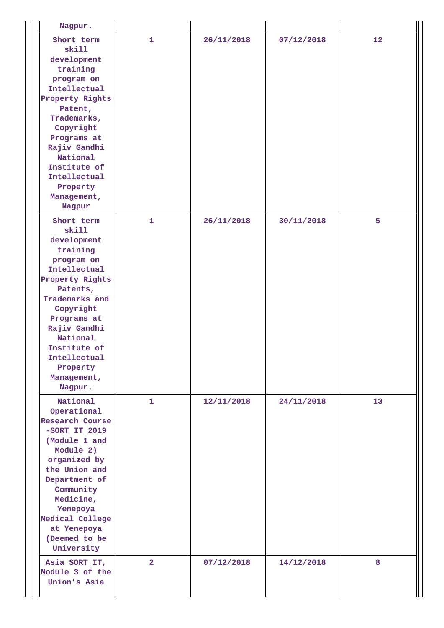| Nagpur.                                                                                                                                                                                                                                                     |                |            |            |    |
|-------------------------------------------------------------------------------------------------------------------------------------------------------------------------------------------------------------------------------------------------------------|----------------|------------|------------|----|
| Short term<br>skill<br>development<br>training<br>program on<br>Intellectual<br>Property Rights<br>Patent,<br>Trademarks,<br>Copyright<br>Programs at<br>Rajiv Gandhi<br>National<br>Institute of<br>Intellectual<br>Property<br>Management,<br>Nagpur      | 1              | 26/11/2018 | 07/12/2018 | 12 |
| Short term<br>skill<br>development<br>training<br>program on<br>Intellectual<br>Property Rights<br>Patents,<br>Trademarks and<br>Copyright<br>Programs at<br>Rajiv Gandhi<br>National<br>Institute of<br>Intellectual<br>Property<br>Management,<br>Nagpur. | $\mathbf{1}$   | 26/11/2018 | 30/11/2018 | 5  |
| National<br>Operational<br><b>Research Course</b><br>$-SORT IT 2019$<br>(Module 1 and<br>Module 2)<br>organized by<br>the Union and<br>Department of<br>Community<br>Medicine,<br>Yenepoya<br>Medical College<br>at Yenepoya<br>(Deemed to be<br>University | 1.             | 12/11/2018 | 24/11/2018 | 13 |
| Asia SORT IT,<br>Module 3 of the<br>Union's Asia                                                                                                                                                                                                            | $\overline{2}$ | 07/12/2018 | 14/12/2018 | 8  |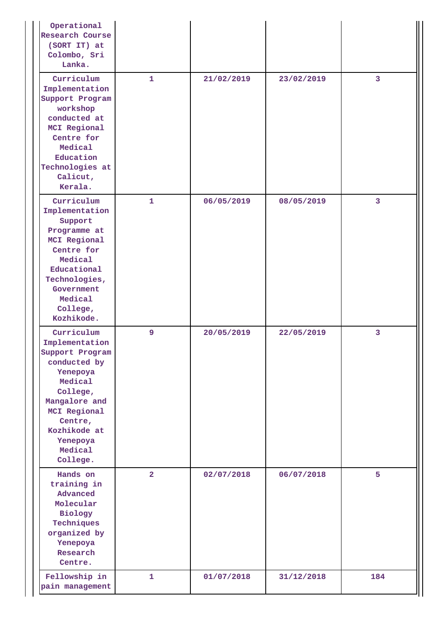| Operational<br>Research Course<br>(SORT IT) at<br>Colombo, Sri<br>Lanka.                                                                                                                          |                |            |            |                         |
|---------------------------------------------------------------------------------------------------------------------------------------------------------------------------------------------------|----------------|------------|------------|-------------------------|
| Curriculum<br>Implementation<br>Support Program<br>workshop<br>conducted at<br>MCI Regional<br>Centre for<br>Medical<br>Education<br>Technologies at<br>Calicut,<br>Kerala.                       | $\mathbf{1}$   | 21/02/2019 | 23/02/2019 | 3                       |
| Curriculum<br>Implementation<br>Support<br>Programme at<br>MCI Regional<br>Centre for<br>Medical<br>Educational<br>Technologies,<br>Government<br>Medical<br>College,<br>Kozhikode.               | $\mathbf{1}$   | 06/05/2019 | 08/05/2019 | $\overline{\mathbf{3}}$ |
| Curriculum<br>Implementation<br>Support Program<br>conducted by<br>Yenepoya<br>Medical<br>College,<br>Mangalore and<br>MCI Regional<br>Centre,<br>Kozhikode at<br>Yenepoya<br>Medical<br>College. | 9              | 20/05/2019 | 22/05/2019 | 3                       |
| Hands on<br>training in<br>Advanced<br>Molecular<br>Biology<br>Techniques<br>organized by<br>Yenepoya<br>Research<br>Centre.                                                                      | $\overline{2}$ | 02/07/2018 | 06/07/2018 | 5                       |
| Fellowship in<br>pain management                                                                                                                                                                  | $\mathbf{1}$   | 01/07/2018 | 31/12/2018 | 184                     |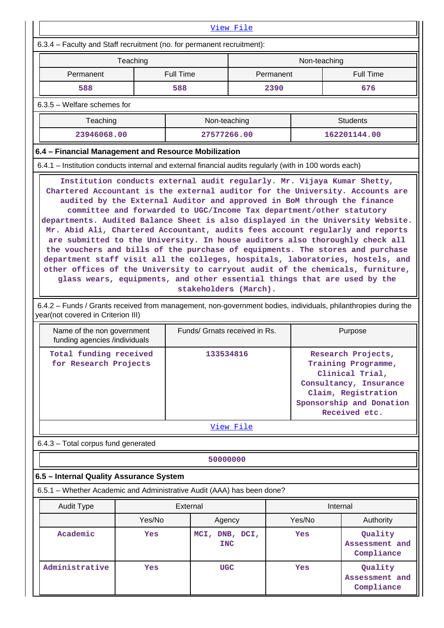|                                                                                                                                                                                                                                                                                                                                                                                                                                                                                                                                                                                                                                                                                                                                                                                                                                                | View File                                       |                               |                                     |           |                                                                                                                                                            |                                         |  |
|------------------------------------------------------------------------------------------------------------------------------------------------------------------------------------------------------------------------------------------------------------------------------------------------------------------------------------------------------------------------------------------------------------------------------------------------------------------------------------------------------------------------------------------------------------------------------------------------------------------------------------------------------------------------------------------------------------------------------------------------------------------------------------------------------------------------------------------------|-------------------------------------------------|-------------------------------|-------------------------------------|-----------|------------------------------------------------------------------------------------------------------------------------------------------------------------|-----------------------------------------|--|
| 6.3.4 - Faculty and Staff recruitment (no. for permanent recruitment):                                                                                                                                                                                                                                                                                                                                                                                                                                                                                                                                                                                                                                                                                                                                                                         |                                                 |                               |                                     |           |                                                                                                                                                            |                                         |  |
|                                                                                                                                                                                                                                                                                                                                                                                                                                                                                                                                                                                                                                                                                                                                                                                                                                                | Teaching                                        |                               |                                     |           | Non-teaching                                                                                                                                               |                                         |  |
| Permanent                                                                                                                                                                                                                                                                                                                                                                                                                                                                                                                                                                                                                                                                                                                                                                                                                                      |                                                 | <b>Full Time</b>              |                                     | Permanent |                                                                                                                                                            | <b>Full Time</b>                        |  |
| 588                                                                                                                                                                                                                                                                                                                                                                                                                                                                                                                                                                                                                                                                                                                                                                                                                                            |                                                 | 588                           |                                     | 2390      |                                                                                                                                                            | 676                                     |  |
| $6.3.5$ – Welfare schemes for                                                                                                                                                                                                                                                                                                                                                                                                                                                                                                                                                                                                                                                                                                                                                                                                                  |                                                 |                               |                                     |           |                                                                                                                                                            |                                         |  |
| Teaching                                                                                                                                                                                                                                                                                                                                                                                                                                                                                                                                                                                                                                                                                                                                                                                                                                       |                                                 |                               | Non-teaching                        |           |                                                                                                                                                            | <b>Students</b>                         |  |
| 23946068.00                                                                                                                                                                                                                                                                                                                                                                                                                                                                                                                                                                                                                                                                                                                                                                                                                                    |                                                 |                               | 27577266.00                         |           |                                                                                                                                                            | 162201144.00                            |  |
| 6.4 - Financial Management and Resource Mobilization                                                                                                                                                                                                                                                                                                                                                                                                                                                                                                                                                                                                                                                                                                                                                                                           |                                                 |                               |                                     |           |                                                                                                                                                            |                                         |  |
| 6.4.1 – Institution conducts internal and external financial audits regularly (with in 100 words each)                                                                                                                                                                                                                                                                                                                                                                                                                                                                                                                                                                                                                                                                                                                                         |                                                 |                               |                                     |           |                                                                                                                                                            |                                         |  |
| Chartered Accountant is the external auditor for the University. Accounts are<br>audited by the External Auditor and approved in BoM through the finance<br>committee and forwarded to UGC/Income Tax department/other statutory<br>departments. Audited Balance Sheet is also displayed in the University Website.<br>Mr. Abid Ali, Chartered Accountant, audits fees account regularly and reports<br>are submitted to the University. In house auditors also thoroughly check all<br>the vouchers and bills of the purchase of equipments. The stores and purchase<br>department staff visit all the colleges, hospitals, laboratories, hostels, and<br>other offices of the University to carryout audit of the chemicals, furniture,<br>glass wears, equipments, and other essential things that are used by the<br>stakeholders (March). |                                                 |                               |                                     |           |                                                                                                                                                            |                                         |  |
| 6.4.2 – Funds / Grants received from management, non-government bodies, individuals, philanthropies during the<br>year(not covered in Criterion III)                                                                                                                                                                                                                                                                                                                                                                                                                                                                                                                                                                                                                                                                                           |                                                 |                               |                                     |           |                                                                                                                                                            |                                         |  |
| Name of the non government<br>funding agencies /individuals                                                                                                                                                                                                                                                                                                                                                                                                                                                                                                                                                                                                                                                                                                                                                                                    |                                                 | Funds/ Grnats received in Rs. |                                     |           |                                                                                                                                                            | Purpose                                 |  |
|                                                                                                                                                                                                                                                                                                                                                                                                                                                                                                                                                                                                                                                                                                                                                                                                                                                | Total funding received<br>for Research Projects |                               | 133534816                           |           | Research Projects,<br>Training Programme,<br>Clinical Trial,<br>Consultancy, Insurance<br>Claim, Registration<br>Sponsorship and Donation<br>Received etc. |                                         |  |
|                                                                                                                                                                                                                                                                                                                                                                                                                                                                                                                                                                                                                                                                                                                                                                                                                                                |                                                 |                               | <u>View File</u>                    |           |                                                                                                                                                            |                                         |  |
| 6.4.3 - Total corpus fund generated                                                                                                                                                                                                                                                                                                                                                                                                                                                                                                                                                                                                                                                                                                                                                                                                            |                                                 |                               |                                     |           |                                                                                                                                                            |                                         |  |
|                                                                                                                                                                                                                                                                                                                                                                                                                                                                                                                                                                                                                                                                                                                                                                                                                                                |                                                 |                               | 50000000                            |           |                                                                                                                                                            |                                         |  |
| 6.5 - Internal Quality Assurance System                                                                                                                                                                                                                                                                                                                                                                                                                                                                                                                                                                                                                                                                                                                                                                                                        |                                                 |                               |                                     |           |                                                                                                                                                            |                                         |  |
| 6.5.1 - Whether Academic and Administrative Audit (AAA) has been done?                                                                                                                                                                                                                                                                                                                                                                                                                                                                                                                                                                                                                                                                                                                                                                         |                                                 |                               |                                     |           |                                                                                                                                                            |                                         |  |
| <b>Audit Type</b>                                                                                                                                                                                                                                                                                                                                                                                                                                                                                                                                                                                                                                                                                                                                                                                                                              |                                                 | External                      |                                     |           |                                                                                                                                                            | Internal                                |  |
|                                                                                                                                                                                                                                                                                                                                                                                                                                                                                                                                                                                                                                                                                                                                                                                                                                                | Yes/No                                          |                               | Agency                              |           | Yes/No                                                                                                                                                     | Authority                               |  |
| Academic                                                                                                                                                                                                                                                                                                                                                                                                                                                                                                                                                                                                                                                                                                                                                                                                                                       | Yes                                             |                               | MCI, DNB, DCI,<br>Yes<br><b>INC</b> |           |                                                                                                                                                            | Quality<br>Assessment and<br>Compliance |  |
| Administrative                                                                                                                                                                                                                                                                                                                                                                                                                                                                                                                                                                                                                                                                                                                                                                                                                                 | Yes                                             |                               | <b>UGC</b>                          | Yes       |                                                                                                                                                            | Quality<br>Assessment and<br>Compliance |  |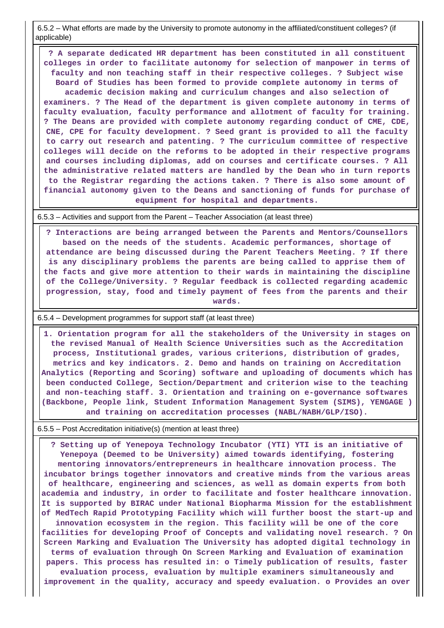6.5.2 – What efforts are made by the University to promote autonomy in the affiliated/constituent colleges? (if applicable)

 **? A separate dedicated HR department has been constituted in all constituent colleges in order to facilitate autonomy for selection of manpower in terms of faculty and non teaching staff in their respective colleges. ? Subject wise Board of Studies has been formed to provide complete autonomy in terms of academic decision making and curriculum changes and also selection of examiners. ? The Head of the department is given complete autonomy in terms of faculty evaluation, faculty performance and allotment of faculty for training. ? The Deans are provided with complete autonomy regarding conduct of CME, CDE, CNE, CPE for faculty development. ? Seed grant is provided to all the faculty to carry out research and patenting. ? The curriculum committee of respective colleges will decide on the reforms to be adopted in their respective programs and courses including diplomas, add on courses and certificate courses. ? All the administrative related matters are handled by the Dean who in turn reports to the Registrar regarding the actions taken. ? There is also some amount of financial autonomy given to the Deans and sanctioning of funds for purchase of equipment for hospital and departments.**

6.5.3 – Activities and support from the Parent – Teacher Association (at least three)

 **? Interactions are being arranged between the Parents and Mentors/Counsellors based on the needs of the students. Academic performances, shortage of attendance are being discussed during the Parent Teachers Meeting. ? If there is any disciplinary problems the parents are being called to apprise them of the facts and give more attention to their wards in maintaining the discipline of the College/University. ? Regular feedback is collected regarding academic progression, stay, food and timely payment of fees from the parents and their wards.**

6.5.4 – Development programmes for support staff (at least three)

 **1. Orientation program for all the stakeholders of the University in stages on the revised Manual of Health Science Universities such as the Accreditation process, Institutional grades, various criterions, distribution of grades, metrics and key indicators. 2. Demo and hands on training on Accreditation Analytics (Reporting and Scoring) software and uploading of documents which has been conducted College, Section/Department and criterion wise to the teaching and non-teaching staff. 3. Orientation and training on e-governance softwares (Backbone, People link, Student Information Management System (SIMS), YENGAGE ) and training on accreditation processes (NABL/NABH/GLP/ISO).**

6.5.5 – Post Accreditation initiative(s) (mention at least three)

 **? Setting up of Yenepoya Technology Incubator (YTI) YTI is an initiative of Yenepoya (Deemed to be University) aimed towards identifying, fostering mentoring innovators/entrepreneurs in healthcare innovation process. The incubator brings together innovators and creative minds from the various areas of healthcare, engineering and sciences, as well as domain experts from both academia and industry, in order to facilitate and foster healthcare innovation. It is supported by BIRAC under National Biopharma Mission for the establishment of MedTech Rapid Prototyping Facility which will further boost the start-up and innovation ecosystem in the region. This facility will be one of the core facilities for developing Proof of Concepts and validating novel research. ? On Screen Marking and Evaluation The University has adopted digital technology in terms of evaluation through On Screen Marking and Evaluation of examination papers. This process has resulted in: o Timely publication of results, faster evaluation process, evaluation by multiple examiners simultaneously and improvement in the quality, accuracy and speedy evaluation. o Provides an over**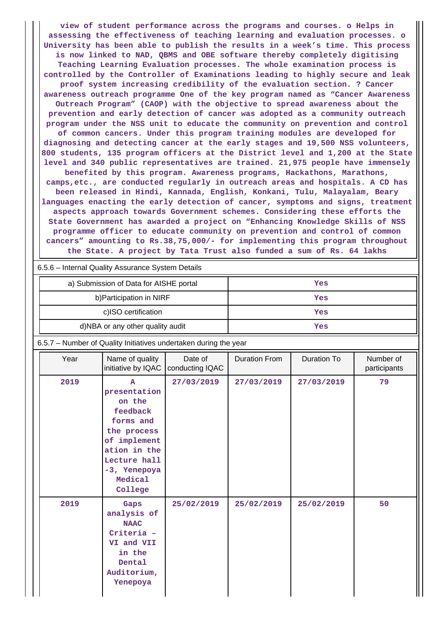**view of student performance across the programs and courses. o Helps in assessing the effectiveness of teaching learning and evaluation processes. o University has been able to publish the results in a week's time. This process is now linked to NAD, QBMS and OBE software thereby completely digitising Teaching Learning Evaluation processes. The whole examination process is controlled by the Controller of Examinations leading to highly secure and leak proof system increasing credibility of the evaluation section. ? Cancer awareness outreach programme One of the key program named as "Cancer Awareness Outreach Program" (CAOP) with the objective to spread awareness about the prevention and early detection of cancer was adopted as a community outreach program under the NSS unit to educate the community on prevention and control of common cancers. Under this program training modules are developed for diagnosing and detecting cancer at the early stages and 19,500 NSS volunteers, 800 students, 135 program officers at the District level and 1,200 at the State level and 340 public representatives are trained. 21,975 people have immensely benefited by this program. Awareness programs, Hackathons, Marathons, camps,etc., are conducted regularly in outreach areas and hospitals. A CD has been released in Hindi, Kannada, English, Konkani, Tulu, Malayalam, Beary languages enacting the early detection of cancer, symptoms and signs, treatment aspects approach towards Government schemes. Considering these efforts the State Government has awarded a project on "Enhancing Knowledge Skills of NSS programme officer to educate community on prevention and control of common cancers" amounting to Rs.38,75,000/- for implementing this program throughout the State. A project by Tata Trust also funded a sum of Rs. 64 lakhs**

### 6.5.6 – Internal Quality Assurance System Details

| a) Submission of Data for AISHE portal | Yes |
|----------------------------------------|-----|
| b) Participation in NIRF               | Yes |
| c)ISO certification                    | Yes |
| d)NBA or any other quality audit       | Yes |

6.5.7 – Number of Quality Initiatives undertaken during the year

| Year | Name of quality<br>initiative by IQAC                                                                                                                                | Date of<br>conducting IQAC | <b>Duration From</b> | Duration To | Number of<br>participants |
|------|----------------------------------------------------------------------------------------------------------------------------------------------------------------------|----------------------------|----------------------|-------------|---------------------------|
| 2019 | $\mathbf{A}$<br>presentation<br>on the<br>feedback<br>forms and<br>the process<br>of implement<br>ation in the<br>Lecture hall<br>-3, Yenepoya<br>Medical<br>College | 27/03/2019                 | 27/03/2019           | 27/03/2019  | 79                        |
| 2019 | Gaps<br>analysis of<br><b>NAAC</b><br>Criteria -<br>VI and VII<br>in the<br>Dental<br>Auditorium,<br>Yenepoya                                                        | 25/02/2019                 | 25/02/2019           | 25/02/2019  | 50                        |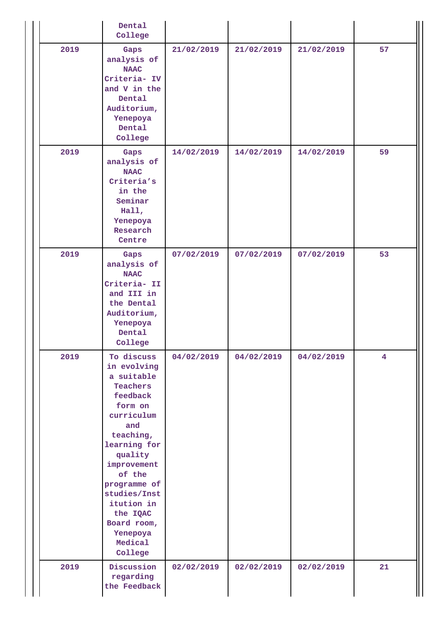|      | Dental<br>College                                                                                                                                                                                                                                                           |            |            |            |                         |
|------|-----------------------------------------------------------------------------------------------------------------------------------------------------------------------------------------------------------------------------------------------------------------------------|------------|------------|------------|-------------------------|
| 2019 | Gaps<br>analysis of<br><b>NAAC</b><br>Criteria- IV<br>and V in the<br>Dental<br>Auditorium,<br>Yenepoya<br>Dental<br>College                                                                                                                                                | 21/02/2019 | 21/02/2019 | 21/02/2019 | 57                      |
| 2019 | Gaps<br>analysis of<br><b>NAAC</b><br>Criteria's<br>in the<br>Seminar<br>Hall,<br>Yenepoya<br>Research<br>Centre                                                                                                                                                            | 14/02/2019 | 14/02/2019 | 14/02/2019 | 59                      |
| 2019 | Gaps<br>analysis of<br><b>NAAC</b><br>Criteria- II<br>and III in<br>the Dental<br>Auditorium,<br>Yenepoya<br>Dental<br>College                                                                                                                                              | 07/02/2019 | 07/02/2019 | 07/02/2019 | 53                      |
| 2019 | To discuss<br>in evolving<br>a suitable<br>Teachers<br>feedback<br>form on<br>curriculum<br>and<br>teaching,<br>learning for<br>quality<br>improvement<br>of the<br>programme of<br>studies/Inst<br>itution in<br>the IQAC<br>Board room,<br>Yenepoya<br>Medical<br>College | 04/02/2019 | 04/02/2019 | 04/02/2019 | $\overline{\mathbf{4}}$ |
| 2019 | Discussion<br>regarding<br>the Feedback                                                                                                                                                                                                                                     | 02/02/2019 | 02/02/2019 | 02/02/2019 | 21                      |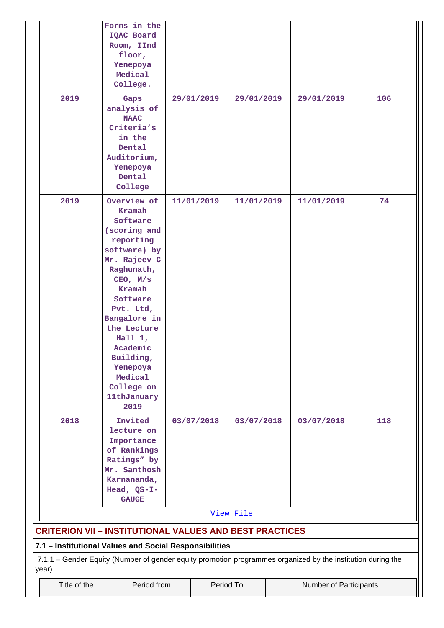|                                                                                                                      | Forms in the<br>IQAC Board<br>Room, IInd<br>floor,<br>Yenepoya<br>Medical<br>College.                                                                                                                                                                                                        |            |                                                    |  |            |     |
|----------------------------------------------------------------------------------------------------------------------|----------------------------------------------------------------------------------------------------------------------------------------------------------------------------------------------------------------------------------------------------------------------------------------------|------------|----------------------------------------------------|--|------------|-----|
| 2019                                                                                                                 | Gaps<br>analysis of<br><b>NAAC</b><br>Criteria's<br>in the<br>Dental<br>Auditorium,<br>Yenepoya<br>Dental<br>College                                                                                                                                                                         | 29/01/2019 | 29/01/2019                                         |  | 29/01/2019 | 106 |
| 2019                                                                                                                 | Overview of<br>Kramah<br>Software<br>(scoring and<br>reporting<br>software) by<br>Mr. Rajeev C<br>Raghunath,<br>CEO, M/s<br>Kramah<br>Software<br>Pvt. Ltd,<br>Bangalore in<br>the Lecture<br>Hall $1,$<br>Academic<br>Building,<br>Yenepoya<br>Medical<br>College on<br>11thJanuary<br>2019 | 11/01/2019 | 11/01/2019                                         |  | 11/01/2019 | 74  |
| 2018                                                                                                                 | Invited<br>lecture on<br>Importance<br>of Rankings<br>Ratings" by<br>Mr. Santhosh<br>Karnananda,<br>Head, QS-I-<br><b>GAUGE</b>                                                                                                                                                              | 03/07/2018 | 03/07/2018                                         |  | 03/07/2018 | 118 |
| <b>CRITERION VII - INSTITUTIONAL VALUES AND BEST PRACTICES</b>                                                       |                                                                                                                                                                                                                                                                                              |            | View File                                          |  |            |     |
| 7.1 - Institutional Values and Social Responsibilities                                                               |                                                                                                                                                                                                                                                                                              |            |                                                    |  |            |     |
| 7.1.1 - Gender Equity (Number of gender equity promotion programmes organized by the institution during the<br>year) |                                                                                                                                                                                                                                                                                              |            |                                                    |  |            |     |
| Title of the                                                                                                         |                                                                                                                                                                                                                                                                                              |            | Period from<br>Period To<br>Number of Participants |  |            |     |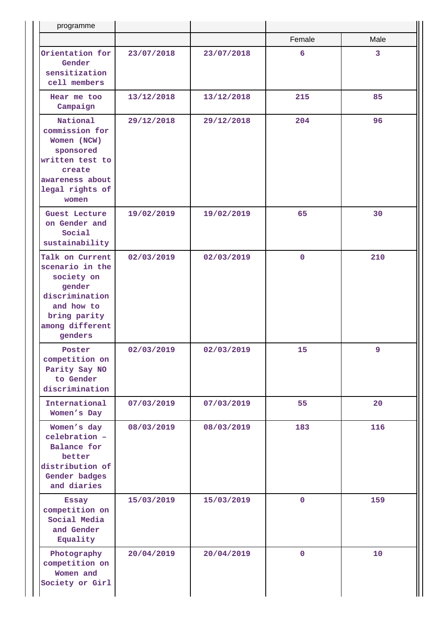| programme                                                                                                                                |            |            |                |      |
|------------------------------------------------------------------------------------------------------------------------------------------|------------|------------|----------------|------|
|                                                                                                                                          |            |            | Female         | Male |
| Orientation for<br>Gender<br>sensitization<br>cell members                                                                               | 23/07/2018 | 23/07/2018 | 6              | 3    |
| Hear me too<br>Campaign                                                                                                                  | 13/12/2018 | 13/12/2018 | 215            | 85   |
| National<br>commission for<br>Women (NCW)<br>sponsored<br>written test to<br>create<br>awareness about<br>legal rights of<br>women       | 29/12/2018 | 29/12/2018 | 204            | 96   |
| Guest Lecture<br>on Gender and<br>Social<br>sustainability                                                                               | 19/02/2019 | 19/02/2019 | 65             | 30   |
| Talk on Current<br>scenario in the<br>society on<br>gender<br>discrimination<br>and how to<br>bring parity<br>among different<br>genders | 02/03/2019 | 02/03/2019 | $\mathbf 0$    | 210  |
| Poster<br>competition on<br>Parity Say NO<br>to Gender<br>discrimination                                                                 | 02/03/2019 | 02/03/2019 | 15             | 9    |
| International<br>Women's Day                                                                                                             | 07/03/2019 | 07/03/2019 | 55             | 20   |
| Women's day<br>celebration -<br>Balance for<br>better<br>distribution of<br>Gender badges<br>and diaries                                 | 08/03/2019 | 08/03/2019 | 183            | 116  |
| <b>Essay</b><br>competition on<br>Social Media<br>and Gender<br>Equality                                                                 | 15/03/2019 | 15/03/2019 | $\mathbf{0}$   | 159  |
| Photography<br>competition on<br>Women and<br>Society or Girl                                                                            | 20/04/2019 | 20/04/2019 | $\overline{0}$ | 10   |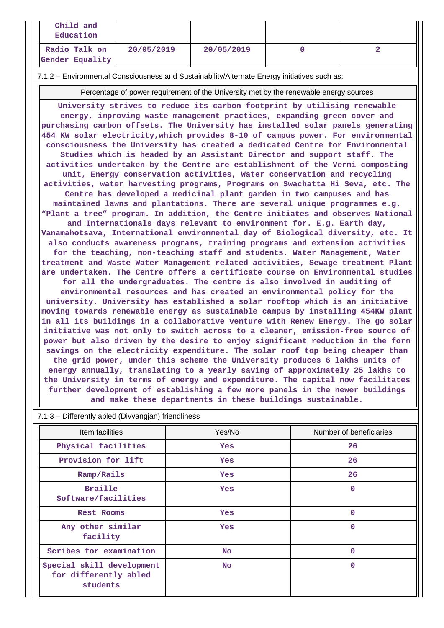| Child and<br>Education                                                                       |            |            |  |  |  |  |
|----------------------------------------------------------------------------------------------|------------|------------|--|--|--|--|
| Radio Talk on<br>Gender Equality                                                             | 20/05/2019 | 20/05/2019 |  |  |  |  |
| 7.1.2 – Environmental Consciousness and Sustainability/Alternate Energy initiatives such as: |            |            |  |  |  |  |

Percentage of power requirement of the University met by the renewable energy sources

**University strives to reduce its carbon footprint by utilising renewable energy, improving waste management practices, expanding green cover and purchasing carbon offsets. The University has installed solar panels generating 454 KW solar electricity,which provides 8-10 of campus power. For environmental consciousness the University has created a dedicated Centre for Environmental Studies which is headed by an Assistant Director and support staff. The activities undertaken by the Centre are establishment of the Vermi composting unit, Energy conservation activities, Water conservation and recycling activities, water harvesting programs, Programs on Swachatta Hi Seva, etc. The Centre has developed a medicinal plant garden in two campuses and has maintained lawns and plantations. There are several unique programmes e.g. "Plant a tree" program. In addition, the Centre initiates and observes National and Internationals days relevant to environment for. E.g. Earth day, Vanamahotsava, International environmental day of Biological diversity, etc. It also conducts awareness programs, training programs and extension activities for the teaching, non-teaching staff and students. Water Management, Water treatment and Waste Water Management related activities, Sewage treatment Plant are undertaken. The Centre offers a certificate course on Environmental studies for all the undergraduates. The centre is also involved in auditing of environmental resources and has created an environmental policy for the university. University has established a solar rooftop which is an initiative moving towards renewable energy as sustainable campus by installing 454KW plant in all its buildings in a collaborative venture with Renew Energy. The go solar initiative was not only to switch across to a cleaner, emission-free source of power but also driven by the desire to enjoy significant reduction in the form savings on the electricity expenditure. The solar roof top being cheaper than the grid power, under this scheme the University produces 6 lakhs units of energy annually, translating to a yearly saving of approximately 25 lakhs to the University in terms of energy and expenditure. The capital now facilitates further development of establishing a few more panels in the newer buildings and make these departments in these buildings sustainable.**

| Item facilities                                                | Yes/No     | Number of beneficiaries |
|----------------------------------------------------------------|------------|-------------------------|
| Physical facilities                                            | <b>Yes</b> | 26                      |
| Provision for lift                                             | <b>Yes</b> | 26                      |
| Ramp/Rails                                                     | <b>Yes</b> | 26                      |
| <b>Braille</b><br>Software/facilities                          | <b>Yes</b> | $\Omega$                |
| <b>Rest Rooms</b>                                              | <b>Yes</b> | $\mathbf 0$             |
| Any other similar<br>facility                                  | <b>Yes</b> | $\mathbf 0$             |
| Scribes for examination                                        | No.        | $\mathbf 0$             |
| Special skill development<br>for differently abled<br>students | No.        | $\Omega$                |

7.1.3 – Differently abled (Divyangjan) friendliness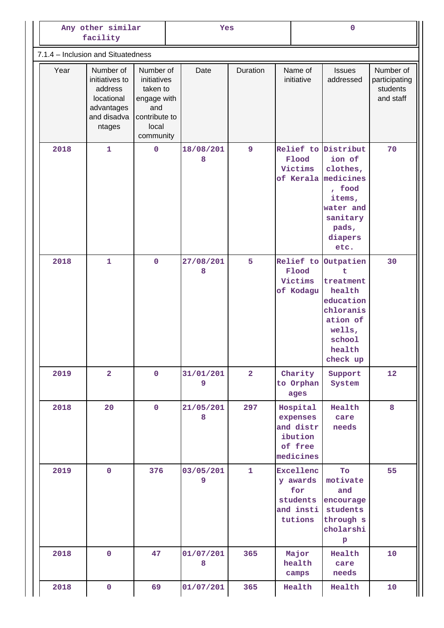| Any other similar<br>facility      |                                                                                             |                                                                                                   | Yes |                |                |  | $\mathbf{O}$                                                         |                                                                                                                                 |                                                     |
|------------------------------------|---------------------------------------------------------------------------------------------|---------------------------------------------------------------------------------------------------|-----|----------------|----------------|--|----------------------------------------------------------------------|---------------------------------------------------------------------------------------------------------------------------------|-----------------------------------------------------|
| 7.1.4 - Inclusion and Situatedness |                                                                                             |                                                                                                   |     |                |                |  |                                                                      |                                                                                                                                 |                                                     |
| Year                               | Number of<br>initiatives to<br>address<br>locational<br>advantages<br>and disadva<br>ntages | Number of<br>initiatives<br>taken to<br>engage with<br>and<br>contribute to<br>local<br>community |     | Date           | Duration       |  | Name of<br>initiative                                                | <b>Issues</b><br>addressed                                                                                                      | Number of<br>participating<br>students<br>and staff |
| 2018                               | $\mathbf{1}$                                                                                | $\pmb{0}$                                                                                         |     | 18/08/201<br>8 | $\mathbf{9}$   |  | Flood<br>Victims<br>of Kerala                                        | Relief to Distribut<br>ion of<br>clothes,<br>medicines<br>, food<br>items,<br>water and<br>sanitary<br>pads,<br>diapers<br>etc. | 70                                                  |
| 2018                               | $\mathbf{1}$                                                                                | $\mathbf 0$                                                                                       |     | 27/08/201<br>8 | 5              |  | Relief to<br>Flood<br>Victims<br>of Kodagu                           | Outpatien<br>ŧ<br>treatment<br>health<br>education<br>chloranis<br>ation of<br>wells,<br>school<br>health<br>check up           | 30                                                  |
| 2019                               | $\overline{2}$                                                                              | $\mathbf 0$                                                                                       |     | 31/01/201<br>9 | $\overline{2}$ |  | Charity<br>to Orphan<br>ages                                         | Support<br>System                                                                                                               | 12                                                  |
| 2018                               | 20                                                                                          | $\overline{0}$                                                                                    |     | 21/05/201<br>8 | 297            |  | Hospital<br>expenses<br>and distr<br>ibution<br>of free<br>medicines | Health<br>care<br>needs                                                                                                         | 8                                                   |
| 2019                               | $\mathbf 0$                                                                                 | 376                                                                                               |     | 03/05/201<br>9 | $\mathbf{1}$   |  | Excellenc<br>y awards<br>for<br>students<br>and insti<br>tutions     | To<br>motivate<br>and<br>encourage<br>students<br>through s<br>cholarshi<br>$\, {\bf p}$                                        | 55                                                  |
| 2018                               | $\mathbf 0$                                                                                 | 47                                                                                                |     | 01/07/201<br>8 | 365            |  | Major<br>health<br>camps                                             | Health<br>care<br>needs                                                                                                         | 10                                                  |
| 2018                               | $\pmb{0}$                                                                                   | 69                                                                                                |     | 01/07/201      | 365            |  | Health                                                               | Health                                                                                                                          | 10                                                  |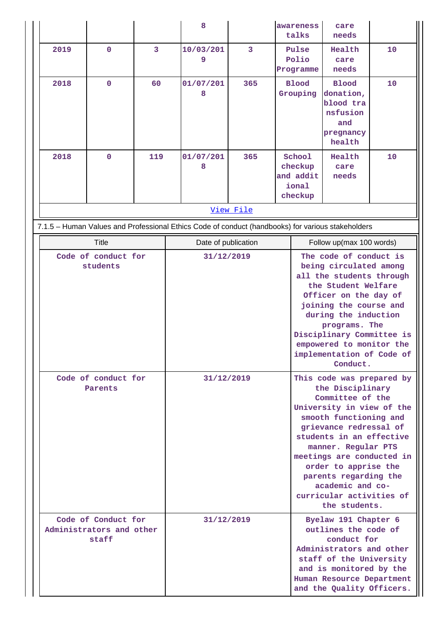|                                                          |             |     | 8                                                                                                 |           | awareness<br>talks                                                                                                                                                                                                                                                                                                                                   | care<br>needs                                                                                                                                                                                           |    |  |
|----------------------------------------------------------|-------------|-----|---------------------------------------------------------------------------------------------------|-----------|------------------------------------------------------------------------------------------------------------------------------------------------------------------------------------------------------------------------------------------------------------------------------------------------------------------------------------------------------|---------------------------------------------------------------------------------------------------------------------------------------------------------------------------------------------------------|----|--|
| 2019                                                     | 0           | 3   | 10/03/201<br>9                                                                                    | 3         | Pulse<br>Polio                                                                                                                                                                                                                                                                                                                                       | Health<br>care                                                                                                                                                                                          | 10 |  |
|                                                          |             |     |                                                                                                   |           | Programme                                                                                                                                                                                                                                                                                                                                            | needs                                                                                                                                                                                                   |    |  |
| 2018                                                     | $\mathbf 0$ | 60  | 01/07/201<br>8                                                                                    | 365       | <b>Blood</b><br>Grouping                                                                                                                                                                                                                                                                                                                             | <b>Blood</b><br>donation,<br>blood tra<br>nsfusion<br>and<br>pregnancy<br>health                                                                                                                        | 10 |  |
| 2018                                                     | $\mathbf 0$ | 119 | 01/07/201<br>8                                                                                    | 365       | School<br>checkup<br>and addit<br>ional<br>checkup                                                                                                                                                                                                                                                                                                   | Health<br>care<br>needs                                                                                                                                                                                 | 10 |  |
|                                                          |             |     |                                                                                                   | View File |                                                                                                                                                                                                                                                                                                                                                      |                                                                                                                                                                                                         |    |  |
|                                                          |             |     | 7.1.5 - Human Values and Professional Ethics Code of conduct (handbooks) for various stakeholders |           |                                                                                                                                                                                                                                                                                                                                                      |                                                                                                                                                                                                         |    |  |
|                                                          | Title       |     | Date of publication                                                                               |           |                                                                                                                                                                                                                                                                                                                                                      | Follow up(max 100 words)                                                                                                                                                                                |    |  |
| Code of conduct for<br>students                          |             |     | 31/12/2019                                                                                        |           | The code of conduct is<br>being circulated among<br>all the students through<br>the Student Welfare<br>Officer on the day of<br>joining the course and<br>during the induction<br>programs. The<br>Disciplinary Committee is<br>empowered to monitor the<br>implementation of Code of<br>Conduct.                                                    |                                                                                                                                                                                                         |    |  |
| Code of conduct for<br>Parents                           |             |     | 31/12/2019                                                                                        |           | This code was prepared by<br>the Disciplinary<br>Committee of the<br>University in view of the<br>smooth functioning and<br>grievance redressal of<br>students in an effective<br>manner. Regular PTS<br>meetings are conducted in<br>order to apprise the<br>parents regarding the<br>academic and co-<br>curricular activities of<br>the students. |                                                                                                                                                                                                         |    |  |
| Code of Conduct for<br>Administrators and other<br>staff |             |     | 31/12/2019                                                                                        |           |                                                                                                                                                                                                                                                                                                                                                      | Byelaw 191 Chapter 6<br>outlines the code of<br>conduct for<br>Administrators and other<br>staff of the University<br>and is monitored by the<br>Human Resource Department<br>and the Quality Officers. |    |  |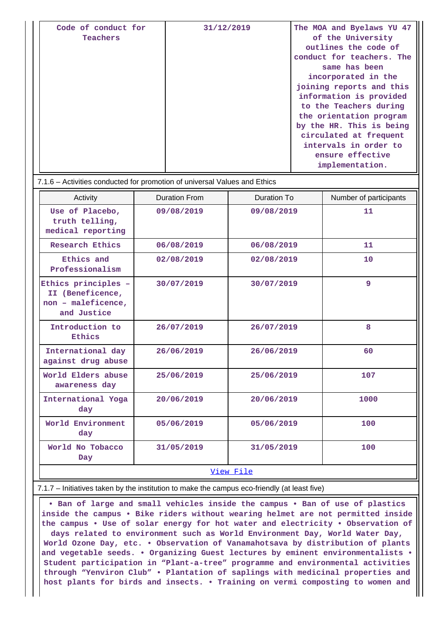| Code of conduct for<br>Teachers | 31/12/2019 | The MOA and Byelaws YU 47<br>of the University<br>outlines the code of<br>conduct for teachers. The<br>same has been<br>incorporated in the<br>joining reports and this<br>information is provided<br>to the Teachers during<br>the orientation program<br>by the HR. This is being<br>circulated at frequent<br>intervals in order to |
|---------------------------------|------------|----------------------------------------------------------------------------------------------------------------------------------------------------------------------------------------------------------------------------------------------------------------------------------------------------------------------------------------|
|                                 |            | ensure effective<br>implementation.                                                                                                                                                                                                                                                                                                    |

| 7.1.6 – Activities conducted for promotion of universal Values and Ethics    |                      |             |                        |  |  |  |  |
|------------------------------------------------------------------------------|----------------------|-------------|------------------------|--|--|--|--|
| Activity                                                                     | <b>Duration From</b> | Duration To | Number of participants |  |  |  |  |
| Use of Placebo,<br>truth telling,<br>medical reporting                       | 09/08/2019           | 09/08/2019  | 11                     |  |  |  |  |
| Research Ethics                                                              | 06/08/2019           | 06/08/2019  | 11                     |  |  |  |  |
| Ethics and<br>Professionalism                                                | 02/08/2019           | 02/08/2019  | 10                     |  |  |  |  |
| Ethics principles -<br>II (Beneficence,<br>non - maleficence,<br>and Justice | 30/07/2019           | 30/07/2019  | 9                      |  |  |  |  |
| Introduction to<br>Ethics                                                    | 26/07/2019           | 26/07/2019  | 8                      |  |  |  |  |
| International day<br>against drug abuse                                      | 26/06/2019           | 26/06/2019  | 60                     |  |  |  |  |
| World Elders abuse<br>awareness day                                          | 25/06/2019           | 25/06/2019  | 107                    |  |  |  |  |
| International Yoga<br>day                                                    | 20/06/2019           | 20/06/2019  | 1000                   |  |  |  |  |
| World Environment<br>day                                                     | 05/06/2019           | 05/06/2019  | 100                    |  |  |  |  |
| World No Tobacco<br>Day                                                      | 31/05/2019           | 31/05/2019  | 100                    |  |  |  |  |
| View File                                                                    |                      |             |                        |  |  |  |  |

## 7.1.7 – Initiatives taken by the institution to make the campus eco-friendly (at least five)

 **• Ban of large and small vehicles inside the campus • Ban of use of plastics inside the campus • Bike riders without wearing helmet are not permitted inside the campus • Use of solar energy for hot water and electricity • Observation of days related to environment such as World Environment Day, World Water Day, World Ozone Day, etc. • Observation of Vanamahotsava by distribution of plants and vegetable seeds. • Organizing Guest lectures by eminent environmentalists • Student participation in "Plant-a-tree" programme and environmental activities through "Yenviron Club" • Plantation of saplings with medicinal properties and host plants for birds and insects. • Training on vermi composting to women and**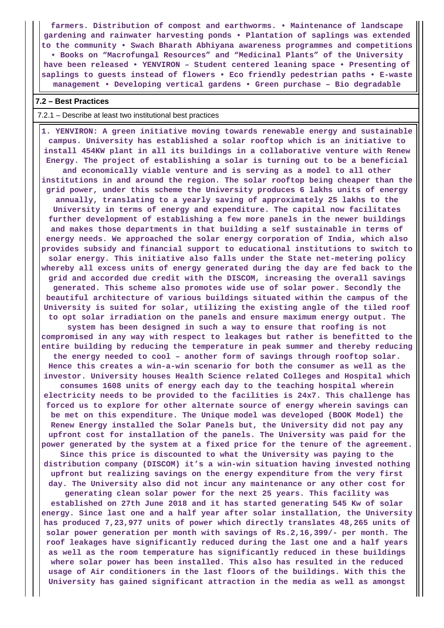**farmers. Distribution of compost and earthworms. • Maintenance of landscape gardening and rainwater harvesting ponds • Plantation of saplings was extended to the community • Swach Bharath Abhiyana awareness programmes and competitions • Books on "Macrofungal Resources" and "Medicinal Plants" of the University have been released • YENVIRON – Student centered leaning space • Presenting of saplings to guests instead of flowers • Eco friendly pedestrian paths • E-waste management • Developing vertical gardens • Green purchase – Bio degradable**

### **7.2 – Best Practices**

### 7.2.1 – Describe at least two institutional best practices

 **1. YENVIRON: A green initiative moving towards renewable energy and sustainable campus. University has established a solar rooftop which is an initiative to install 454KW plant in all its buildings in a collaborative venture with Renew Energy. The project of establishing a solar is turning out to be a beneficial and economically viable venture and is serving as a model to all other institutions in and around the region. The solar rooftop being cheaper than the grid power, under this scheme the University produces 6 lakhs units of energy annually, translating to a yearly saving of approximately 25 lakhs to the University in terms of energy and expenditure. The capital now facilitates further development of establishing a few more panels in the newer buildings and makes those departments in that building a self sustainable in terms of energy needs. We approached the solar energy corporation of India, which also provides subsidy and financial support to educational institutions to switch to solar energy. This initiative also falls under the State net-metering policy whereby all excess units of energy generated during the day are fed back to the grid and accorded due credit with the DISCOM, increasing the overall savings generated. This scheme also promotes wide use of solar power. Secondly the beautiful architecture of various buildings situated within the campus of the University is suited for solar, utilizing the existing angle of the tiled roof to opt solar irradiation on the panels and ensure maximum energy output. The system has been designed in such a way to ensure that roofing is not compromised in any way with respect to leakages but rather is benefitted to the entire building by reducing the temperature in peak summer and thereby reducing the energy needed to cool – another form of savings through rooftop solar. Hence this creates a win-a-win scenario for both the consumer as well as the investor. University houses Health Science related Colleges and Hospital which consumes 1608 units of energy each day to the teaching hospital wherein electricity needs to be provided to the facilities is 24x7. This challenge has forced us to explore for other alternate source of energy wherein savings can be met on this expenditure. The Unique model was developed (BOOK Model) the Renew Energy installed the Solar Panels but, the University did not pay any upfront cost for installation of the panels. The University was paid for the power generated by the system at a fixed price for the tenure of the agreement. Since this price is discounted to what the University was paying to the distribution company (DISCOM) it's a win-win situation having invested nothing upfront but realizing savings on the energy expenditure from the very first day. The University also did not incur any maintenance or any other cost for generating clean solar power for the next 25 years. This facility was**

**established on 27th June 2018 and it has started generating 545 Kw of solar energy. Since last one and a half year after solar installation, the University has produced 7,23,977 units of power which directly translates 48,265 units of solar power generation per month with savings of Rs.2,16,399/- per month. The roof leakages have significantly reduced during the last one and a half years as well as the room temperature has significantly reduced in these buildings where solar power has been installed. This also has resulted in the reduced usage of Air conditioners in the last floors of the buildings. With this the University has gained significant attraction in the media as well as amongst**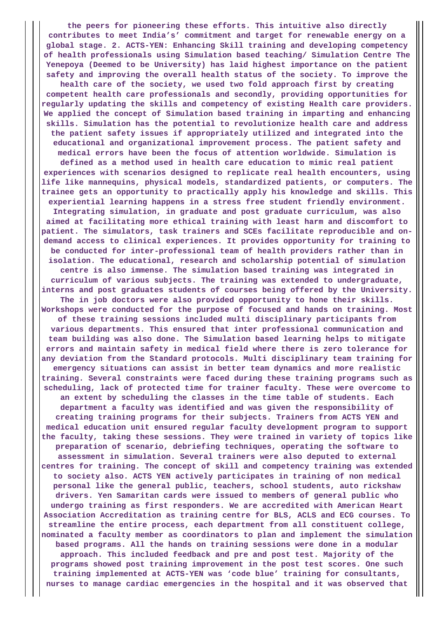**the peers for pioneering these efforts. This intuitive also directly contributes to meet India's' commitment and target for renewable energy on a global stage. 2. ACTS-YEN: Enhancing Skill training and developing competency of health professionals using Simulation based teaching/ Simulation Centre The Yenepoya (Deemed to be University) has laid highest importance on the patient safety and improving the overall health status of the society. To improve the health care of the society, we used two fold approach first by creating competent health care professionals and secondly, providing opportunities for regularly updating the skills and competency of existing Health care providers. We applied the concept of Simulation based training in imparting and enhancing skills. Simulation has the potential to revolutionize health care and address the patient safety issues if appropriately utilized and integrated into the educational and organizational improvement process. The patient safety and medical errors have been the focus of attention worldwide. Simulation is defined as a method used in health care education to mimic real patient experiences with scenarios designed to replicate real health encounters, using life like mannequins, physical models, standardized patients, or computers. The trainee gets an opportunity to practically apply his knowledge and skills. This experiential learning happens in a stress free student friendly environment. Integrating simulation, in graduate and post graduate curriculum, was also aimed at facilitating more ethical training with least harm and discomfort to patient. The simulators, task trainers and SCEs facilitate reproducible and ondemand access to clinical experiences. It provides opportunity for training to be conducted for inter-professional team of health providers rather than in isolation. The educational, research and scholarship potential of simulation centre is also immense. The simulation based training was integrated in curriculum of various subjects. The training was extended to undergraduate, interns and post graduates students of courses being offered by the University. The in job doctors were also provided opportunity to hone their skills. Workshops were conducted for the purpose of focused and hands on training. Most of these training sessions included multi disciplinary participants from various departments. This ensured that inter professional communication and team building was also done. The Simulation based learning helps to mitigate errors and maintain safety in medical field where there is zero tolerance for any deviation from the Standard protocols. Multi disciplinary team training for emergency situations can assist in better team dynamics and more realistic training. Several constraints were faced during these training programs such as scheduling, lack of protected time for trainer faculty. These were overcome to an extent by scheduling the classes in the time table of students. Each department a faculty was identified and was given the responsibility of creating training programs for their subjects. Trainers from ACTS YEN and medical education unit ensured regular faculty development program to support the faculty, taking these sessions. They were trained in variety of topics like preparation of scenario, debriefing techniques, operating the software to assessment in simulation. Several trainers were also deputed to external centres for training. The concept of skill and competency training was extended to society also. ACTS YEN actively participates in training of non medical personal like the general public, teachers, school students, auto rickshaw drivers. Yen Samaritan cards were issued to members of general public who undergo training as first responders. We are accredited with American Heart Association Accreditation as training centre for BLS, ACLS and ECG courses. To streamline the entire process, each department from all constituent college, nominated a faculty member as coordinators to plan and implement the simulation based programs. All the hands on training sessions were done in a modular approach. This included feedback and pre and post test. Majority of the programs showed post training improvement in the post test scores. One such training implemented at ACTS-YEN was 'code blue' training for consultants, nurses to manage cardiac emergencies in the hospital and it was observed that**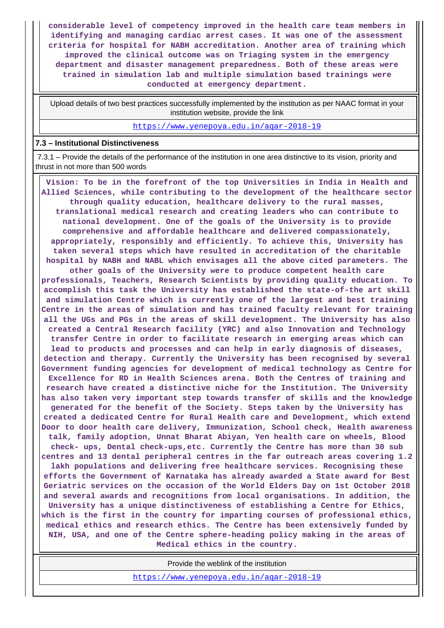**considerable level of competency improved in the health care team members in identifying and managing cardiac arrest cases. It was one of the assessment criteria for hospital for NABH accreditation. Another area of training which improved the clinical outcome was on Triaging system in the emergency department and disaster management preparedness. Both of these areas were trained in simulation lab and multiple simulation based trainings were conducted at emergency department.**

 Upload details of two best practices successfully implemented by the institution as per NAAC format in your institution website, provide the link

<https://www.yenepoya.edu.in/aqar-2018-19>

## **7.3 – Institutional Distinctiveness**

 7.3.1 – Provide the details of the performance of the institution in one area distinctive to its vision, priority and thrust in not more than 500 words

 **Vision: To be in the forefront of the top Universities in India in Health and Allied Sciences, while contributing to the development of the healthcare sector through quality education, healthcare delivery to the rural masses, translational medical research and creating leaders who can contribute to national development. One of the goals of the University is to provide comprehensive and affordable healthcare and delivered compassionately, appropriately, responsibly and efficiently. To achieve this, University has taken several steps which have resulted in accreditation of the charitable hospital by NABH and NABL which envisages all the above cited parameters. The other goals of the University were to produce competent health care professionals, Teachers, Research Scientists by providing quality education. To accomplish this task the University has established the state-of-the art skill and simulation Centre which is currently one of the largest and best training Centre in the areas of simulation and has trained faculty relevant for training all the UGs and PGs in the areas of skill development. The University has also created a Central Research facility (YRC) and also Innovation and Technology transfer Centre in order to facilitate research in emerging areas which can lead to products and processes and can help in early diagnosis of diseases, detection and therapy. Currently the University has been recognised by several Government funding agencies for development of medical technology as Centre for Excellence for RD in Health Sciences arena. Both the Centres of training and research have created a distinctive niche for the Institution. The University has also taken very important step towards transfer of skills and the knowledge generated for the benefit of the Society. Steps taken by the University has created a dedicated Centre for Rural Health care and Development, which extend Door to door health care delivery, Immunization, School check, Health awareness talk, family adoption, Unnat Bharat Abiyan, Yen health care on wheels, Blood check- ups, Dental check-ups,etc. Currently the Centre has more than 30 sub centres and 13 dental peripheral centres in the far outreach areas covering 1.2 lakh populations and delivering free healthcare services. Recognising these efforts the Government of Karnataka has already awarded a State award for Best Geriatric services on the occasion of the World Elders Day on 1st October 2018 and several awards and recognitions from local organisations. In addition, the University has a unique distinctiveness of establishing a Centre for Ethics, which is the first in the country for imparting courses of professional ethics, medical ethics and research ethics. The Centre has been extensively funded by NIH, USA, and one of the Centre sphere-heading policy making in the areas of Medical ethics in the country.**

Provide the weblink of the institution

<https://www.yenepoya.edu.in/aqar-2018-19>